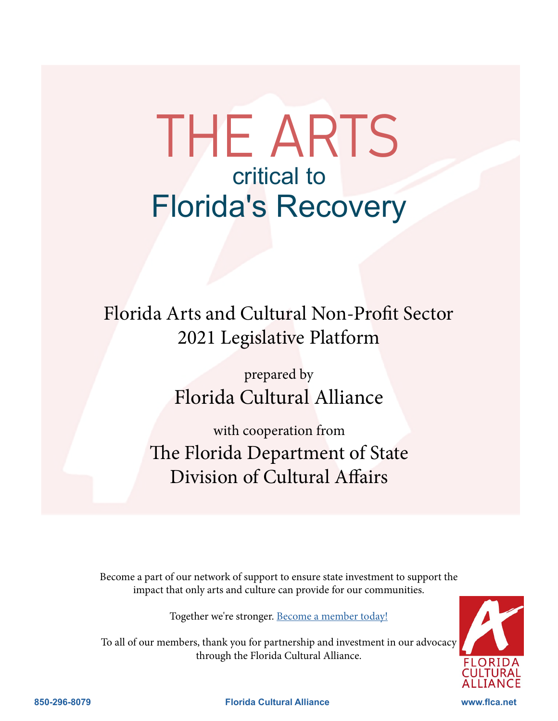THE ARTS critical to Florida's Recovery

# Florida Arts and Cultural Non-Profit Sector 2021 Legislative Platform

prepared by Florida Cultural Alliance

with cooperation from The Florida Department of State Division of Cultural Affairs

Become a part of our network of support to ensure state investment to support the impact that only arts and culture can provide for our communities.

Together we're stronger. [Become a member today!](https://flca.net/organizational-form/)

To all of our members, thank you for partnership and investment in our advocacy through the Florida Cultural Alliance.



**[850-296-8079 Florida Cultural Alliance www.flca.net](https://flca.net/)**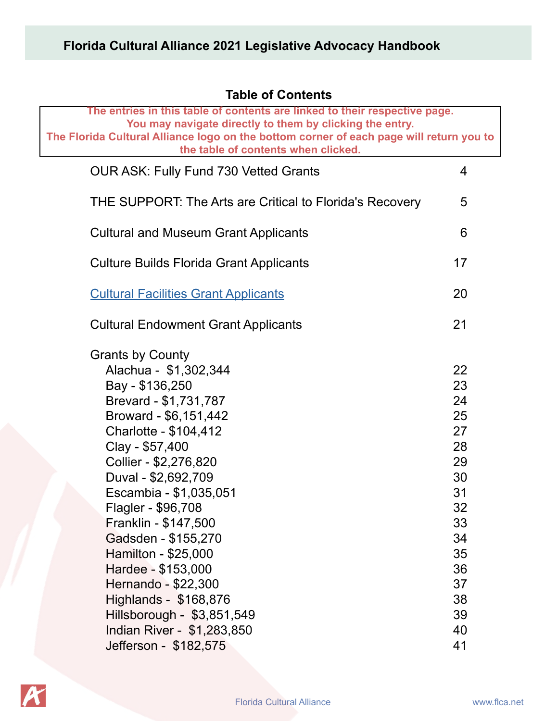## **Table of Contents**

| The entries in this table of contents are linked to their respective page.<br>You may navigate directly to them by clicking the entry.<br>The Florida Cultural Alliance logo on the bottom corner of each page will return you to<br>the table of contents when clicked.                                                                |                                                                            |
|-----------------------------------------------------------------------------------------------------------------------------------------------------------------------------------------------------------------------------------------------------------------------------------------------------------------------------------------|----------------------------------------------------------------------------|
| <b>OUR ASK: Fully Fund 730 Vetted Grants</b>                                                                                                                                                                                                                                                                                            | 4                                                                          |
| THE SUPPORT: The Arts are Critical to Florida's Recovery                                                                                                                                                                                                                                                                                | 5                                                                          |
| <b>Cultural and Museum Grant Applicants</b>                                                                                                                                                                                                                                                                                             | 6                                                                          |
| <b>Culture Builds Florida Grant Applicants</b>                                                                                                                                                                                                                                                                                          | 17                                                                         |
| <b>Cultural Facilities Grant Applicants</b>                                                                                                                                                                                                                                                                                             | 20                                                                         |
| <b>Cultural Endowment Grant Applicants</b>                                                                                                                                                                                                                                                                                              | 21                                                                         |
| <b>Grants by County</b><br>Alachua - \$1,302,344<br>Bay - \$136,250<br>Brevard - \$1,731,787<br>Broward - \$6,151,442<br>Charlotte - \$104,412<br>Clay - \$57,400<br>Collier - \$2,276,820<br>Duval - \$2,692,709<br>Escambia - \$1,035,051<br>Flagler - \$96,708<br>Franklin - \$147,500<br>Gadsden - \$155,270<br>Hamilton - \$25,000 | 22<br>23<br>24<br>25<br>27<br>28<br>29<br>30<br>31<br>32<br>33<br>34<br>35 |
| Hardee - \$153,000<br>Hernando - \$22,300<br>Highlands - \$168,876<br>Hillsborough - \$3,851,549<br>Indian River - \$1,283,850<br>Jefferson - \$182,575                                                                                                                                                                                 | 36<br>37<br>38<br>39<br>40<br>41                                           |

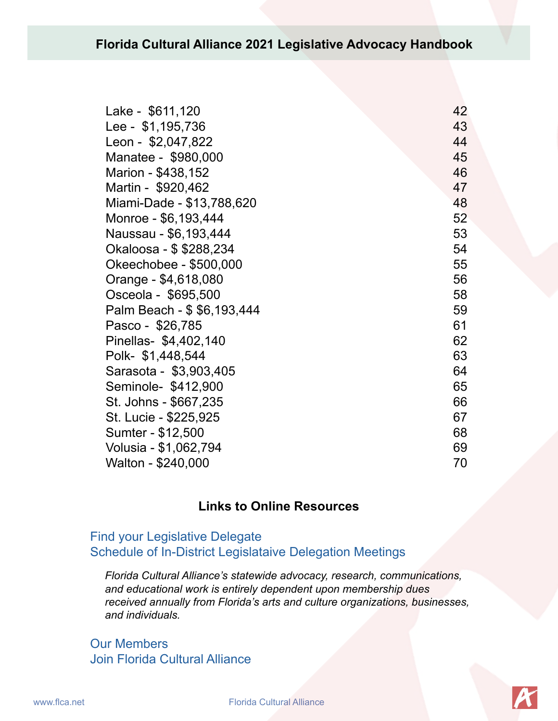#### **Florida Cultural Alliance 2021 Legislative Advocacy Handbook**

| Lake - \$611,120            | 42 |
|-----------------------------|----|
| Lee - \$1,195,736           | 43 |
| Leon - \$2,047,822          | 44 |
| Manatee - \$980,000         | 45 |
| Marion - \$438,152          | 46 |
| Martin - \$920,462          | 47 |
| Miami-Dade - \$13,788,620   | 48 |
| Monroe - \$6,193,444        | 52 |
| Naussau - \$6,193,444       | 53 |
| Okaloosa - \$ \$288,234     | 54 |
| Okeechobee - \$500,000      | 55 |
| Orange - \$4,618,080        | 56 |
| Osceola - \$695,500         | 58 |
| Palm Beach - \$ \$6,193,444 | 59 |
| Pasco - \$26,785            | 61 |
| Pinellas- \$4,402,140       | 62 |
| Polk- \$1,448,544           | 63 |
| Sarasota - \$3,903,405      | 64 |
| Seminole- \$412,900         | 65 |
| St. Johns - \$667,235       | 66 |
| St. Lucie - \$225,925       | 67 |
| Sumter - \$12,500           | 68 |
| Volusia - \$1,062,794       | 69 |
| Walton - \$240,000          | 70 |

#### **Links to Online Resources**

#### [Find your Legislative Delegate](https://flca.net/florida-elections-resources-map/) [Schedule of In-District Legislataive Delegation Meetings](https://flca.net/florida-elections-resources-map/)

*Florida Cultural Alliance's statewide advocacy, research, communications, and educational work is entirely dependent upon membership dues received annually from Florida's arts and culture organizations, businesses, and individuals.* 

[Our Members](https://flca.net/what-our-members-are-doing/) [Join Florida Cultural Alliance](https://flca.net/about-and-join/)

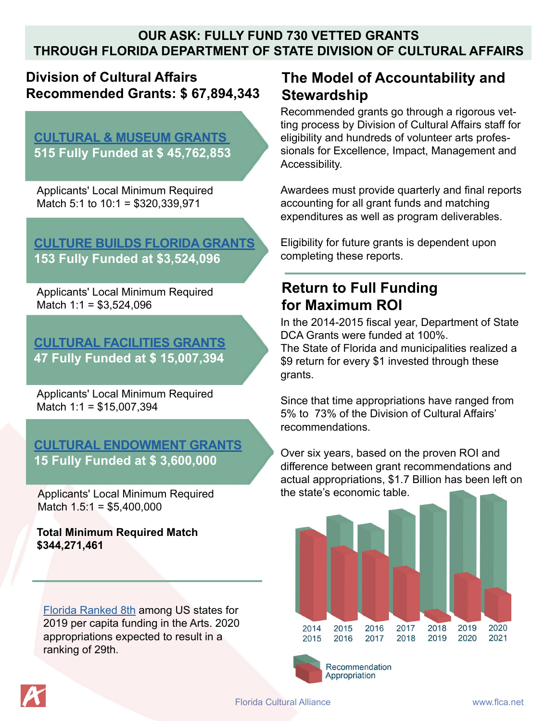#### <span id="page-3-0"></span>**OUR ASK: FULLY FUND 730 VETTED GRANTS THROUGH FLORIDA DEPARTMENT OF STATE DIVISION OF CULTURAL AFFAIRS**

# **Division of Cultural Affairs Recommended Grants: \$ 67,894,343**

## **[CULTURAL & MUSEUM GRANTS](https://dos.myflorida.com/cultural/grants/grant-resources/grant-awards-recommendations/ranked-application-lists/2021-2022-ranked-list-general-program-support/) 515 Fully Funded at \$ 45,762,853**

Applicants' Local Minimum Required Match 5:1 to 10:1 = \$320,339,971

### **[CULTURE BUILDS FLORIDA GRANTS](https://dos.myflorida.com/cultural/grants/grant-resources/grant-awards-recommendations/ranked-application-lists/2021-2022-ranked-list-specific-cultural-project/) 153 Fully Funded at \$3,524,096**

Applicants' Local Minimum Required Match  $1:1 = $3,524,096$ 

#### **[CULTURAL FACILITIES GRANTS](https://dos.myflorida.com/cultural/grants/grant-resources/grant-awards-recommendations/ranked-application-lists/2021-2022-ranked-list-cultural-facilities/) 47 Fully Funded at \$ 15,007,394**

Applicants' Local Minimum Required Match 1:1 = \$15,007,394

### **[CULTURAL ENDOWMENT GRANT](https://dos.myflorida.com/cultural/grants/grant-resources/grant-awards-recommendations/ranked-application-lists/2021-2022-priority-list-cultural-endowment/)S 15 Fully Funded at \$ 3,600,000**

Applicants' Local Minimum Required Match  $1.5:1 = $5.400.000$ 

#### **Total Minimum Required Match \$344,271,461**

[Florida Ranked 8th](https://nasaa-arts.org/nasaa_research/raise-your-ranking/) among US states for 2019 per capita funding in the Arts. 2020 appropriations expected to result in a ranking of 29th.

# **The Model of Accountability and Stewardship**

Recommended grants go through a rigorous vetting process by Division of Cultural Affairs staff for eligibility and hundreds of volunteer arts professionals for Excellence, Impact, Management and Accessibility.

Awardees must provide quarterly and final reports accounting for all grant funds and matching expenditures as well as program deliverables.

Eligibility for future grants is dependent upon completing these reports.

# **Return to Full Funding for Maximum ROI**

In the 2014-2015 fiscal year, Department of State DCA Grants were funded at 100%.

The State of Florida and municipalities realized a \$9 return for every \$1 invested through these grants.

Since that time appropriations have ranged from 5% to 73% of the Division of Cultural Affairs' recommendations.

Over six years, based on the proven ROI and difference between grant recommendations and actual appropriations, \$1.7 Billion has been left on the state's economic table.



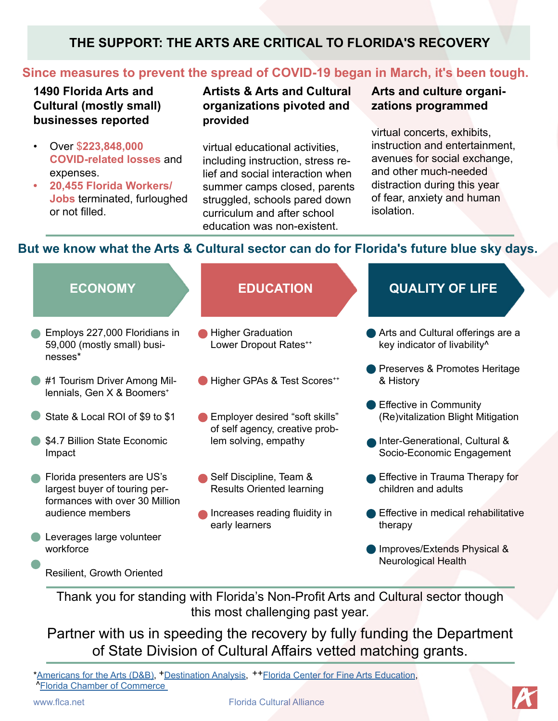## **THE SUPPORT: THE ARTS ARE CRITICAL TO FLORIDA'S RECOVERY**

#### <span id="page-4-0"></span>**Since measures to prevent the spread of COVID-19 began in March, it's been tough.**

#### **1490 Florida Arts and Cultural (mostly small) businesses reported**

- Over \$**223,848,000 COVID-related losses** and expenses.
- **• 20,455 Florida Workers/ Jobs** terminated, furloughed or not filled.

**Artists & Arts and Cultural organizations pivoted and provided** 

virtual educational activities, including instruction, stress relief and social interaction when summer camps closed, parents struggled, schools pared down curriculum and after school education was non-existent.

**Arts and culture organizations programmed** 

virtual concerts, exhibits, instruction and entertainment, avenues for social exchange, and other much-needed distraction during this year of fear, anxiety and human isolation.

#### **But we know what the Arts & Cultural sector can do for Florida's future blue sky days.**



Thank you for standing with Florida's Non-Profit Arts and Cultural sector though this most challenging past year.

Partner with us in speeding the recovery by fully funding the Department of State Division of Cultural Affairs vetted matching grants.

\*Americans for the Arts (D&B), [+Destination Analysis,](https://mk0destinationajcrrq.kinstacdn.com/wp-content/uploads/2016/08/DA_072916-final-print.pdf) ++[Florida Center for Fine Arts Education,](https://cfaefl.org/media/1214/cohort-study-one-page.pdf) [^Florida Chamber of Commerce](https://www.flchamber.com/florida-2030/) 

www.flca.net **Florida Cultural Alliance** 

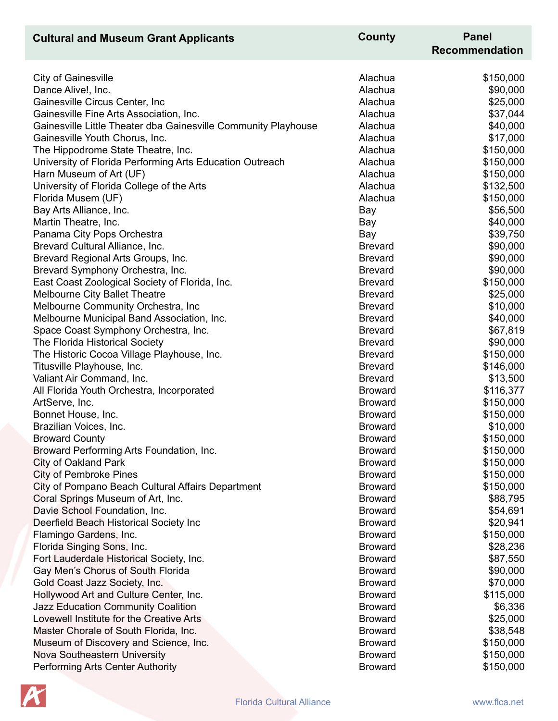<span id="page-5-0"></span>

| <b>Cultural and Museum Grant Applicants</b>                    | County         | <b>Panel</b><br><b>Recommendation</b> |
|----------------------------------------------------------------|----------------|---------------------------------------|
| <b>City of Gainesville</b>                                     | Alachua        | \$150,000                             |
| Dance Alive!, Inc.                                             | Alachua        | \$90,000                              |
| Gainesville Circus Center, Inc                                 | Alachua        | \$25,000                              |
| Gainesville Fine Arts Association, Inc.                        | Alachua        | \$37,044                              |
| Gainesville Little Theater dba Gainesville Community Playhouse | Alachua        | \$40,000                              |
| Gainesville Youth Chorus, Inc.                                 | Alachua        | \$17,000                              |
| The Hippodrome State Theatre, Inc.                             | Alachua        | \$150,000                             |
| University of Florida Performing Arts Education Outreach       | Alachua        | \$150,000                             |
| Harn Museum of Art (UF)                                        | Alachua        | \$150,000                             |
| University of Florida College of the Arts                      | Alachua        | \$132,500                             |
| Florida Musem (UF)                                             | Alachua        | \$150,000                             |
| Bay Arts Alliance, Inc.                                        | Bay            | \$56,500                              |
| Martin Theatre, Inc.                                           | Bay            | \$40,000                              |
| Panama City Pops Orchestra                                     | Bay            | \$39,750                              |
| Brevard Cultural Alliance, Inc.                                | <b>Brevard</b> | \$90,000                              |
| Brevard Regional Arts Groups, Inc.                             | <b>Brevard</b> | \$90,000                              |
| Brevard Symphony Orchestra, Inc.                               | <b>Brevard</b> | \$90,000                              |
| East Coast Zoological Society of Florida, Inc.                 | <b>Brevard</b> | \$150,000                             |
| <b>Melbourne City Ballet Theatre</b>                           | <b>Brevard</b> | \$25,000                              |
| Melbourne Community Orchestra, Inc.                            | <b>Brevard</b> | \$10,000                              |
| Melbourne Municipal Band Association, Inc.                     | <b>Brevard</b> | \$40,000                              |
| Space Coast Symphony Orchestra, Inc.                           | <b>Brevard</b> | \$67,819                              |
| The Florida Historical Society                                 | <b>Brevard</b> | \$90,000                              |
| The Historic Cocoa Village Playhouse, Inc.                     | <b>Brevard</b> | \$150,000                             |
| Titusville Playhouse, Inc.                                     | <b>Brevard</b> | \$146,000                             |
| Valiant Air Command, Inc.                                      | <b>Brevard</b> | \$13,500                              |
| All Florida Youth Orchestra, Incorporated                      | <b>Broward</b> | \$116,377                             |
| ArtServe, Inc.                                                 | <b>Broward</b> | \$150,000                             |
| Bonnet House, Inc.                                             | <b>Broward</b> | \$150,000                             |
| Brazilian Voices, Inc.                                         | <b>Broward</b> | \$10,000                              |
| <b>Broward County</b>                                          | <b>Broward</b> | \$150,000                             |
| Broward Performing Arts Foundation, Inc.                       | <b>Broward</b> | \$150,000                             |
| <b>City of Oakland Park</b>                                    | <b>Broward</b> | \$150,000                             |
| <b>City of Pembroke Pines</b>                                  | <b>Broward</b> | \$150,000                             |
| City of Pompano Beach Cultural Affairs Department              | <b>Broward</b> | \$150,000                             |
| Coral Springs Museum of Art, Inc.                              | <b>Broward</b> | \$88,795                              |
| Davie School Foundation, Inc.                                  | <b>Broward</b> | \$54,691                              |
| Deerfield Beach Historical Society Inc                         | <b>Broward</b> | \$20,941                              |
| Flamingo Gardens, Inc.                                         | <b>Broward</b> | \$150,000                             |
| Florida Singing Sons, Inc.                                     | <b>Broward</b> | \$28,236                              |
| Fort Lauderdale Historical Society, Inc.                       | <b>Broward</b> | \$87,550                              |
| Gay Men's Chorus of South Florida                              | <b>Broward</b> | \$90,000                              |
| Gold Coast Jazz Society, Inc.                                  | <b>Broward</b> | \$70,000                              |
| Hollywood Art and Culture Center, Inc.                         | <b>Broward</b> | \$115,000                             |
| <b>Jazz Education Community Coalition</b>                      | <b>Broward</b> | \$6,336                               |
| Lovewell Institute for the Creative Arts                       | <b>Broward</b> | \$25,000                              |
| Master Chorale of South Florida, Inc.                          | <b>Broward</b> | \$38,548                              |
| Museum of Discovery and Science, Inc.                          | <b>Broward</b> | \$150,000                             |
| Nova Southeastern University                                   | <b>Broward</b> | \$150,000                             |
| <b>Performing Arts Center Authority</b>                        | <b>Broward</b> | \$150,000                             |

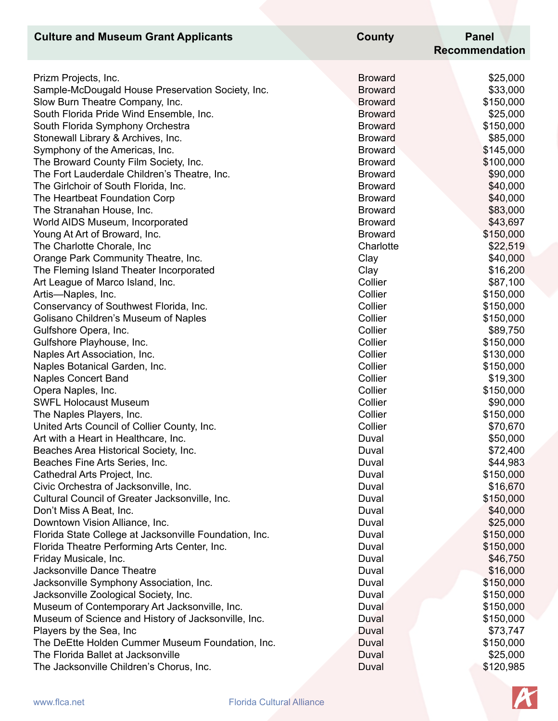| <b>Culture and Museum Grant Applicants</b>             | <b>County</b>  | <b>Panel</b>          |
|--------------------------------------------------------|----------------|-----------------------|
|                                                        |                | <b>Recommendation</b> |
|                                                        |                |                       |
| Prizm Projects, Inc.                                   | <b>Broward</b> | \$25,000              |
| Sample-McDougald House Preservation Society, Inc.      | <b>Broward</b> | \$33,000              |
| Slow Burn Theatre Company, Inc.                        | <b>Broward</b> | \$150,000             |
| South Florida Pride Wind Ensemble, Inc.                | <b>Broward</b> | \$25,000              |
| South Florida Symphony Orchestra                       | <b>Broward</b> | \$150,000             |
| Stonewall Library & Archives, Inc.                     | <b>Broward</b> | \$85,000              |
| Symphony of the Americas, Inc.                         | <b>Broward</b> | \$145,000             |
| The Broward County Film Society, Inc.                  | <b>Broward</b> | \$100,000             |
| The Fort Lauderdale Children's Theatre, Inc.           | <b>Broward</b> | \$90,000              |
| The Girlchoir of South Florida, Inc.                   | <b>Broward</b> | \$40,000              |
| The Heartbeat Foundation Corp                          | <b>Broward</b> | \$40,000              |
| The Stranahan House, Inc.                              | <b>Broward</b> | \$83,000              |
| World AIDS Museum, Incorporated                        | <b>Broward</b> | \$43,697              |
| Young At Art of Broward, Inc.                          | <b>Broward</b> | \$150,000             |
| The Charlotte Chorale, Inc                             | Charlotte      | \$22,519              |
| Orange Park Community Theatre, Inc.                    | Clay           | \$40,000              |
| The Fleming Island Theater Incorporated                | Clay           | \$16,200              |
| Art League of Marco Island, Inc.                       | Collier        | \$87,100              |
| Artis-Naples, Inc.                                     | Collier        | \$150,000             |
| Conservancy of Southwest Florida, Inc.                 | Collier        | \$150,000             |
| Golisano Children's Museum of Naples                   | Collier        | \$150,000             |
| Gulfshore Opera, Inc.                                  | Collier        | \$89,750              |
| Gulfshore Playhouse, Inc.                              | Collier        | \$150,000             |
| Naples Art Association, Inc.                           | Collier        | \$130,000             |
| Naples Botanical Garden, Inc.                          | Collier        | \$150,000             |
| <b>Naples Concert Band</b>                             | Collier        | \$19,300              |
| Opera Naples, Inc.                                     | Collier        | \$150,000             |
| <b>SWFL Holocaust Museum</b>                           | Collier        | \$90,000              |
| The Naples Players, Inc.                               | Collier        | \$150,000             |
| United Arts Council of Collier County, Inc.            | Collier        | \$70,670              |
| Art with a Heart in Healthcare, Inc.                   | Duval          | \$50,000              |
| Beaches Area Historical Society, Inc.                  | Duval          | \$72,400              |
| Beaches Fine Arts Series, Inc.                         | Duval          | \$44,983              |
| Cathedral Arts Project, Inc.                           | Duval          | \$150,000             |
| Civic Orchestra of Jacksonville, Inc.                  | Duval          | \$16,670              |
| Cultural Council of Greater Jacksonville, Inc.         | Duval          | \$150,000             |
| Don't Miss A Beat, Inc.                                | Duval          | \$40,000              |
| Downtown Vision Alliance, Inc.                         | Duval          | \$25,000              |
| Florida State College at Jacksonville Foundation, Inc. | Duval          | \$150,000             |
| Florida Theatre Performing Arts Center, Inc.           | Duval          | \$150,000             |
| Friday Musicale, Inc.                                  | Duval          | \$46,750              |
| <b>Jacksonville Dance Theatre</b>                      | Duval          | \$16,000              |
|                                                        | Duval          |                       |
| Jacksonville Symphony Association, Inc.                |                | \$150,000             |
| Jacksonville Zoological Society, Inc.                  | Duval          | \$150,000             |
| Museum of Contemporary Art Jacksonville, Inc.          | Duval          | \$150,000             |
| Museum of Science and History of Jacksonville, Inc.    | Duval          | \$150,000             |
| Players by the Sea, Inc                                | Duval          | \$73,747              |
| The DeEtte Holden Cummer Museum Foundation, Inc.       | Duval          | \$150,000             |
| The Florida Ballet at Jacksonville                     | Duval          | \$25,000              |
| The Jacksonville Children's Chorus, Inc.               | Duval          | \$120,985             |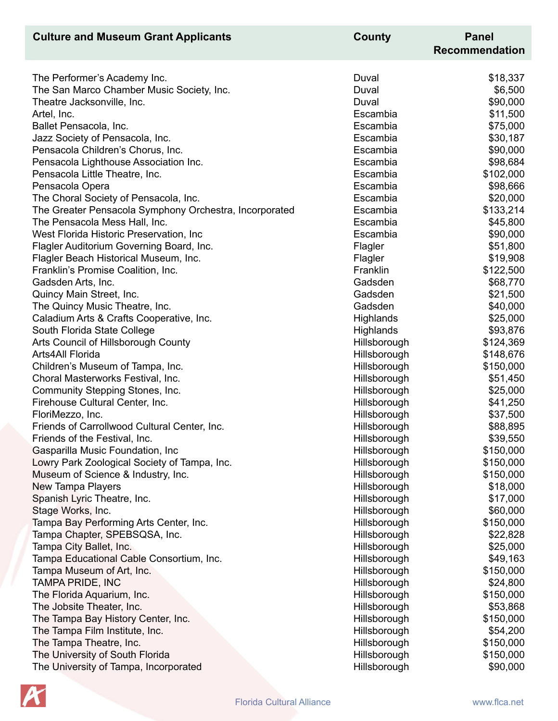| <b>Culture and Museum Grant Applicants</b>             | County                       | <b>Panel</b><br><b>Recommendation</b> |
|--------------------------------------------------------|------------------------------|---------------------------------------|
|                                                        |                              |                                       |
| The Performer's Academy Inc.                           | Duval                        | \$18,337                              |
| The San Marco Chamber Music Society, Inc.              | Duval                        | \$6,500                               |
| Theatre Jacksonville, Inc.                             | Duval                        | \$90,000                              |
| Artel, Inc.                                            | Escambia                     | \$11,500                              |
| Ballet Pensacola, Inc.                                 | Escambia                     | \$75,000                              |
| Jazz Society of Pensacola, Inc.                        | Escambia                     | \$30,187                              |
| Pensacola Children's Chorus, Inc.                      | Escambia                     | \$90,000                              |
| Pensacola Lighthouse Association Inc.                  | Escambia                     | \$98,684                              |
| Pensacola Little Theatre, Inc.                         | Escambia                     | \$102,000                             |
| Pensacola Opera                                        | Escambia                     | \$98,666                              |
| The Choral Society of Pensacola, Inc.                  | Escambia                     | \$20,000                              |
| The Greater Pensacola Symphony Orchestra, Incorporated | Escambia                     | \$133,214                             |
| The Pensacola Mess Hall, Inc.                          | Escambia                     | \$45,800                              |
| West Florida Historic Preservation, Inc.               | Escambia                     | \$90,000                              |
| Flagler Auditorium Governing Board, Inc.               | Flagler                      | \$51,800                              |
| Flagler Beach Historical Museum, Inc.                  | Flagler                      | \$19,908                              |
| Franklin's Promise Coalition, Inc.                     | Franklin                     | \$122,500                             |
| Gadsden Arts, Inc.                                     | Gadsden                      | \$68,770                              |
| Quincy Main Street, Inc.                               | Gadsden                      | \$21,500                              |
| The Quincy Music Theatre, Inc.                         | Gadsden                      | \$40,000                              |
| Caladium Arts & Crafts Cooperative, Inc.               | Highlands                    | \$25,000                              |
| South Florida State College                            | Highlands                    | \$93,876                              |
| Arts Council of Hillsborough County                    | Hillsborough                 | \$124,369                             |
| Arts4All Florida                                       | Hillsborough                 | \$148,676                             |
| Children's Museum of Tampa, Inc.                       | Hillsborough                 | \$150,000                             |
| Choral Masterworks Festival, Inc.                      | Hillsborough                 | \$51,450                              |
| Community Stepping Stones, Inc.                        | Hillsborough                 | \$25,000                              |
| Firehouse Cultural Center, Inc.                        | Hillsborough                 | \$41,250                              |
| FloriMezzo, Inc.                                       | Hillsborough                 | \$37,500                              |
| Friends of Carrollwood Cultural Center, Inc.           | Hillsborough                 | \$88,895                              |
| Friends of the Festival, Inc.                          | Hillsborough                 | \$39,550                              |
| Gasparilla Music Foundation, Inc.                      | Hillsborough                 | \$150,000                             |
| Lowry Park Zoological Society of Tampa, Inc.           | Hillsborough                 | \$150,000                             |
| Museum of Science & Industry, Inc.                     | Hillsborough                 | \$150,000                             |
| <b>New Tampa Players</b>                               | Hillsborough                 | \$18,000                              |
| Spanish Lyric Theatre, Inc.                            | Hillsborough                 | \$17,000                              |
| Stage Works, Inc.                                      | Hillsborough                 | \$60,000                              |
| Tampa Bay Performing Arts Center, Inc.                 | Hillsborough                 | \$150,000                             |
| Tampa Chapter, SPEBSQSA, Inc.                          | Hillsborough                 | \$22,828                              |
| Tampa City Ballet, Inc.                                | Hillsborough                 | \$25,000                              |
| Tampa Educational Cable Consortium, Inc.               | Hillsborough                 | \$49,163                              |
| Tampa Museum of Art, Inc.<br><b>TAMPA PRIDE, INC</b>   | Hillsborough<br>Hillsborough | \$150,000<br>\$24,800                 |
| The Florida Aquarium, Inc.                             | Hillsborough                 | \$150,000                             |
| The Jobsite Theater, Inc.                              | Hillsborough                 | \$53,868                              |
| The Tampa Bay History Center, Inc.                     | Hillsborough                 | \$150,000                             |
| The Tampa Film Institute, Inc.                         | Hillsborough                 | \$54,200                              |
| The Tampa Theatre, Inc.                                | Hillsborough                 | \$150,000                             |
| The University of South Florida                        | Hillsborough                 | \$150,000                             |
| The University of Tampa, Incorporated                  | Hillsborough                 | \$90,000                              |

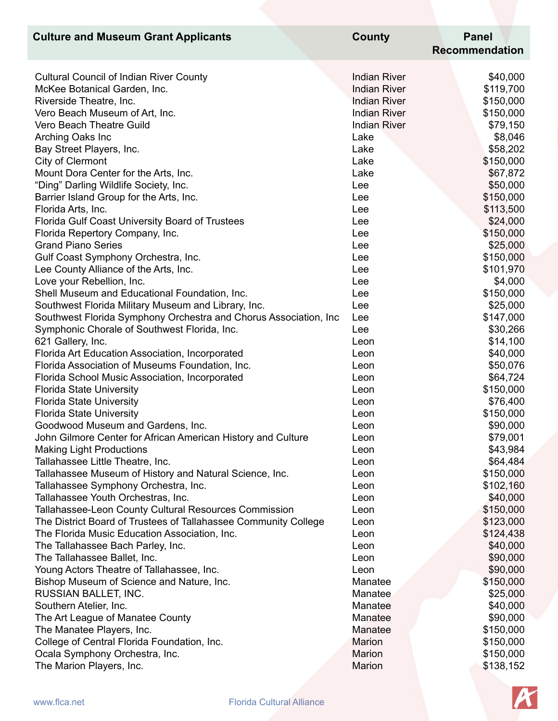| <b>Culture and Museum Grant Applicants</b>                       | <b>County</b>       | <b>Panel</b>          |
|------------------------------------------------------------------|---------------------|-----------------------|
|                                                                  |                     | <b>Recommendation</b> |
| <b>Cultural Council of Indian River County</b>                   | <b>Indian River</b> | \$40,000              |
| McKee Botanical Garden, Inc.                                     | <b>Indian River</b> | \$119,700             |
| Riverside Theatre, Inc.                                          | <b>Indian River</b> | \$150,000             |
| Vero Beach Museum of Art, Inc.                                   | <b>Indian River</b> | \$150,000             |
| <b>Vero Beach Theatre Guild</b>                                  | <b>Indian River</b> | \$79,150              |
| Arching Oaks Inc                                                 | Lake                | \$8,046               |
| Bay Street Players, Inc.                                         | Lake                | \$58,202              |
| <b>City of Clermont</b>                                          | Lake                | \$150,000             |
| Mount Dora Center for the Arts, Inc.                             | Lake                | \$67,872              |
| "Ding" Darling Wildlife Society, Inc.                            | Lee                 | \$50,000              |
| Barrier Island Group for the Arts, Inc.                          | Lee                 | \$150,000             |
| Florida Arts, Inc.                                               | Lee                 | \$113,500             |
| Florida Gulf Coast University Board of Trustees                  | Lee                 | \$24,000              |
| Florida Repertory Company, Inc.                                  | Lee                 | \$150,000             |
| <b>Grand Piano Series</b>                                        | Lee                 | \$25,000              |
| Gulf Coast Symphony Orchestra, Inc.                              | Lee                 | \$150,000             |
| Lee County Alliance of the Arts, Inc.                            | Lee                 | \$101,970             |
| Love your Rebellion, Inc.                                        | Lee                 | \$4,000               |
| Shell Museum and Educational Foundation, Inc.                    | Lee                 | \$150,000             |
| Southwest Florida Military Museum and Library, Inc.              | Lee                 | \$25,000              |
| Southwest Florida Symphony Orchestra and Chorus Association, Inc | Lee                 | \$147,000             |
| Symphonic Chorale of Southwest Florida, Inc.                     | Lee                 | \$30,266              |
| 621 Gallery, Inc.                                                | Leon                | \$14,100              |
| Florida Art Education Association, Incorporated                  | Leon                | \$40,000              |
| Florida Association of Museums Foundation, Inc.                  | Leon                | \$50,076              |
| Florida School Music Association, Incorporated                   | Leon                | \$64,724              |
| <b>Florida State University</b>                                  | Leon                | \$150,000             |
| <b>Florida State University</b>                                  | Leon                | \$76,400              |
| <b>Florida State University</b>                                  | Leon                | \$150,000             |
| Goodwood Museum and Gardens, Inc.                                | Leon                | \$90,000              |
| John Gilmore Center for African American History and Culture     | Leon                | \$79,001              |
| <b>Making Light Productions</b>                                  | Leon                | \$43,984              |
| Tallahassee Little Theatre, Inc.                                 | Leon                | \$64,484              |
| Tallahassee Museum of History and Natural Science, Inc.          | Leon                | \$150,000             |
| Tallahassee Symphony Orchestra, Inc.                             | Leon                | \$102,160             |
| Tallahassee Youth Orchestras, Inc.                               | Leon                | \$40,000              |
| Tallahassee-Leon County Cultural Resources Commission            | Leon                | \$150,000             |
| The District Board of Trustees of Tallahassee Community College  | Leon                | \$123,000             |
| The Florida Music Education Association, Inc.                    | Leon                | \$124,438             |
| The Tallahassee Bach Parley, Inc.                                | Leon                | \$40,000              |
| The Tallahassee Ballet, Inc.                                     | Leon                | \$90,000              |
| Young Actors Theatre of Tallahassee, Inc.                        | Leon                | \$90,000              |
| Bishop Museum of Science and Nature, Inc.                        | Manatee             | \$150,000             |
| RUSSIAN BALLET, INC.                                             | Manatee             | \$25,000              |
| Southern Atelier, Inc.                                           | Manatee             | \$40,000              |
| The Art League of Manatee County                                 | Manatee             | \$90,000              |
| The Manatee Players, Inc.                                        | <b>Manatee</b>      | \$150,000             |
| College of Central Florida Foundation, Inc.                      | <b>Marion</b>       | \$150,000             |
| Ocala Symphony Orchestra, Inc.                                   | Marion              | \$150,000             |
| The Marion Players, Inc.                                         | Marion              | \$138,152             |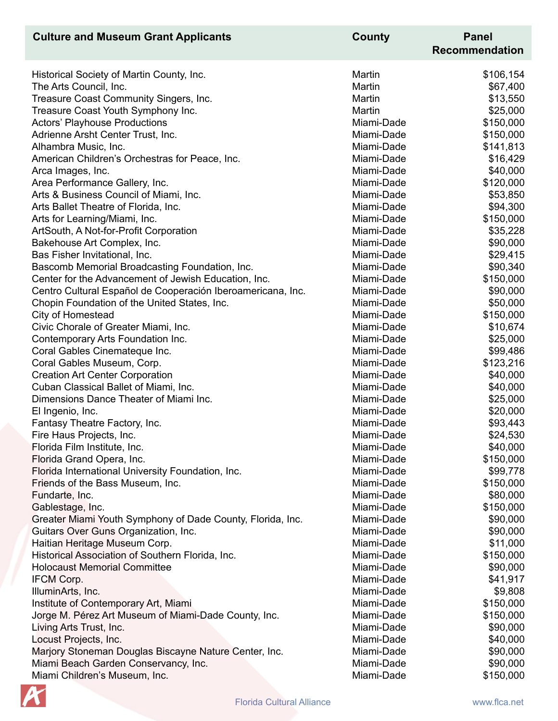| <b>Culture and Museum Grant Applicants</b>                  | County     | <b>Panel</b>          |
|-------------------------------------------------------------|------------|-----------------------|
|                                                             |            | <b>Recommendation</b> |
| Historical Society of Martin County, Inc.                   | Martin     | \$106,154             |
| The Arts Council, Inc.                                      | Martin     | \$67,400              |
| Treasure Coast Community Singers, Inc.                      | Martin     | \$13,550              |
| Treasure Coast Youth Symphony Inc.                          | Martin     | \$25,000              |
| <b>Actors' Playhouse Productions</b>                        | Miami-Dade | \$150,000             |
| Adrienne Arsht Center Trust, Inc.                           | Miami-Dade | \$150,000             |
| Alhambra Music, Inc.                                        | Miami-Dade | \$141,813             |
| American Children's Orchestras for Peace, Inc.              | Miami-Dade | \$16,429              |
| Arca Images, Inc.                                           | Miami-Dade | \$40,000              |
| Area Performance Gallery, Inc.                              | Miami-Dade | \$120,000             |
| Arts & Business Council of Miami, Inc.                      | Miami-Dade | \$53,850              |
| Arts Ballet Theatre of Florida, Inc.                        | Miami-Dade | \$94,300              |
| Arts for Learning/Miami, Inc.                               | Miami-Dade | \$150,000             |
| ArtSouth, A Not-for-Profit Corporation                      | Miami-Dade | \$35,228              |
| Bakehouse Art Complex, Inc.                                 | Miami-Dade | \$90,000              |
| Bas Fisher Invitational, Inc.                               | Miami-Dade | \$29,415              |
| Bascomb Memorial Broadcasting Foundation, Inc.              | Miami-Dade | \$90,340              |
| Center for the Advancement of Jewish Education, Inc.        | Miami-Dade | \$150,000             |
| Centro Cultural Español de Cooperación Iberoamericana, Inc. | Miami-Dade | \$90,000              |
| Chopin Foundation of the United States, Inc.                | Miami-Dade | \$50,000              |
| City of Homestead                                           | Miami-Dade | \$150,000             |
| Civic Chorale of Greater Miami, Inc.                        | Miami-Dade | \$10,674              |
| Contemporary Arts Foundation Inc.                           | Miami-Dade | \$25,000              |
| Coral Gables Cinemateque Inc.                               | Miami-Dade | \$99,486              |
| Coral Gables Museum, Corp.                                  | Miami-Dade | \$123,216             |
| <b>Creation Art Center Corporation</b>                      | Miami-Dade | \$40,000              |
| Cuban Classical Ballet of Miami, Inc.                       | Miami-Dade | \$40,000              |
| Dimensions Dance Theater of Miami Inc.                      | Miami-Dade | \$25,000              |
| El Ingenio, Inc.                                            | Miami-Dade | \$20,000              |
| Fantasy Theatre Factory, Inc.                               | Miami-Dade | \$93,443              |
| Fire Haus Projects, Inc.                                    | Miami-Dade | \$24,530              |
| Florida Film Institute, Inc.                                | Miami-Dade | \$40,000              |
| Florida Grand Opera, Inc.                                   | Miami-Dade | \$150,000             |
| Florida International University Foundation, Inc.           | Miami-Dade | \$99,778              |
| Friends of the Bass Museum, Inc.                            | Miami-Dade | \$150,000             |
| Fundarte, Inc.                                              | Miami-Dade | \$80,000              |
| Gablestage, Inc.                                            | Miami-Dade | \$150,000             |
| Greater Miami Youth Symphony of Dade County, Florida, Inc.  | Miami-Dade | \$90,000              |
| Guitars Over Guns Organization, Inc.                        | Miami-Dade | \$90,000              |
| Haitian Heritage Museum Corp.                               | Miami-Dade | \$11,000              |
| Historical Association of Southern Florida, Inc.            | Miami-Dade | \$150,000             |
| <b>Holocaust Memorial Committee</b>                         | Miami-Dade | \$90,000              |
| <b>IFCM Corp.</b>                                           | Miami-Dade | \$41,917              |
| IlluminArts, Inc.                                           | Miami-Dade | \$9,808               |
| Institute of Contemporary Art, Miami                        | Miami-Dade | \$150,000             |
| Jorge M. Pérez Art Museum of Miami-Dade County, Inc.        | Miami-Dade | \$150,000             |
| Living Arts Trust, Inc.                                     | Miami-Dade | \$90,000              |
| Locust Projects, Inc.                                       | Miami-Dade | \$40,000              |
| Marjory Stoneman Douglas Biscayne Nature Center, Inc.       | Miami-Dade | \$90,000              |
| Miami Beach Garden Conservancy, Inc.                        | Miami-Dade | \$90,000              |
| Miami Children's Museum, Inc.                               | Miami-Dade | \$150,000             |

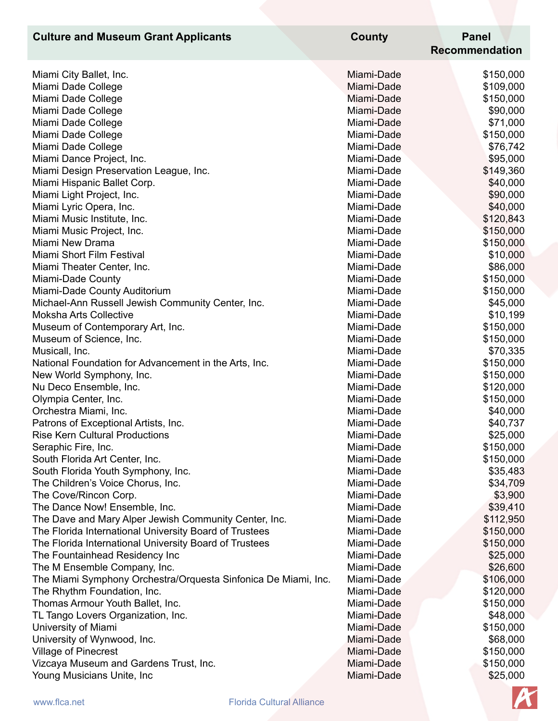| <b>Culture and Museum Grant Applicants</b>                     | <b>County</b>            | <b>Panel</b><br><b>Recommendation</b> |
|----------------------------------------------------------------|--------------------------|---------------------------------------|
| Miami City Ballet, Inc.                                        | Miami-Dade               | \$150,000                             |
| Miami Dade College                                             | Miami-Dade               | \$109,000                             |
| Miami Dade College                                             | Miami-Dade               | \$150,000                             |
| Miami Dade College                                             | Miami-Dade               | \$90,000                              |
| Miami Dade College                                             | Miami-Dade               | \$71,000                              |
| Miami Dade College                                             | Miami-Dade               | \$150,000                             |
| Miami Dade College                                             | Miami-Dade               | \$76,742                              |
| Miami Dance Project, Inc.                                      | Miami-Dade               | \$95,000                              |
| Miami Design Preservation League, Inc.                         | Miami-Dade               | \$149,360                             |
| Miami Hispanic Ballet Corp.                                    | Miami-Dade               | \$40,000                              |
| Miami Light Project, Inc.                                      | Miami-Dade               | \$90,000                              |
| Miami Lyric Opera, Inc.                                        | Miami-Dade               | \$40,000                              |
| Miami Music Institute, Inc.                                    | Miami-Dade               | \$120,843                             |
| Miami Music Project, Inc.                                      | Miami-Dade               | \$150,000                             |
| Miami New Drama                                                | Miami-Dade               | \$150,000                             |
| Miami Short Film Festival                                      | Miami-Dade               | \$10,000                              |
| Miami Theater Center, Inc.                                     | Miami-Dade               | \$86,000                              |
| Miami-Dade County                                              | Miami-Dade               | \$150,000                             |
| Miami-Dade County Auditorium                                   | Miami-Dade               | \$150,000                             |
| Michael-Ann Russell Jewish Community Center, Inc.              | Miami-Dade               | \$45,000                              |
| <b>Moksha Arts Collective</b>                                  | Miami-Dade               | \$10,199                              |
| Museum of Contemporary Art, Inc.                               | Miami-Dade               | \$150,000                             |
| Museum of Science, Inc.                                        | Miami-Dade               | \$150,000                             |
| Musicall, Inc.                                                 | Miami-Dade               | \$70,335                              |
| National Foundation for Advancement in the Arts, Inc.          | Miami-Dade               | \$150,000                             |
| New World Symphony, Inc.                                       | Miami-Dade               | \$150,000                             |
| Nu Deco Ensemble, Inc.                                         | Miami-Dade               | \$120,000                             |
| Olympia Center, Inc.                                           | Miami-Dade               | \$150,000                             |
| Orchestra Miami, Inc.                                          | Miami-Dade               | \$40,000                              |
| Patrons of Exceptional Artists, Inc.                           | Miami-Dade               | \$40,737                              |
| <b>Rise Kern Cultural Productions</b>                          | Miami-Dade               | \$25,000                              |
| Seraphic Fire, Inc.                                            | Miami-Dade               | \$150,000                             |
| South Florida Art Center, Inc.                                 | Miami-Dade               | \$150,000                             |
| South Florida Youth Symphony, Inc.                             | Miami-Dade               | \$35,483                              |
| The Children's Voice Chorus, Inc.                              | Miami-Dade               | \$34,709                              |
| The Cove/Rincon Corp.                                          | Miami-Dade               | \$3,900                               |
| The Dance Now! Ensemble, Inc.                                  | Miami-Dade               | \$39,410                              |
| The Dave and Mary Alper Jewish Community Center, Inc.          | Miami-Dade               | \$112,950                             |
| The Florida International University Board of Trustees         | Miami-Dade               | \$150,000                             |
| The Florida International University Board of Trustees         | Miami-Dade               | \$150,000                             |
| The Fountainhead Residency Inc                                 | Miami-Dade<br>Miami-Dade | \$25,000                              |
| The M Ensemble Company, Inc.                                   |                          | \$26,600                              |
| The Miami Symphony Orchestra/Orquesta Sinfonica De Miami, Inc. | Miami-Dade               | \$106,000                             |
| The Rhythm Foundation, Inc.                                    | Miami-Dade               | \$120,000                             |
| Thomas Armour Youth Ballet, Inc.                               | Miami-Dade               | \$150,000                             |
| TL Tango Lovers Organization, Inc.<br>University of Miami      | Miami-Dade<br>Miami-Dade | \$48,000<br>\$150,000                 |
| University of Wynwood, Inc.                                    | Miami-Dade               | \$68,000                              |
| <b>Village of Pinecrest</b>                                    | Miami-Dade               | \$150,000                             |
| Vizcaya Museum and Gardens Trust, Inc.                         | Miami-Dade               | \$150,000                             |
| Young Musicians Unite, Inc                                     | Miami-Dade               | \$25,000                              |
|                                                                |                          |                                       |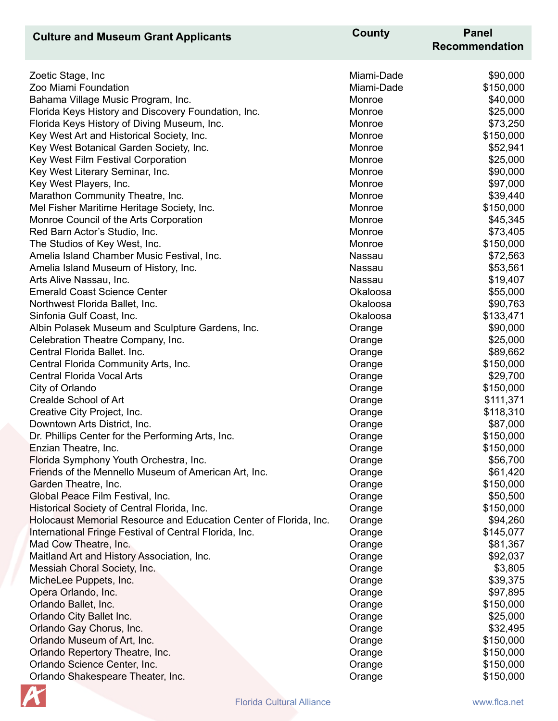| <b>Culture and Museum Grant Applicants</b>                                      | <b>County</b>    | <b>Panel</b><br><b>Recommendation</b> |
|---------------------------------------------------------------------------------|------------------|---------------------------------------|
| Zoetic Stage, Inc                                                               | Miami-Dade       | \$90,000                              |
| Zoo Miami Foundation                                                            | Miami-Dade       | \$150,000                             |
| Bahama Village Music Program, Inc.                                              | Monroe           | \$40,000                              |
| Florida Keys History and Discovery Foundation, Inc.                             | Monroe           | \$25,000                              |
| Florida Keys History of Diving Museum, Inc.                                     | Monroe           | \$73,250                              |
| Key West Art and Historical Society, Inc.                                       | Monroe           | \$150,000                             |
| Key West Botanical Garden Society, Inc.                                         | Monroe           | \$52,941                              |
| Key West Film Festival Corporation                                              | Monroe           | \$25,000                              |
| Key West Literary Seminar, Inc.                                                 | Monroe           | \$90,000                              |
| Key West Players, Inc.                                                          | Monroe           | \$97,000                              |
| Marathon Community Theatre, Inc.                                                | Monroe           | \$39,440                              |
| Mel Fisher Maritime Heritage Society, Inc.                                      | Monroe           | \$150,000                             |
| Monroe Council of the Arts Corporation                                          | Monroe           | \$45,345                              |
| Red Barn Actor's Studio, Inc.                                                   | Monroe           | \$73,405                              |
| The Studios of Key West, Inc.                                                   | Monroe           | \$150,000                             |
| Amelia Island Chamber Music Festival, Inc.                                      | <b>Nassau</b>    | \$72,563                              |
| Amelia Island Museum of History, Inc.                                           | Nassau           | \$53,561                              |
| Arts Alive Nassau, Inc.                                                         | Nassau           | \$19,407                              |
| <b>Emerald Coast Science Center</b>                                             | Okaloosa         | \$55,000                              |
| Northwest Florida Ballet, Inc.                                                  | Okaloosa         | \$90,763                              |
| Sinfonia Gulf Coast, Inc.                                                       | Okaloosa         | \$133,471                             |
| Albin Polasek Museum and Sculpture Gardens, Inc.                                | Orange           | \$90,000                              |
| Celebration Theatre Company, Inc.                                               | Orange           | \$25,000                              |
| Central Florida Ballet. Inc.                                                    | Orange           | \$89,662                              |
| Central Florida Community Arts, Inc.                                            | Orange           | \$150,000                             |
| <b>Central Florida Vocal Arts</b>                                               | Orange           | \$29,700                              |
| City of Orlando                                                                 | Orange           | \$150,000                             |
| <b>Crealde School of Art</b>                                                    | Orange           | \$111,371                             |
| Creative City Project, Inc.                                                     | Orange           | \$118,310                             |
| Downtown Arts District, Inc.                                                    | Orange           | \$87,000                              |
| Dr. Phillips Center for the Performing Arts, Inc.                               | Orange           | \$150,000                             |
| Enzian Theatre, Inc.                                                            | Orange           | \$150,000                             |
| Florida Symphony Youth Orchestra, Inc.                                          | Orange           | \$56,700                              |
| Friends of the Mennello Museum of American Art, Inc.                            | Orange           | \$61,420                              |
| Garden Theatre, Inc.                                                            | Orange           | \$150,000                             |
| Global Peace Film Festival, Inc.<br>Historical Society of Central Florida, Inc. | Orange           | \$50,500<br>\$150,000                 |
| Holocaust Memorial Resource and Education Center of Florida, Inc.               | Orange<br>Orange | \$94,260                              |
| International Fringe Festival of Central Florida, Inc.                          | Orange           | \$145,077                             |
| Mad Cow Theatre, Inc.                                                           | Orange           | \$81,367                              |
| Maitland Art and History Association, Inc.                                      | Orange           | \$92,037                              |
| Messiah Choral Society, Inc.                                                    | Orange           | \$3,805                               |
| MicheLee Puppets, Inc.                                                          | Orange           | \$39,375                              |
| Opera Orlando, Inc.                                                             | Orange           | \$97,895                              |
| Orlando Ballet, Inc.                                                            | Orange           | \$150,000                             |
| Orlando City Ballet Inc.                                                        | Orange           | \$25,000                              |
| Orlando Gay Chorus, Inc.                                                        | Orange           | \$32,495                              |
| Orlando Museum of Art, Inc.                                                     | Orange           | \$150,000                             |
| Orlando Repertory Theatre, Inc.                                                 | Orange           | \$150,000                             |
| Orlando Science Center, Inc.                                                    | Orange           | \$150,000                             |
| Orlando Shakespeare Theater, Inc.                                               | Orange           | \$150,000                             |

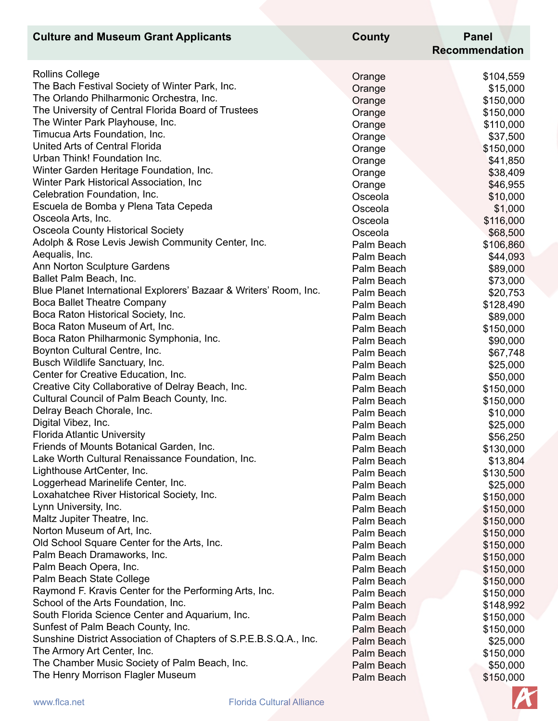| <b>Culture and Museum Grant Applicants</b>                        | <b>County</b> | <b>Panel</b><br><b>Recommendation</b> |
|-------------------------------------------------------------------|---------------|---------------------------------------|
| <b>Rollins College</b>                                            | Orange        | \$104,559                             |
| The Bach Festival Society of Winter Park, Inc.                    | Orange        | \$15,000                              |
| The Orlando Philharmonic Orchestra, Inc.                          | Orange        | \$150,000                             |
| The University of Central Florida Board of Trustees               | Orange        | \$150,000                             |
| The Winter Park Playhouse, Inc.                                   | Orange        | \$110,000                             |
| Timucua Arts Foundation, Inc.                                     | Orange        | \$37,500                              |
| United Arts of Central Florida                                    | Orange        | \$150,000                             |
| Urban Think! Foundation Inc.                                      | Orange        | \$41,850                              |
| Winter Garden Heritage Foundation, Inc.                           | Orange        | \$38,409                              |
| Winter Park Historical Association, Inc                           | Orange        | \$46,955                              |
| Celebration Foundation, Inc.                                      | Osceola       | \$10,000                              |
| Escuela de Bomba y Plena Tata Cepeda                              | Osceola       | \$1,000                               |
| Osceola Arts, Inc.                                                | Osceola       | \$116,000                             |
| <b>Osceola County Historical Society</b>                          | Osceola       | \$68,500                              |
| Adolph & Rose Levis Jewish Community Center, Inc.                 | Palm Beach    | \$106,860                             |
| Aequalis, Inc.                                                    | Palm Beach    | \$44,093                              |
| Ann Norton Sculpture Gardens                                      | Palm Beach    | \$89,000                              |
| Ballet Palm Beach, Inc.                                           | Palm Beach    | \$73,000                              |
| Blue Planet International Explorers' Bazaar & Writers' Room, Inc. | Palm Beach    | \$20,753                              |
| <b>Boca Ballet Theatre Company</b>                                | Palm Beach    | \$128,490                             |
| Boca Raton Historical Society, Inc.                               | Palm Beach    | \$89,000                              |
| Boca Raton Museum of Art, Inc.                                    | Palm Beach    | \$150,000                             |
| Boca Raton Philharmonic Symphonia, Inc.                           | Palm Beach    | \$90,000                              |
| Boynton Cultural Centre, Inc.                                     | Palm Beach    | \$67,748                              |
| Busch Wildlife Sanctuary, Inc.                                    | Palm Beach    | \$25,000                              |
| Center for Creative Education, Inc.                               | Palm Beach    | \$50,000                              |
| Creative City Collaborative of Delray Beach, Inc.                 | Palm Beach    | \$150,000                             |
| Cultural Council of Palm Beach County, Inc.                       | Palm Beach    | \$150,000                             |
| Delray Beach Chorale, Inc.                                        | Palm Beach    | \$10,000                              |
| Digital Vibez, Inc.                                               | Palm Beach    | \$25,000                              |
| <b>Florida Atlantic University</b>                                | Palm Beach    | \$56,250                              |
| Friends of Mounts Botanical Garden, Inc.                          | Palm Beach    | \$130,000                             |
| Lake Worth Cultural Renaissance Foundation, Inc.                  | Palm Beach    | \$13,804                              |
| Lighthouse ArtCenter, Inc.                                        | Palm Beach    | \$130,500                             |
| Loggerhead Marinelife Center, Inc.                                | Palm Beach    | \$25,000                              |
| Loxahatchee River Historical Society, Inc.                        | Palm Beach    | \$150,000                             |
| Lynn University, Inc.                                             | Palm Beach    | \$150,000                             |
| Maltz Jupiter Theatre, Inc.                                       | Palm Beach    | \$150,000                             |
| Norton Museum of Art, Inc.                                        | Palm Beach    | \$150,000                             |
| Old School Square Center for the Arts, Inc.                       | Palm Beach    | \$150,000                             |
| Palm Beach Dramaworks, Inc.                                       | Palm Beach    | \$150,000                             |
| Palm Beach Opera, Inc.                                            | Palm Beach    | \$150,000                             |
| Palm Beach State College                                          | Palm Beach    | \$150,000                             |
| Raymond F. Kravis Center for the Performing Arts, Inc.            | Palm Beach    | \$150,000                             |
| School of the Arts Foundation, Inc.                               | Palm Beach    | \$148,992                             |
| South Florida Science Center and Aquarium, Inc.                   | Palm Beach    | \$150,000                             |
| Sunfest of Palm Beach County, Inc.                                | Palm Beach    | \$150,000                             |
| Sunshine District Association of Chapters of S.P.E.B.S.Q.A., Inc. | Palm Beach    | \$25,000                              |
| The Armory Art Center, Inc.                                       | Palm Beach    | \$150,000                             |
| The Chamber Music Society of Palm Beach, Inc.                     | Palm Beach    | \$50,000                              |
| The Henry Morrison Flagler Museum                                 | Palm Beach    | \$150,000                             |

 $\boldsymbol{\mathcal{K}}$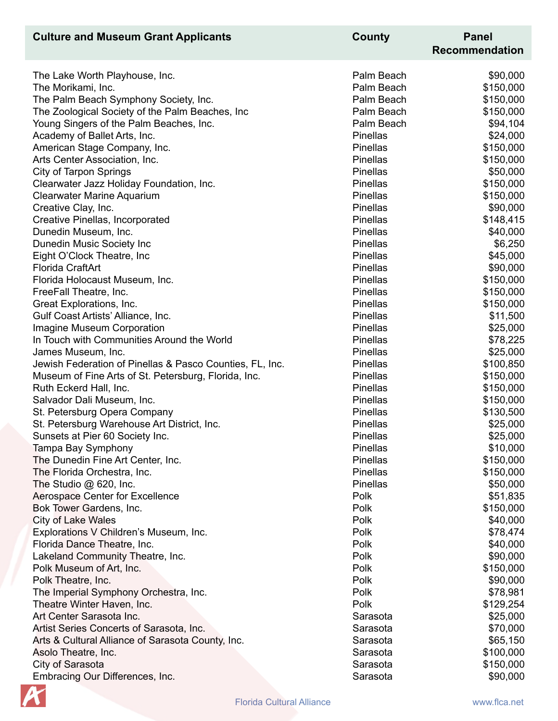| <b>Culture and Museum Grant Applicants</b>                 | <b>County</b>                      | <b>Panel</b><br><b>Recommendation</b> |
|------------------------------------------------------------|------------------------------------|---------------------------------------|
| The Lake Worth Playhouse, Inc.                             | Palm Beach                         | \$90,000                              |
| The Morikami, Inc.                                         | Palm Beach                         | \$150,000                             |
| The Palm Beach Symphony Society, Inc.                      | Palm Beach                         | \$150,000                             |
| The Zoological Society of the Palm Beaches, Inc            | Palm Beach                         | \$150,000                             |
| Young Singers of the Palm Beaches, Inc.                    | Palm Beach                         | \$94,104                              |
| Academy of Ballet Arts, Inc.                               | <b>Pinellas</b>                    | \$24,000                              |
| American Stage Company, Inc.                               | <b>Pinellas</b>                    | \$150,000                             |
| Arts Center Association, Inc.                              | <b>Pinellas</b>                    | \$150,000                             |
| <b>City of Tarpon Springs</b>                              | <b>Pinellas</b>                    | \$50,000                              |
| Clearwater Jazz Holiday Foundation, Inc.                   | <b>Pinellas</b>                    | \$150,000                             |
| <b>Clearwater Marine Aquarium</b>                          | <b>Pinellas</b>                    | \$150,000                             |
| Creative Clay, Inc.                                        | <b>Pinellas</b>                    | \$90,000                              |
| Creative Pinellas, Incorporated                            | <b>Pinellas</b>                    | \$148,415                             |
| Dunedin Museum, Inc.                                       | <b>Pinellas</b>                    | \$40,000                              |
| Dunedin Music Society Inc                                  | <b>Pinellas</b>                    | \$6,250                               |
| Eight O'Clock Theatre, Inc                                 | <b>Pinellas</b>                    | \$45,000                              |
| <b>Florida CraftArt</b>                                    | <b>Pinellas</b>                    | \$90,000                              |
| Florida Holocaust Museum, Inc.                             | <b>Pinellas</b>                    | \$150,000                             |
| FreeFall Theatre, Inc.                                     | <b>Pinellas</b>                    | \$150,000                             |
| Great Explorations, Inc.                                   | <b>Pinellas</b>                    | \$150,000                             |
| Gulf Coast Artists' Alliance, Inc.                         | <b>Pinellas</b>                    | \$11,500                              |
| Imagine Museum Corporation                                 | <b>Pinellas</b>                    | \$25,000                              |
| In Touch with Communities Around the World                 | <b>Pinellas</b>                    | \$78,225                              |
| James Museum, Inc.                                         | <b>Pinellas</b>                    | \$25,000                              |
| Jewish Federation of Pinellas & Pasco Counties, FL, Inc.   | Pinellas                           | \$100,850                             |
| Museum of Fine Arts of St. Petersburg, Florida, Inc.       | <b>Pinellas</b>                    | \$150,000                             |
| Ruth Eckerd Hall, Inc.                                     | <b>Pinellas</b>                    | \$150,000                             |
| Salvador Dali Museum, Inc.                                 | <b>Pinellas</b>                    | \$150,000                             |
| St. Petersburg Opera Company                               | <b>Pinellas</b>                    | \$130,500                             |
| St. Petersburg Warehouse Art District, Inc.                | <b>Pinellas</b>                    | \$25,000                              |
| Sunsets at Pier 60 Society Inc.                            | Pinellas                           | \$25,000                              |
| Tampa Bay Symphony                                         | <b>Pinellas</b>                    | \$10,000                              |
| The Dunedin Fine Art Center, Inc.                          | <b>Pinellas</b>                    | \$150,000                             |
| The Florida Orchestra, Inc.                                | <b>Pinellas</b><br><b>Pinellas</b> | \$150,000                             |
| The Studio $@620$ , Inc.                                   | Polk                               | \$50,000<br>\$51,835                  |
| Aerospace Center for Excellence<br>Bok Tower Gardens, Inc. | Polk                               | \$150,000                             |
| <b>City of Lake Wales</b>                                  | Polk                               | \$40,000                              |
| Explorations V Children's Museum, Inc.                     | Polk                               | \$78,474                              |
| Florida Dance Theatre, Inc.                                | Polk                               | \$40,000                              |
| Lakeland Community Theatre, Inc.                           | Polk                               | \$90,000                              |
| Polk Museum of Art, Inc.                                   | Polk                               | \$150,000                             |
| Polk Theatre, Inc.                                         | Polk                               | \$90,000                              |
| The Imperial Symphony Orchestra, Inc.                      | Polk                               | \$78,981                              |
| Theatre Winter Haven, Inc.                                 | Polk                               | \$129,254                             |
| Art Center Sarasota Inc.                                   | Sarasota                           | \$25,000                              |
| Artist Series Concerts of Sarasota, Inc.                   | Sarasota                           | \$70,000                              |
| Arts & Cultural Alliance of Sarasota County, Inc.          | Sarasota                           | \$65,150                              |
| Asolo Theatre, Inc.                                        | Sarasota                           | \$100,000                             |
| City of Sarasota                                           | Sarasota                           | \$150,000                             |
| Embracing Our Differences, Inc.                            | Sarasota                           | \$90,000                              |

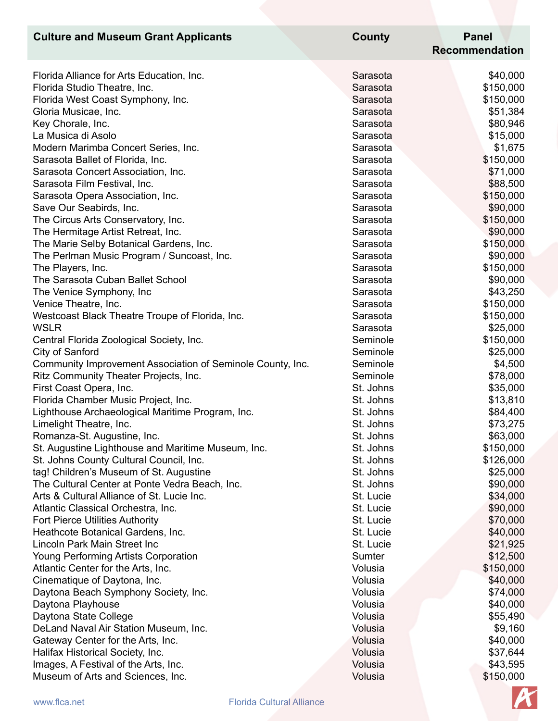| <b>Culture and Museum Grant Applicants</b>                 | County    | <b>Panel</b><br><b>Recommendation</b> |
|------------------------------------------------------------|-----------|---------------------------------------|
|                                                            |           |                                       |
| Florida Alliance for Arts Education, Inc.                  | Sarasota  | \$40,000                              |
| Florida Studio Theatre, Inc.                               | Sarasota  | \$150,000                             |
| Florida West Coast Symphony, Inc.                          | Sarasota  | \$150,000                             |
| Gloria Musicae, Inc.                                       | Sarasota  | \$51,384                              |
| Key Chorale, Inc.                                          | Sarasota  | \$80,946                              |
| La Musica di Asolo                                         | Sarasota  | \$15,000                              |
| Modern Marimba Concert Series, Inc.                        | Sarasota  | \$1,675                               |
| Sarasota Ballet of Florida, Inc.                           | Sarasota  | \$150,000                             |
| Sarasota Concert Association, Inc.                         | Sarasota  | \$71,000                              |
| Sarasota Film Festival, Inc.                               | Sarasota  | \$88,500                              |
| Sarasota Opera Association, Inc.                           | Sarasota  | \$150,000                             |
| Save Our Seabirds, Inc.                                    | Sarasota  | \$90,000                              |
| The Circus Arts Conservatory, Inc.                         | Sarasota  | \$150,000                             |
| The Hermitage Artist Retreat, Inc.                         | Sarasota  | \$90,000                              |
| The Marie Selby Botanical Gardens, Inc.                    | Sarasota  | \$150,000                             |
| The Perlman Music Program / Suncoast, Inc.                 | Sarasota  | \$90,000                              |
| The Players, Inc.                                          | Sarasota  | \$150,000                             |
| The Sarasota Cuban Ballet School                           | Sarasota  | \$90,000                              |
| The Venice Symphony, Inc                                   | Sarasota  | \$43,250                              |
| Venice Theatre, Inc.                                       | Sarasota  | \$150,000                             |
| Westcoast Black Theatre Troupe of Florida, Inc.            | Sarasota  | \$150,000                             |
| <b>WSLR</b>                                                | Sarasota  | \$25,000                              |
| Central Florida Zoological Society, Inc.                   | Seminole  | \$150,000                             |
| City of Sanford                                            | Seminole  | \$25,000                              |
| Community Improvement Association of Seminole County, Inc. | Seminole  | \$4,500                               |
| Ritz Community Theater Projects, Inc.                      | Seminole  | \$78,000                              |
| First Coast Opera, Inc.                                    | St. Johns | \$35,000                              |
| Florida Chamber Music Project, Inc.                        | St. Johns | \$13,810                              |
| Lighthouse Archaeological Maritime Program, Inc.           | St. Johns | \$84,400                              |
| Limelight Theatre, Inc.                                    | St. Johns | \$73,275                              |
| Romanza-St. Augustine, Inc.                                | St. Johns | \$63,000                              |
| St. Augustine Lighthouse and Maritime Museum, Inc.         | St. Johns | \$150,000                             |
| St. Johns County Cultural Council, Inc.                    | St. Johns | \$126,000                             |
| tag! Children's Museum of St. Augustine                    | St. Johns | \$25,000                              |
| The Cultural Center at Ponte Vedra Beach, Inc.             | St. Johns | \$90,000                              |
| Arts & Cultural Alliance of St. Lucie Inc.                 | St. Lucie | \$34,000                              |
| Atlantic Classical Orchestra, Inc.                         | St. Lucie | \$90,000                              |
| <b>Fort Pierce Utilities Authority</b>                     | St. Lucie | \$70,000                              |
| Heathcote Botanical Gardens, Inc.                          | St. Lucie | \$40,000                              |
| Lincoln Park Main Street Inc                               | St. Lucie | \$21,925                              |
| <b>Young Performing Artists Corporation</b>                | Sumter    | \$12,500                              |
| Atlantic Center for the Arts, Inc.                         | Volusia   | \$150,000                             |
| Cinematique of Daytona, Inc.                               | Volusia   | \$40,000                              |
| Daytona Beach Symphony Society, Inc.                       | Volusia   | \$74,000                              |
| Daytona Playhouse                                          | Volusia   | \$40,000                              |
| Daytona State College                                      | Volusia   | \$55,490                              |
| DeLand Naval Air Station Museum, Inc.                      | Volusia   | \$9,160                               |
| Gateway Center for the Arts, Inc.                          | Volusia   | \$40,000                              |
| Halifax Historical Society, Inc.                           | Volusia   | \$37,644                              |
| Images, A Festival of the Arts, Inc.                       | Volusia   | \$43,595                              |
| Museum of Arts and Sciences, Inc.                          | Volusia   | \$150,000                             |
|                                                            |           |                                       |

 $\boldsymbol{\mathcal{K}}$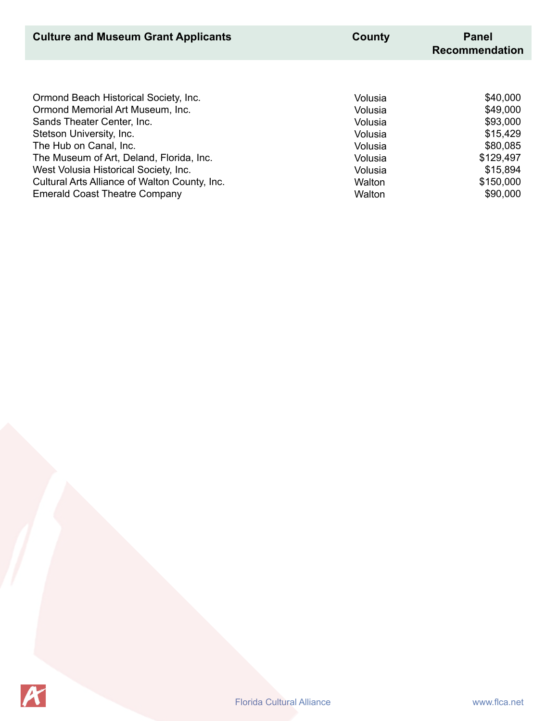| <b>Culture and Museum Grant Applicants</b>    | County  | <b>Panel</b><br><b>Recommendation</b> |
|-----------------------------------------------|---------|---------------------------------------|
|                                               |         |                                       |
| Ormond Beach Historical Society, Inc.         | Volusia | \$40,000                              |
| Ormond Memorial Art Museum, Inc.              | Volusia | \$49,000                              |
| Sands Theater Center, Inc.                    | Volusia | \$93,000                              |
| Stetson University, Inc.                      | Volusia | \$15,429                              |
| The Hub on Canal, Inc.                        | Volusia | \$80,085                              |
| The Museum of Art, Deland, Florida, Inc.      | Volusia | \$129,497                             |
| West Volusia Historical Society, Inc.         | Volusia | \$15,894                              |
| Cultural Arts Alliance of Walton County, Inc. | Walton  | \$150,000                             |
| <b>Emerald Coast Theatre Company</b>          | Walton  | \$90,000                              |

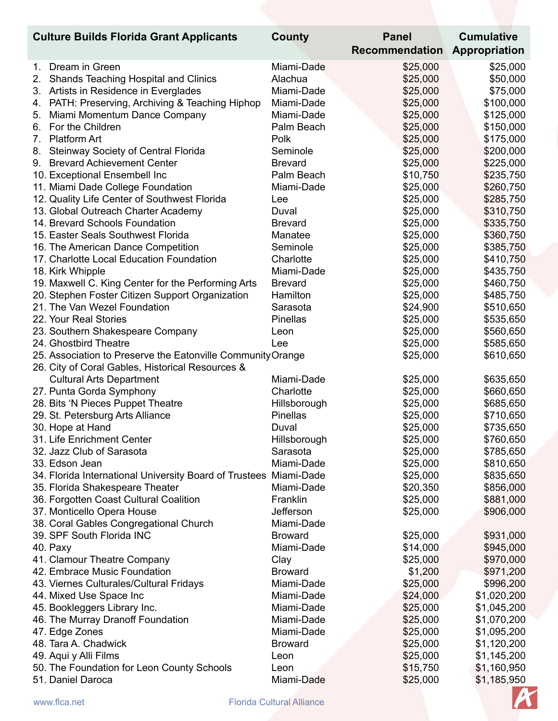<span id="page-16-0"></span>

|    | <b>Culture Builds Florida Grant Applicants</b>                    | County                          | <b>Panel</b>          | <b>Cumulative</b>      |
|----|-------------------------------------------------------------------|---------------------------------|-----------------------|------------------------|
|    |                                                                   |                                 | <b>Recommendation</b> | <b>Appropriation</b>   |
| 1. | Dream in Green                                                    | Miami-Dade                      | \$25,000              | \$25,000               |
| 2. | <b>Shands Teaching Hospital and Clinics</b>                       | Alachua                         | \$25,000              | \$50,000               |
| 3. | Artists in Residence in Everglades                                | Miami-Dade                      | \$25,000              | \$75,000               |
| 4. | PATH: Preserving, Archiving & Teaching Hiphop                     | Miami-Dade                      | \$25,000              | \$100,000              |
| 5. | Miami Momentum Dance Company                                      | Miami-Dade                      | \$25,000              | \$125,000              |
| 6. | For the Children                                                  | Palm Beach                      | \$25,000              | \$150,000              |
| 7. | <b>Platform Art</b>                                               | Polk                            | \$25,000              | \$175,000              |
| 8. | Steinway Society of Central Florida                               | Seminole                        | \$25,000              | \$200,000              |
| 9. | <b>Brevard Achievement Center</b>                                 | <b>Brevard</b>                  | \$25,000              | \$225,000              |
|    | 10. Exceptional Ensembell Inc                                     | Palm Beach                      | \$10,750              | \$235,750              |
|    | 11. Miami Dade College Foundation                                 | Miami-Dade                      | \$25,000              | \$260,750              |
|    | 12. Quality Life Center of Southwest Florida                      | Lee                             | \$25,000              | \$285,750              |
|    | 13. Global Outreach Charter Academy                               | Duval                           | \$25,000              | \$310,750              |
|    | 14. Brevard Schools Foundation                                    | <b>Brevard</b>                  | \$25,000              | \$335,750              |
|    | 15. Easter Seals Southwest Florida                                | Manatee                         | \$25,000              | \$360,750              |
|    | 16. The American Dance Competition                                | Seminole                        | \$25,000              | \$385,750              |
|    | 17. Charlotte Local Education Foundation                          | Charlotte                       | \$25,000              | \$410,750              |
|    | 18. Kirk Whipple                                                  | Miami-Dade                      | \$25,000              | \$435,750              |
|    | 19. Maxwell C. King Center for the Performing Arts                | <b>Brevard</b>                  | \$25,000              | \$460,750              |
|    | 20. Stephen Foster Citizen Support Organization                   | Hamilton                        | \$25,000              | \$485,750              |
|    | 21. The Van Wezel Foundation                                      | Sarasota                        | \$24,900              | \$510,650              |
|    | 22. Your Real Stories                                             | Pinellas                        | \$25,000              | \$535,650              |
|    | 23. Southern Shakespeare Company                                  | Leon                            | \$25,000              | \$560,650              |
|    | 24. Ghostbird Theatre                                             | Lee                             | \$25,000              | \$585,650              |
|    | 25. Association to Preserve the Eatonville Community Orange       |                                 | \$25,000              | \$610,650              |
|    | 26. City of Coral Gables, Historical Resources &                  |                                 |                       |                        |
|    | <b>Cultural Arts Department</b>                                   | Miami-Dade                      | \$25,000              | \$635,650              |
|    |                                                                   | Charlotte                       | \$25,000              | \$660,650              |
|    | 27. Punta Gorda Symphony<br>28. Bits 'N Pieces Puppet Theatre     |                                 | \$25,000              | \$685,650              |
|    | 29. St. Petersburg Arts Alliance                                  | Hillsborough<br><b>Pinellas</b> | \$25,000              |                        |
|    |                                                                   | Duval                           | \$25,000              | \$710,650<br>\$735,650 |
|    | 30. Hope at Hand                                                  |                                 |                       |                        |
|    | 31. Life Enrichment Center<br>32. Jazz Club of Sarasota           | Hillsborough                    | \$25,000              | \$760,650              |
|    |                                                                   | Sarasota<br>Miami-Dade          | \$25,000              | \$785,650              |
|    | 33. Edson Jean                                                    |                                 | \$25,000              | \$810,650              |
|    | 34. Florida International University Board of Trustees Miami-Dade | Miami-Dade                      | \$25,000              | \$835,650              |
|    | 35. Florida Shakespeare Theater                                   |                                 | \$20,350              | \$856,000              |
|    | 36. Forgotten Coast Cultural Coalition                            | Franklin                        | \$25,000              | \$881,000              |
|    | 37. Monticello Opera House                                        | Jefferson                       | \$25,000              | \$906,000              |
|    | 38. Coral Gables Congregational Church                            | Miami-Dade                      |                       |                        |
|    | 39. SPF South Florida INC                                         | <b>Broward</b>                  | \$25,000              | \$931,000              |
|    | 40. Paxy                                                          | Miami-Dade                      | \$14,000              | \$945,000              |
|    | 41. Clamour Theatre Company                                       | Clay                            | \$25,000              | \$970,000              |
|    | 42. Embrace Music Foundation                                      | <b>Broward</b>                  | \$1,200               | \$971,200              |
|    | 43. Viernes Culturales/Cultural Fridays                           | Miami-Dade                      | \$25,000              | \$996,200              |
|    | 44. Mixed Use Space Inc                                           | Miami-Dade                      | \$24,000              | \$1,020,200            |
|    | 45. Bookleggers Library Inc.                                      | Miami-Dade                      | \$25,000              | \$1,045,200            |
|    | 46. The Murray Dranoff Foundation                                 | Miami-Dade                      | \$25,000              | \$1,070,200            |
|    | 47. Edge Zones                                                    | Miami-Dade                      | \$25,000              | \$1,095,200            |
|    | 48. Tara A. Chadwick                                              | <b>Broward</b>                  | \$25,000              | \$1,120,200            |
|    | 49. Aqui y Alli Films                                             | Leon                            | \$25,000              | \$1,145,200            |
|    | 50. The Foundation for Leon County Schools                        | Leon                            | \$15,750              | \$1,160,950            |
|    | 51. Daniel Daroca                                                 | Miami-Dade                      | \$25,000              | \$1,185,950            |

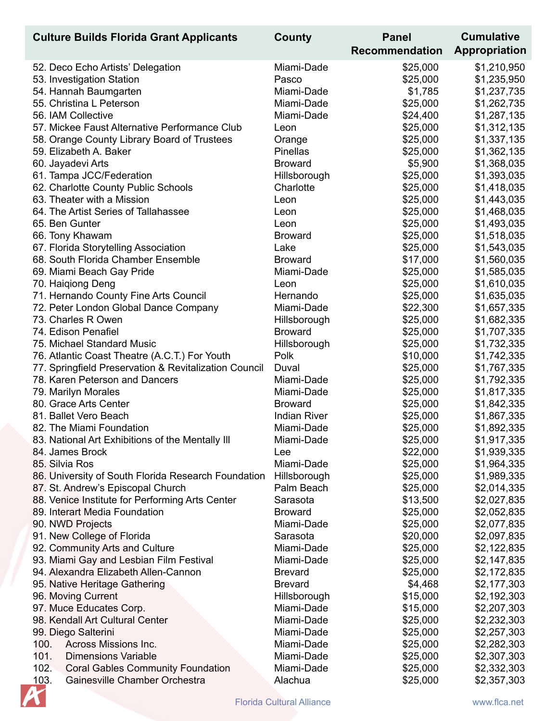| <b>Culture Builds Florida Grant Applicants</b>        | County              | <b>Panel</b>          | <b>Cumulative</b> |
|-------------------------------------------------------|---------------------|-----------------------|-------------------|
|                                                       |                     | <b>Recommendation</b> | Appropriation     |
| 52. Deco Echo Artists' Delegation                     | Miami-Dade          | \$25,000              | \$1,210,950       |
| 53. Investigation Station                             | Pasco               | \$25,000              | \$1,235,950       |
| 54. Hannah Baumgarten                                 | Miami-Dade          | \$1,785               | \$1,237,735       |
| 55. Christina L Peterson                              | Miami-Dade          | \$25,000              | \$1,262,735       |
| 56. IAM Collective                                    | Miami-Dade          | \$24,400              | \$1,287,135       |
| 57. Mickee Faust Alternative Performance Club         | Leon                | \$25,000              | \$1,312,135       |
| 58. Orange County Library Board of Trustees           | Orange              | \$25,000              | \$1,337,135       |
| 59. Elizabeth A. Baker                                | <b>Pinellas</b>     | \$25,000              | \$1,362,135       |
| 60. Jayadevi Arts                                     | <b>Broward</b>      | \$5,900               | \$1,368,035       |
| 61. Tampa JCC/Federation                              | Hillsborough        | \$25,000              | \$1,393,035       |
| 62. Charlotte County Public Schools                   | Charlotte           | \$25,000              | \$1,418,035       |
| 63. Theater with a Mission                            | Leon                | \$25,000              | \$1,443,035       |
| 64. The Artist Series of Tallahassee                  | Leon                | \$25,000              | \$1,468,035       |
| 65. Ben Gunter                                        | Leon                | \$25,000              | \$1,493,035       |
| 66. Tony Khawam                                       | <b>Broward</b>      | \$25,000              | \$1,518,035       |
| 67. Florida Storytelling Association                  | Lake                | \$25,000              | \$1,543,035       |
| 68. South Florida Chamber Ensemble                    | <b>Broward</b>      | \$17,000              | \$1,560,035       |
| 69. Miami Beach Gay Pride                             | Miami-Dade          | \$25,000              | \$1,585,035       |
| 70. Haigiong Deng                                     | Leon                | \$25,000              | \$1,610,035       |
| 71. Hernando County Fine Arts Council                 | Hernando            | \$25,000              | \$1,635,035       |
| 72. Peter London Global Dance Company                 | Miami-Dade          | \$22,300              | \$1,657,335       |
| 73. Charles R Owen                                    | Hillsborough        | \$25,000              | \$1,682,335       |
| 74. Edison Penafiel                                   | <b>Broward</b>      | \$25,000              | \$1,707,335       |
| 75. Michael Standard Music                            | Hillsborough        | \$25,000              | \$1,732,335       |
| 76. Atlantic Coast Theatre (A.C.T.) For Youth         | Polk                | \$10,000              | \$1,742,335       |
| 77. Springfield Preservation & Revitalization Council | Duval               | \$25,000              | \$1,767,335       |
| 78. Karen Peterson and Dancers                        | Miami-Dade          | \$25,000              | \$1,792,335       |
| 79. Marilyn Morales                                   | Miami-Dade          | \$25,000              | \$1,817,335       |
| 80. Grace Arts Center                                 | <b>Broward</b>      | \$25,000              | \$1,842,335       |
| 81. Ballet Vero Beach                                 | <b>Indian River</b> | \$25,000              | \$1,867,335       |
| 82. The Miami Foundation                              | Miami-Dade          | \$25,000              | \$1,892,335       |
| 83. National Art Exhibitions of the Mentally III      | Miami-Dade          | \$25,000              | \$1,917,335       |
| 84. James Brock                                       | Lee                 | \$22,000              | \$1,939,335       |
| 85. Silvia Ros                                        | Miami-Dade          | \$25,000              | \$1,964,335       |
| 86. University of South Florida Research Foundation   | Hillsborough        | \$25,000              | \$1,989,335       |
| 87. St. Andrew's Episcopal Church                     | Palm Beach          | \$25,000              | \$2,014,335       |
| 88. Venice Institute for Performing Arts Center       | Sarasota            | \$13,500              | \$2,027,835       |
| 89. Interart Media Foundation                         | <b>Broward</b>      | \$25,000              | \$2,052,835       |
| 90. NWD Projects                                      | Miami-Dade          | \$25,000              | \$2,077,835       |
| 91. New College of Florida                            | Sarasota            | \$20,000              | \$2,097,835       |
| 92. Community Arts and Culture                        | Miami-Dade          | \$25,000              | \$2,122,835       |
| 93. Miami Gay and Lesbian Film Festival               | Miami-Dade          | \$25,000              | \$2,147,835       |
| 94. Alexandra Elizabeth Allen-Cannon                  | <b>Brevard</b>      | \$25,000              | \$2,172,835       |
| 95. Native Heritage Gathering                         | <b>Brevard</b>      | \$4,468               | \$2,177,303       |
| 96. Moving Current                                    | Hillsborough        | \$15,000              | \$2,192,303       |
| 97. Muce Educates Corp.                               | Miami-Dade          | \$15,000              | \$2,207,303       |
| 98. Kendall Art Cultural Center                       | Miami-Dade          | \$25,000              | \$2,232,303       |
| 99. Diego Salterini                                   | Miami-Dade          | \$25,000              | \$2,257,303       |
| 100.<br>Across Missions Inc.                          | Miami-Dade          | \$25,000              | \$2,282,303       |
| 101.<br><b>Dimensions Variable</b>                    | Miami-Dade          | \$25,000              | \$2,307,303       |
| 102.<br><b>Coral Gables Community Foundation</b>      | Miami-Dade          | \$25,000              | \$2,332,303       |
| 103.<br>Gainesville Chamber Orchestra                 | Alachua             | \$25,000              | \$2,357,303       |

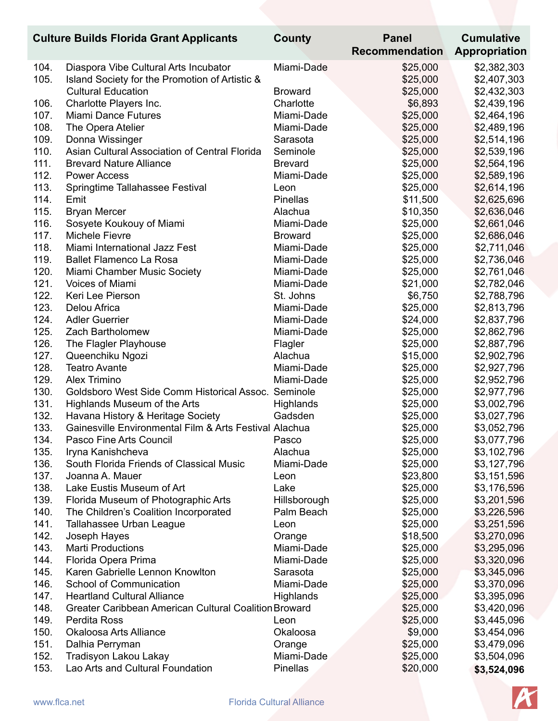|      | <b>Culture Builds Florida Grant Applicants</b>         | County          | <b>Panel</b>          | <b>Cumulative</b>    |
|------|--------------------------------------------------------|-----------------|-----------------------|----------------------|
|      |                                                        |                 | <b>Recommendation</b> | <b>Appropriation</b> |
| 104. | Diaspora Vibe Cultural Arts Incubator                  | Miami-Dade      | \$25,000              | \$2,382,303          |
| 105. | Island Society for the Promotion of Artistic &         |                 | \$25,000              | \$2,407,303          |
|      | <b>Cultural Education</b>                              | <b>Broward</b>  | \$25,000              | \$2,432,303          |
| 106. | Charlotte Players Inc.                                 | Charlotte       | \$6,893               | \$2,439,196          |
| 107. | <b>Miami Dance Futures</b>                             | Miami-Dade      | \$25,000              | \$2,464,196          |
| 108. | The Opera Atelier                                      | Miami-Dade      | \$25,000              | \$2,489,196          |
| 109. | Donna Wissinger                                        | Sarasota        | \$25,000              | \$2,514,196          |
| 110. | Asian Cultural Association of Central Florida          | Seminole        | \$25,000              | \$2,539,196          |
| 111. | <b>Brevard Nature Alliance</b>                         | <b>Brevard</b>  | \$25,000              | \$2,564,196          |
| 112. | <b>Power Access</b>                                    | Miami-Dade      | \$25,000              | \$2,589,196          |
| 113. | Springtime Tallahassee Festival                        | Leon            | \$25,000              | \$2,614,196          |
| 114. | Emit                                                   | <b>Pinellas</b> | \$11,500              | \$2,625,696          |
| 115. | <b>Bryan Mercer</b>                                    | Alachua         | \$10,350              | \$2,636,046          |
| 116. | Sosyete Koukouy of Miami                               | Miami-Dade      | \$25,000              | \$2,661,046          |
| 117. | Michele Fievre                                         | <b>Broward</b>  | \$25,000              | \$2,686,046          |
| 118. | Miami International Jazz Fest                          | Miami-Dade      | \$25,000              | \$2,711,046          |
| 119. | <b>Ballet Flamenco La Rosa</b>                         | Miami-Dade      | \$25,000              | \$2,736,046          |
| 120. | Miami Chamber Music Society                            | Miami-Dade      | \$25,000              | \$2,761,046          |
| 121. | Voices of Miami                                        | Miami-Dade      | \$21,000              | \$2,782,046          |
| 122. | Keri Lee Pierson                                       | St. Johns       | \$6,750               | \$2,788,796          |
| 123. | Delou Africa                                           | Miami-Dade      | \$25,000              | \$2,813,796          |
| 124. | <b>Adler Guerrier</b>                                  | Miami-Dade      | \$24,000              | \$2,837,796          |
| 125. | Zach Bartholomew                                       | Miami-Dade      | \$25,000              | \$2,862,796          |
| 126. | The Flagler Playhouse                                  | Flagler         | \$25,000              | \$2,887,796          |
| 127. | Queenchiku Ngozi                                       | Alachua         | \$15,000              | \$2,902,796          |
| 128. | <b>Teatro Avante</b>                                   | Miami-Dade      | \$25,000              | \$2,927,796          |
| 129. | Alex Trimino                                           | Miami-Dade      | \$25,000              | \$2,952,796          |
| 130. | Goldsboro West Side Comm Historical Assoc. Seminole    |                 | \$25,000              | \$2,977,796          |
| 131. | Highlands Museum of the Arts                           | Highlands       | \$25,000              | \$3,002,796          |
| 132. | Havana History & Heritage Society                      | Gadsden         | \$25,000              | \$3,027,796          |
| 133. | Gainesville Environmental Film & Arts Festival Alachua |                 | \$25,000              | \$3,052,796          |
| 134. | Pasco Fine Arts Council                                | Pasco           | \$25,000              | \$3,077,796          |
| 135. | Iryna Kanishcheva                                      | Alachua         | \$25,000              | \$3,102,796          |
| 136. | South Florida Friends of Classical Music               | Miami-Dade      | \$25,000              |                      |
| 137. | Joanna A. Mauer                                        |                 |                       | \$3,127,796          |
| 138. | Lake Eustis Museum of Art                              | Leon<br>Lake    | \$23,800              | \$3,151,596          |
|      |                                                        |                 | \$25,000              | \$3,176,596          |
| 139. | Florida Museum of Photographic Arts                    | Hillsborough    | \$25,000              | \$3,201,596          |
| 140. | The Children's Coalition Incorporated                  | Palm Beach      | \$25,000              | \$3,226,596          |
| 141. | Tallahassee Urban League                               | Leon            | \$25,000              | \$3,251,596          |
| 142. | Joseph Hayes                                           | Orange          | \$18,500              | \$3,270,096          |
| 143. | <b>Marti Productions</b>                               | Miami-Dade      | \$25,000              | \$3,295,096          |
| 144. | Florida Opera Prima                                    | Miami-Dade      | \$25,000              | \$3,320,096          |
| 145. | Karen Gabrielle Lennon Knowlton                        | Sarasota        | \$25,000              | \$3,345,096          |
| 146. | <b>School of Communication</b>                         | Miami-Dade      | \$25,000              | \$3,370,096          |
| 147. | <b>Heartland Cultural Alliance</b>                     | Highlands       | \$25,000              | \$3,395,096          |
| 148. | Greater Caribbean American Cultural Coalition Broward  |                 | \$25,000              | \$3,420,096          |
| 149. | Perdita Ross                                           | Leon            | \$25,000              | \$3,445,096          |
| 150. | Okaloosa Arts Alliance                                 | Okaloosa        | \$9,000               | \$3,454,096          |
| 151. | Dalhia Perryman                                        | Orange          | \$25,000              | \$3,479,096          |
| 152. | Tradisyon Lakou Lakay                                  | Miami-Dade      | \$25,000              | \$3,504,096          |
| 153. | Lao Arts and Cultural Foundation                       | <b>Pinellas</b> | \$20,000              | \$3,524,096          |

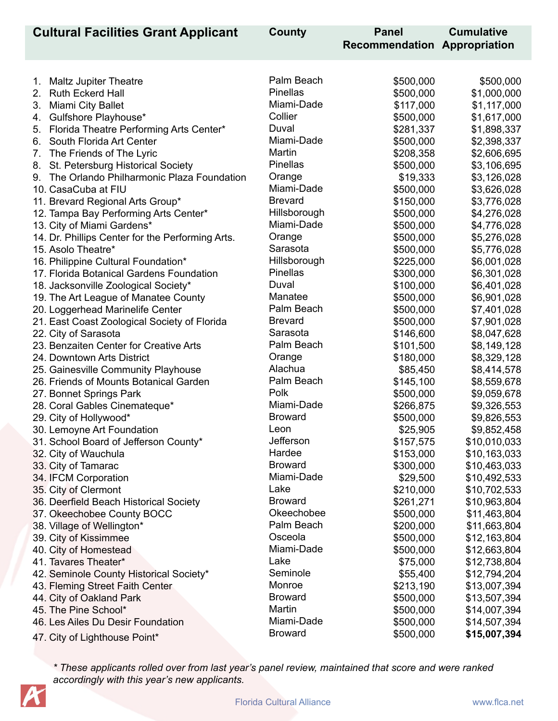<span id="page-19-0"></span>

| <b>Cultural Facilities Grant Applicant</b>                          | County               | <b>Panel</b>                        | <b>Cumulative</b> |
|---------------------------------------------------------------------|----------------------|-------------------------------------|-------------------|
|                                                                     |                      | <b>Recommendation Appropriation</b> |                   |
|                                                                     |                      |                                     |                   |
|                                                                     | Palm Beach           | \$500,000                           | \$500,000         |
| <b>Maltz Jupiter Theatre</b><br>1.<br>2.<br><b>Ruth Eckerd Hall</b> | <b>Pinellas</b>      |                                     | \$1,000,000       |
|                                                                     | Miami-Dade           | \$500,000                           |                   |
| Miami City Ballet<br>3.                                             | Collier              | \$117,000                           | \$1,117,000       |
| Gulfshore Playhouse*<br>4.                                          | Duval                | \$500,000<br>\$281,337              | \$1,617,000       |
| Florida Theatre Performing Arts Center*<br>5.                       | Miami-Dade           |                                     | \$1,898,337       |
| South Florida Art Center<br>6.                                      | Martin               | \$500,000                           | \$2,398,337       |
| The Friends of The Lyric<br>7.                                      | Pinellas             | \$208,358                           | \$2,606,695       |
| St. Petersburg Historical Society<br>8.                             |                      | \$500,000                           | \$3,106,695       |
| The Orlando Philharmonic Plaza Foundation<br>9.                     | Orange<br>Miami-Dade | \$19,333                            | \$3,126,028       |
| 10. CasaCuba at FIU                                                 |                      | \$500,000                           | \$3,626,028       |
| 11. Brevard Regional Arts Group*                                    | <b>Brevard</b>       | \$150,000                           | \$3,776,028       |
| 12. Tampa Bay Performing Arts Center*                               | Hillsborough         | \$500,000                           | \$4,276,028       |
| 13. City of Miami Gardens*                                          | Miami-Dade           | \$500,000                           | \$4,776,028       |
| 14. Dr. Phillips Center for the Performing Arts.                    | Orange               | \$500,000                           | \$5,276,028       |
| 15. Asolo Theatre*                                                  | Sarasota             | \$500,000                           | \$5,776,028       |
| 16. Philippine Cultural Foundation*                                 | Hillsborough         | \$225,000                           | \$6,001,028       |
| 17. Florida Botanical Gardens Foundation                            | <b>Pinellas</b>      | \$300,000                           | \$6,301,028       |
| 18. Jacksonville Zoological Society*                                | Duval                | \$100,000                           | \$6,401,028       |
| 19. The Art League of Manatee County                                | Manatee              | \$500,000                           | \$6,901,028       |
| 20. Loggerhead Marinelife Center                                    | Palm Beach           | \$500,000                           | \$7,401,028       |
| 21. East Coast Zoological Society of Florida                        | <b>Brevard</b>       | \$500,000                           | \$7,901,028       |
| 22. City of Sarasota                                                | Sarasota             | \$146,600                           | \$8,047,628       |
| 23. Benzaiten Center for Creative Arts                              | Palm Beach           | \$101,500                           | \$8,149,128       |
| 24. Downtown Arts District                                          | Orange               | \$180,000                           | \$8,329,128       |
| 25. Gainesville Community Playhouse                                 | Alachua              | \$85,450                            | \$8,414,578       |
| 26. Friends of Mounts Botanical Garden                              | Palm Beach           | \$145,100                           | \$8,559,678       |
| 27. Bonnet Springs Park                                             | Polk                 | \$500,000                           | \$9,059,678       |
| 28. Coral Gables Cinemateque*                                       | Miami-Dade           | \$266,875                           | \$9,326,553       |
| 29. City of Hollywood*                                              | <b>Broward</b>       | \$500,000                           | \$9,826,553       |
| 30. Lemoyne Art Foundation                                          | Leon                 | \$25,905                            | \$9,852,458       |
| 31. School Board of Jefferson County*                               | Jefferson            | \$157,575                           | \$10,010,033      |
| 32. City of Wauchula                                                | Hardee               | \$153,000                           | \$10,163,033      |
| 33. City of Tamarac                                                 | <b>Broward</b>       | \$300,000                           | \$10,463,033      |
| 34. IFCM Corporation                                                | Miami-Dade           | \$29,500                            | \$10,492,533      |
| 35. City of Clermont                                                | Lake                 | \$210,000                           | \$10,702,533      |
| 36. Deerfield Beach Historical Society                              | <b>Broward</b>       | \$261,271                           | \$10,963,804      |
| 37. Okeechobee County BOCC                                          | Okeechobee           | \$500,000                           | \$11,463,804      |
| 38. Village of Wellington*                                          | Palm Beach           | \$200,000                           | \$11,663,804      |
| 39. City of Kissimmee                                               | Osceola              | \$500,000                           | \$12,163,804      |
| 40. City of Homestead                                               | Miami-Dade           | \$500,000                           | \$12,663,804      |
| 41. Tavares Theater*                                                | Lake                 | \$75,000                            | \$12,738,804      |
| 42. Seminole County Historical Society*                             | Seminole             | \$55,400                            | \$12,794,204      |
| 43. Fleming Street Faith Center                                     | Monroe               | \$213,190                           | \$13,007,394      |
| 44. City of Oakland Park                                            | <b>Broward</b>       | \$500,000                           | \$13,507,394      |
| 45. The Pine School*                                                | Martin               | \$500,000                           | \$14,007,394      |
| 46. Les Ailes Du Desir Foundation                                   | Miami-Dade           | \$500,000                           | \$14,507,394      |
| 47. City of Lighthouse Point*                                       | <b>Broward</b>       | \$500,000                           | \$15,007,394      |

*\* These applicants rolled over from last year's panel review, maintained that score and were ranked accordingly with this year's new applicants.* 

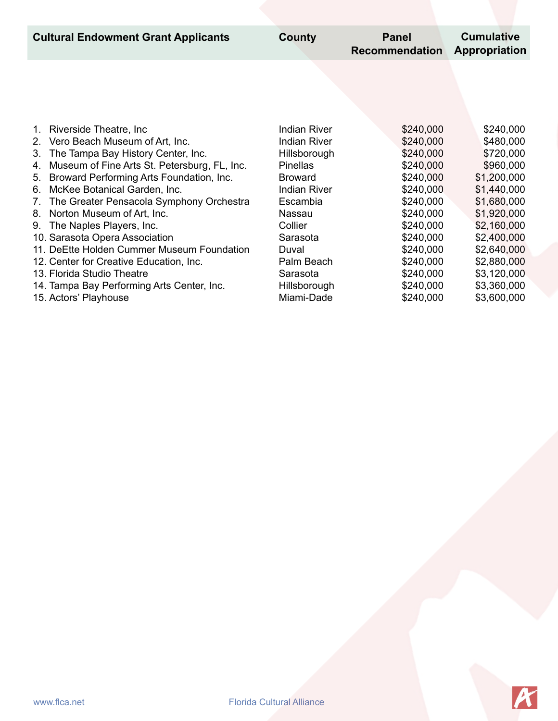<span id="page-20-0"></span>

| <b>Cultural Endowment Grant Applicants</b>         | County              | <b>Panel</b><br><b>Recommendation</b> | <b>Cumulative</b><br><b>Appropriation</b> |
|----------------------------------------------------|---------------------|---------------------------------------|-------------------------------------------|
|                                                    |                     |                                       |                                           |
|                                                    |                     |                                       |                                           |
|                                                    |                     |                                       |                                           |
| Riverside Theatre, Inc.<br>1.                      | <b>Indian River</b> | \$240,000                             | \$240,000                                 |
| Vero Beach Museum of Art, Inc.<br>2.               | <b>Indian River</b> | \$240,000                             | \$480,000                                 |
| The Tampa Bay History Center, Inc.<br>3.           | Hillsborough        | \$240,000                             | \$720,000                                 |
| Museum of Fine Arts St. Petersburg, FL, Inc.<br>4. | <b>Pinellas</b>     | \$240,000                             | \$960,000                                 |
| Broward Performing Arts Foundation, Inc.<br>5.     | <b>Broward</b>      | \$240,000                             | \$1,200,000                               |
| McKee Botanical Garden, Inc.<br>6.                 | <b>Indian River</b> | \$240,000                             | \$1,440,000                               |
| The Greater Pensacola Symphony Orchestra<br>7.     | Escambia            | \$240,000                             | \$1,680,000                               |
| Norton Museum of Art, Inc.<br>8.                   | Nassau              | \$240,000                             | \$1,920,000                               |
| The Naples Players, Inc.<br>9.                     | Collier             | \$240,000                             | \$2,160,000                               |
| 10. Sarasota Opera Association                     | Sarasota            | \$240,000                             | \$2,400,000                               |
| 11. DeEtte Holden Cummer Museum Foundation         | Duval               | \$240,000                             | \$2,640,000                               |
| 12. Center for Creative Education, Inc.            | Palm Beach          | \$240,000                             | \$2,880,000                               |
| 13. Florida Studio Theatre                         | Sarasota            | \$240,000                             | \$3,120,000                               |
| 14. Tampa Bay Performing Arts Center, Inc.         | Hillsborough        | \$240,000                             | \$3,360,000                               |
| 15. Actors' Playhouse                              | Miami-Dade          | \$240,000                             | \$3,600,000                               |

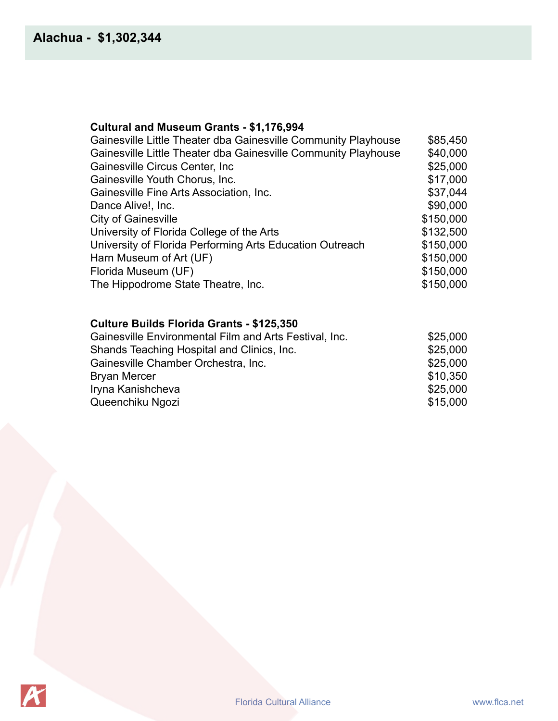# <span id="page-21-0"></span>**Cultural and Museum Grants - \$1,176,994**

| Gainesville Little Theater dba Gainesville Community Playhouse | \$85,450  |
|----------------------------------------------------------------|-----------|
| Gainesville Little Theater dba Gainesville Community Playhouse | \$40,000  |
| Gainesville Circus Center, Inc.                                | \$25,000  |
| Gainesville Youth Chorus, Inc.                                 | \$17,000  |
| Gainesville Fine Arts Association, Inc.                        | \$37,044  |
| Dance Alive!, Inc.                                             | \$90,000  |
| <b>City of Gainesville</b>                                     | \$150,000 |
| University of Florida College of the Arts                      | \$132,500 |
| University of Florida Performing Arts Education Outreach       | \$150,000 |
| Harn Museum of Art (UF)                                        | \$150,000 |
| Florida Museum (UF)                                            | \$150,000 |
| The Hippodrome State Theatre, Inc.                             | \$150,000 |
|                                                                |           |

#### **Culture Builds Florida Grants - \$125,350**

| Gainesville Environmental Film and Arts Festival, Inc. | \$25,000 |
|--------------------------------------------------------|----------|
| Shands Teaching Hospital and Clinics, Inc.             | \$25,000 |
| Gainesville Chamber Orchestra, Inc.                    | \$25,000 |
| <b>Bryan Mercer</b>                                    | \$10.350 |
| Iryna Kanishcheva                                      | \$25,000 |
| Queenchiku Ngozi                                       | \$15,000 |

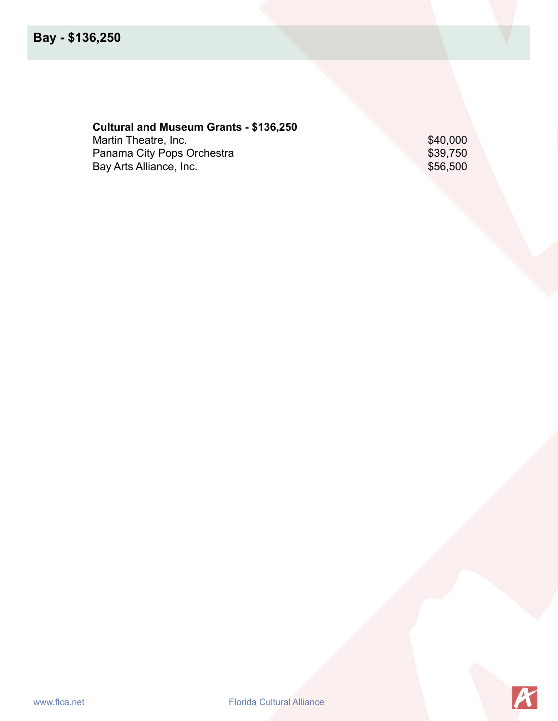#### <span id="page-22-0"></span>**Cultural and Museum Grants - \$136,250**

Martin Theatre, Inc. Panama City Pops Orchestra Bay Arts Alliance, Inc.

\$40,000 \$39,750 \$56,500

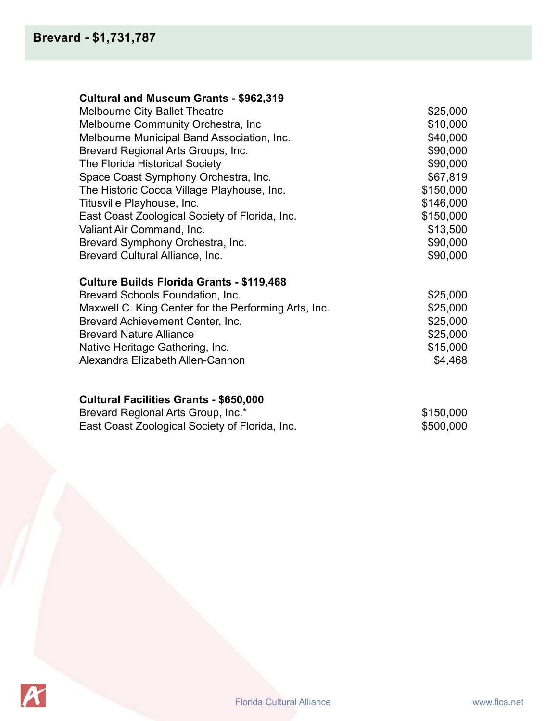#### <span id="page-23-0"></span>**Cultural and Museum Grants - \$962,319**

| <b>Melbourne City Ballet Theatre</b>           | \$25,000  |
|------------------------------------------------|-----------|
| Melbourne Community Orchestra, Inc.            | \$10,000  |
| Melbourne Municipal Band Association, Inc.     | \$40,000  |
| Brevard Regional Arts Groups, Inc.             | \$90,000  |
| The Florida Historical Society                 | \$90,000  |
| Space Coast Symphony Orchestra, Inc.           | \$67,819  |
| The Historic Cocoa Village Playhouse, Inc.     | \$150,000 |
| Titusville Playhouse, Inc.                     | \$146,000 |
| East Coast Zoological Society of Florida, Inc. | \$150,000 |
| Valiant Air Command, Inc.                      | \$13,500  |
| Brevard Symphony Orchestra, Inc.               | \$90,000  |
| Brevard Cultural Alliance, Inc.                | \$90,000  |
|                                                |           |

#### **Culture Builds Florida Grants - \$119,468**

| Brevard Schools Foundation, Inc.                     | \$25,000 |
|------------------------------------------------------|----------|
| Maxwell C. King Center for the Performing Arts, Inc. | \$25,000 |
| Brevard Achievement Center, Inc.                     | \$25,000 |
| <b>Brevard Nature Alliance</b>                       | \$25,000 |
| Native Heritage Gathering, Inc.                      | \$15,000 |
| Alexandra Elizabeth Allen-Cannon                     | \$4.468  |

#### **Cultural Facilities Grants - \$650,000**

| Brevard Regional Arts Group, Inc.*             | \$150,000 |
|------------------------------------------------|-----------|
| East Coast Zoological Society of Florida, Inc. | \$500,000 |

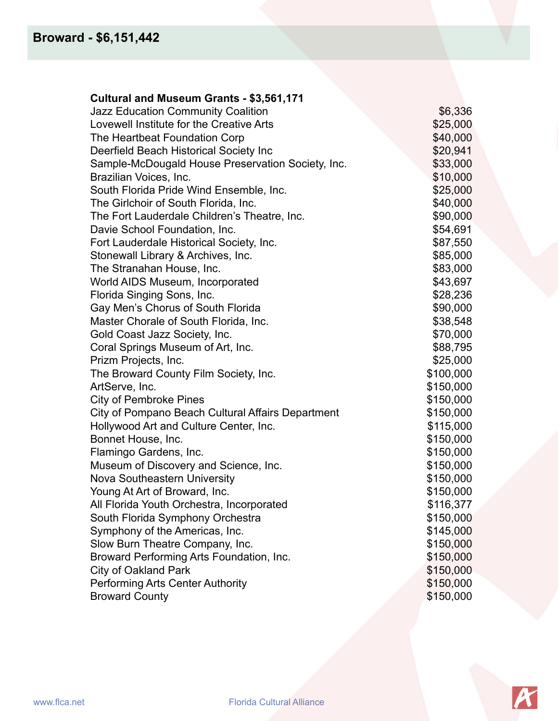# <span id="page-24-0"></span>**Cultural and Museum Grants - \$3,561,171**

| <b>Jazz Education Community Coalition</b>         | \$6,336   |
|---------------------------------------------------|-----------|
| Lovewell Institute for the Creative Arts          | \$25,000  |
| The Heartbeat Foundation Corp                     | \$40,000  |
| Deerfield Beach Historical Society Inc            | \$20,941  |
| Sample-McDougald House Preservation Society, Inc. | \$33,000  |
| Brazilian Voices, Inc.                            | \$10,000  |
| South Florida Pride Wind Ensemble, Inc.           | \$25,000  |
| The Girlchoir of South Florida, Inc.              | \$40,000  |
| The Fort Lauderdale Children's Theatre, Inc.      | \$90,000  |
| Davie School Foundation, Inc.                     | \$54,691  |
| Fort Lauderdale Historical Society, Inc.          | \$87,550  |
| Stonewall Library & Archives, Inc.                | \$85,000  |
| The Stranahan House, Inc.                         | \$83,000  |
| World AIDS Museum, Incorporated                   | \$43,697  |
| Florida Singing Sons, Inc.                        | \$28,236  |
| Gay Men's Chorus of South Florida                 | \$90,000  |
| Master Chorale of South Florida, Inc.             | \$38,548  |
| Gold Coast Jazz Society, Inc.                     | \$70,000  |
| Coral Springs Museum of Art, Inc.                 | \$88,795  |
| Prizm Projects, Inc.                              | \$25,000  |
| The Broward County Film Society, Inc.             | \$100,000 |
| ArtServe, Inc.                                    | \$150,000 |
| <b>City of Pembroke Pines</b>                     | \$150,000 |
| City of Pompano Beach Cultural Affairs Department | \$150,000 |
| Hollywood Art and Culture Center, Inc.            | \$115,000 |
| Bonnet House, Inc.                                | \$150,000 |
| Flamingo Gardens, Inc.                            | \$150,000 |
| Museum of Discovery and Science, Inc.             | \$150,000 |
| Nova Southeastern University                      | \$150,000 |
| Young At Art of Broward, Inc.                     | \$150,000 |
| All Florida Youth Orchestra, Incorporated         | \$116,377 |
| South Florida Symphony Orchestra                  | \$150,000 |
| Symphony of the Americas, Inc.                    | \$145,000 |
| Slow Burn Theatre Company, Inc.                   | \$150,000 |
| Broward Performing Arts Foundation, Inc.          | \$150,000 |
| <b>City of Oakland Park</b>                       | \$150,000 |
| <b>Performing Arts Center Authority</b>           | \$150,000 |
| <b>Broward County</b>                             | \$150,000 |
|                                                   |           |

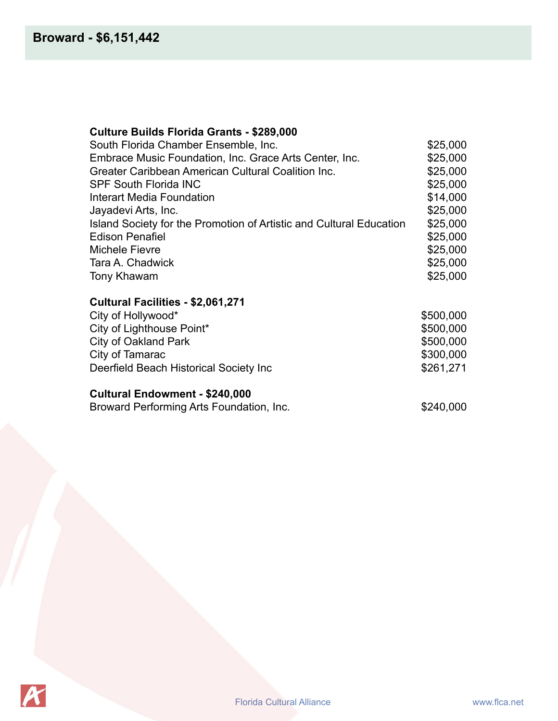#### **Culture Builds Florida Grants - \$289,000**

| South Florida Chamber Ensemble, Inc.                                | \$25,000 |
|---------------------------------------------------------------------|----------|
| Embrace Music Foundation, Inc. Grace Arts Center, Inc.              | \$25,000 |
| Greater Caribbean American Cultural Coalition Inc.                  | \$25,000 |
| <b>SPF South Florida INC</b>                                        | \$25,000 |
| Interart Media Foundation                                           | \$14,000 |
| Jayadevi Arts, Inc.                                                 | \$25,000 |
| Island Society for the Promotion of Artistic and Cultural Education | \$25,000 |
| <b>Edison Penafiel</b>                                              | \$25,000 |
| Michele Fievre                                                      | \$25,000 |
| Tara A. Chadwick                                                    | \$25,000 |
| Tony Khawam                                                         | \$25,000 |

#### **Cultural Facilities - \$2,061,271**

| City of Hollywood*                     | \$500,000 |
|----------------------------------------|-----------|
| City of Lighthouse Point*              | \$500,000 |
| City of Oakland Park                   | \$500,000 |
| City of Tamarac                        | \$300,000 |
| Deerfield Beach Historical Society Inc | \$261,271 |
|                                        |           |

#### **Cultural Endowment - \$240,000**

|  | Broward Performing Arts Foundation, Inc. |  |
|--|------------------------------------------|--|
|  |                                          |  |



\$240,000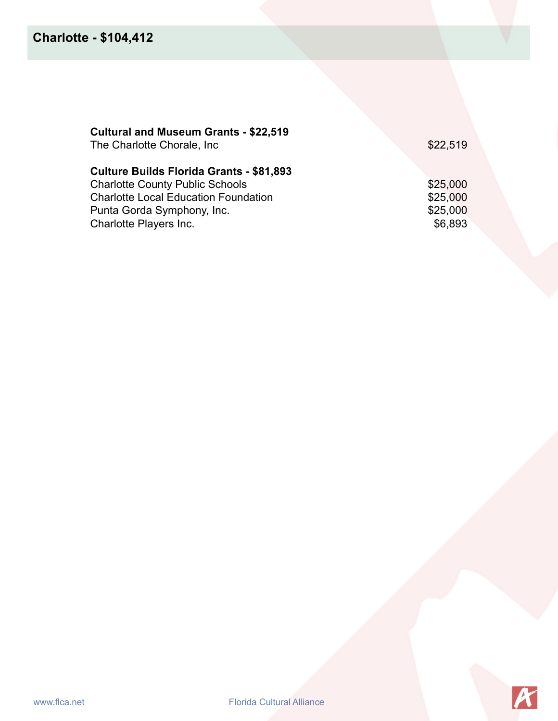# <span id="page-26-0"></span>**Charlotte - \$104,412**

| <b>Cultural and Museum Grants - \$22,519</b><br>The Charlotte Chorale, Inc.                                                                                                                      | \$22,519                                    |
|--------------------------------------------------------------------------------------------------------------------------------------------------------------------------------------------------|---------------------------------------------|
| <b>Culture Builds Florida Grants - \$81,893</b><br><b>Charlotte County Public Schools</b><br><b>Charlotte Local Education Foundation</b><br>Punta Gorda Symphony, Inc.<br>Charlotte Players Inc. | \$25,000<br>\$25,000<br>\$25,000<br>\$6,893 |

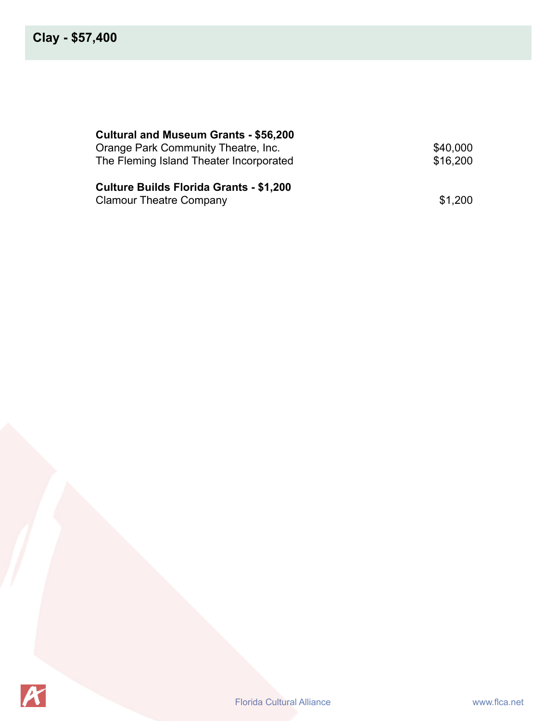#### <span id="page-27-0"></span>**Cultural and Museum Grants - \$56,200**

| Orange Park Community Theatre, Inc.            | \$40.000 |
|------------------------------------------------|----------|
| The Fleming Island Theater Incorporated        | \$16,200 |
|                                                |          |
| <b>Culture Builds Florida Grants - \$1,200</b> |          |

Clamour Theatre Company

\$1,200

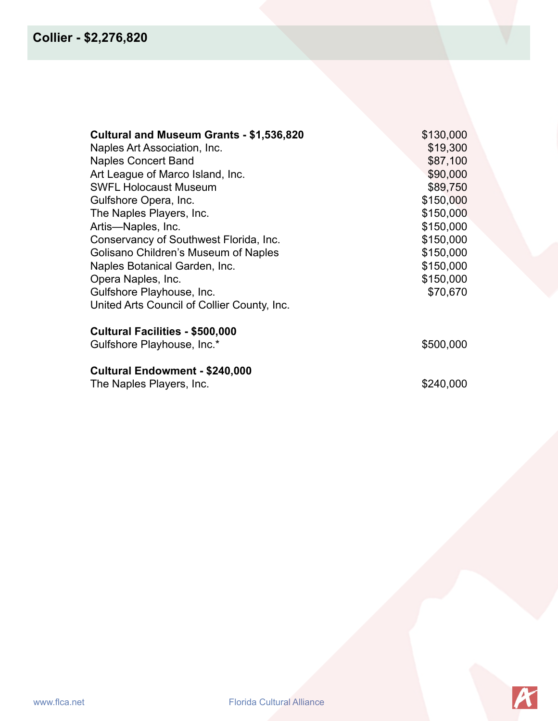<span id="page-28-0"></span>

| <b>Cultural and Museum Grants - \$1,536,820</b> | \$130,000 |
|-------------------------------------------------|-----------|
| Naples Art Association, Inc.                    | \$19,300  |
| <b>Naples Concert Band</b>                      | \$87,100  |
| Art League of Marco Island, Inc.                | \$90,000  |
| <b>SWFL Holocaust Museum</b>                    | \$89,750  |
| Gulfshore Opera, Inc.                           | \$150,000 |
| The Naples Players, Inc.                        | \$150,000 |
| Artis-Naples, Inc.                              | \$150,000 |
| Conservancy of Southwest Florida, Inc.          | \$150,000 |
| Golisano Children's Museum of Naples            | \$150,000 |
| Naples Botanical Garden, Inc.                   | \$150,000 |
| Opera Naples, Inc.                              | \$150,000 |
| Gulfshore Playhouse, Inc.                       | \$70,670  |
| United Arts Council of Collier County, Inc.     |           |
| <b>Cultural Facilities - \$500,000</b>          |           |
| Gulfshore Playhouse, Inc.*                      | \$500,000 |
|                                                 |           |
| <b>Cultural Endowment - \$240,000</b>           |           |
| The Naples Players, Inc.                        | \$240,000 |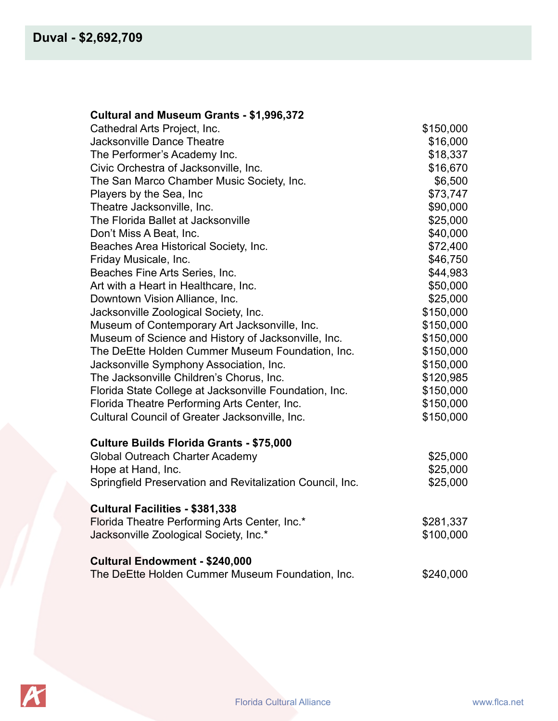# <span id="page-29-0"></span>**Cultural and Museum Grants - \$1,996,372**

| Cathedral Arts Project, Inc.                                                              | \$150,000 |
|-------------------------------------------------------------------------------------------|-----------|
| <b>Jacksonville Dance Theatre</b>                                                         | \$16,000  |
| The Performer's Academy Inc.                                                              | \$18,337  |
| Civic Orchestra of Jacksonville, Inc.                                                     | \$16,670  |
| The San Marco Chamber Music Society, Inc.                                                 | \$6,500   |
| Players by the Sea, Inc                                                                   | \$73,747  |
| Theatre Jacksonville, Inc.                                                                | \$90,000  |
| The Florida Ballet at Jacksonville                                                        | \$25,000  |
| Don't Miss A Beat, Inc.                                                                   | \$40,000  |
| Beaches Area Historical Society, Inc.                                                     | \$72,400  |
| Friday Musicale, Inc.                                                                     | \$46,750  |
| Beaches Fine Arts Series, Inc.                                                            | \$44,983  |
| Art with a Heart in Healthcare, Inc.                                                      | \$50,000  |
| Downtown Vision Alliance, Inc.                                                            | \$25,000  |
| Jacksonville Zoological Society, Inc.                                                     | \$150,000 |
| Museum of Contemporary Art Jacksonville, Inc.                                             | \$150,000 |
| Museum of Science and History of Jacksonville, Inc.                                       | \$150,000 |
| The DeEtte Holden Cummer Museum Foundation, Inc.                                          | \$150,000 |
| Jacksonville Symphony Association, Inc.                                                   | \$150,000 |
| The Jacksonville Children's Chorus, Inc.                                                  | \$120,985 |
| Florida State College at Jacksonville Foundation, Inc.                                    | \$150,000 |
| Florida Theatre Performing Arts Center, Inc.                                              | \$150,000 |
| Cultural Council of Greater Jacksonville, Inc.                                            | \$150,000 |
|                                                                                           |           |
| <b>Culture Builds Florida Grants - \$75,000</b><br><b>Global Outreach Charter Academy</b> | \$25,000  |
| Hope at Hand, Inc.                                                                        | \$25,000  |
| Springfield Preservation and Revitalization Council, Inc.                                 | \$25,000  |
|                                                                                           |           |
| <b>Cultural Facilities - \$381,338</b>                                                    |           |
| Florida Theatre Performing Arts Center, Inc.*                                             | \$281,337 |
| Jacksonville Zoological Society, Inc.*                                                    | \$100,000 |
| <b>Cultural Endowment - \$240,000</b>                                                     |           |
| The DeEtte Holden Cummer Museum Foundation, Inc.                                          | \$240,000 |
|                                                                                           |           |

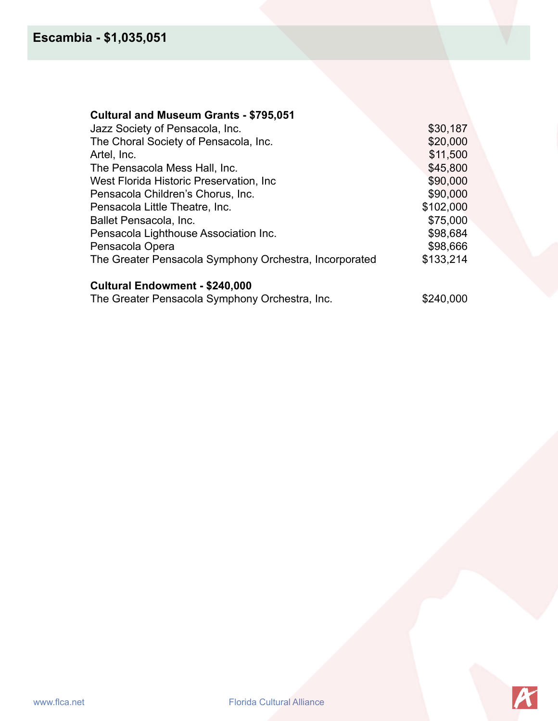#### <span id="page-30-0"></span>**Cultural and Museum Grants - \$795,051**

| Jazz Society of Pensacola, Inc.                        | \$30,187  |
|--------------------------------------------------------|-----------|
| The Choral Society of Pensacola, Inc.                  | \$20,000  |
| Artel, Inc.                                            | \$11,500  |
| The Pensacola Mess Hall, Inc.                          | \$45,800  |
| West Florida Historic Preservation, Inc.               | \$90,000  |
| Pensacola Children's Chorus, Inc.                      | \$90,000  |
| Pensacola Little Theatre, Inc.                         | \$102,000 |
| Ballet Pensacola, Inc.                                 | \$75,000  |
| Pensacola Lighthouse Association Inc.                  | \$98,684  |
| Pensacola Opera                                        | \$98,666  |
| The Greater Pensacola Symphony Orchestra, Incorporated | \$133,214 |
| <b>Cultural Endowment - \$240,000</b>                  |           |
| The Greater Pensacola Symphony Orchestra, Inc.         | \$240,000 |

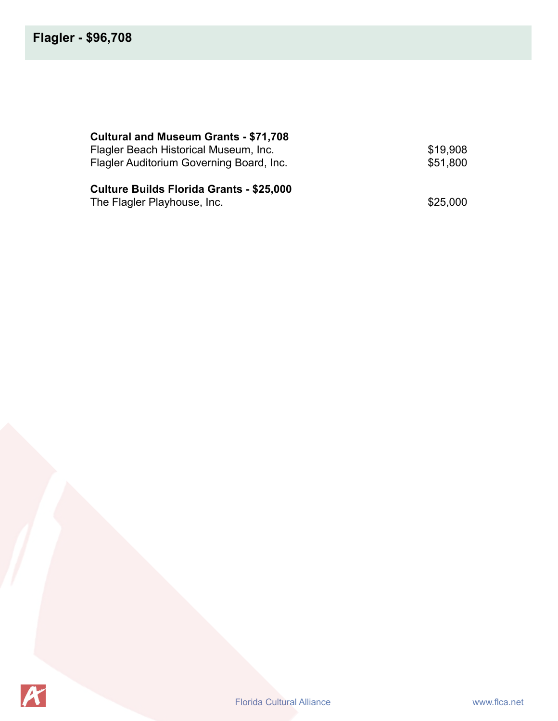#### <span id="page-31-0"></span>**Cultural and Museum Grants - \$71,708**

| Flagler Beach Historical Museum, Inc.    | \$19,908 |  |
|------------------------------------------|----------|--|
| Flagler Auditorium Governing Board, Inc. | \$51,800 |  |
|                                          |          |  |

# **Culture Builds Florida Grants - \$25,000**

The Flagler Playhouse, Inc.

\$25,000

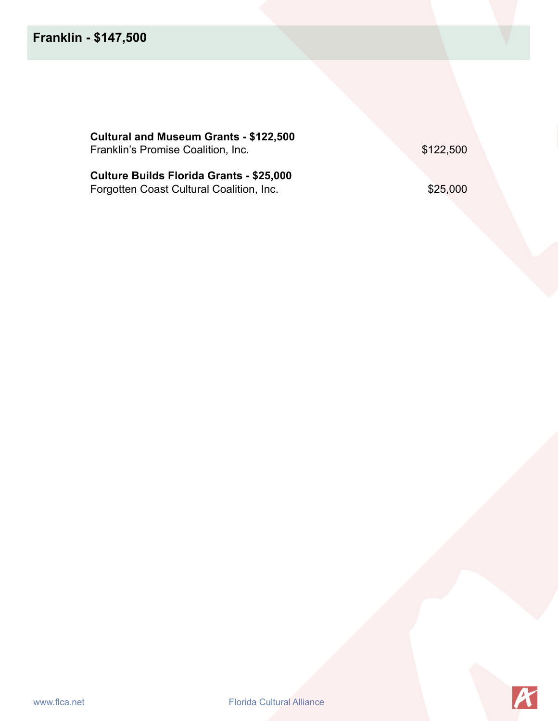# <span id="page-32-0"></span>**Franklin - \$147,500**

**Cultural and Museum Grants - \$122,500**  Franklin's Promise Coalition, Inc.

\$122,500

# **Culture Builds Florida Grants - \$25,000**

Forgotten Coast Cultural Coalition, Inc.

\$25,000

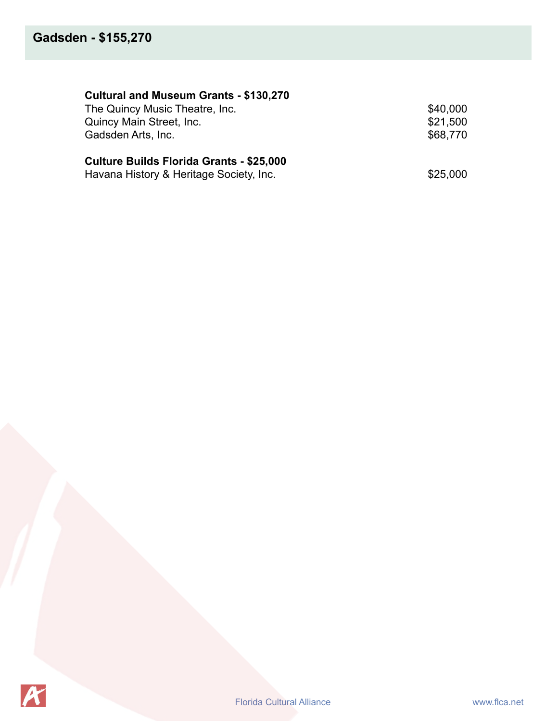#### <span id="page-33-0"></span>**Cultural and Museum Grants - \$130,270**

| The Quincy Music Theatre, Inc.           | \$40,000 |
|------------------------------------------|----------|
| Quincy Main Street, Inc.                 | \$21,500 |
| Gadsden Arts, Inc.                       | \$68,770 |
| Culture Duilde Eleride Cronte<br>ESE NAN |          |

#### **Culture Builds Florida Grants - \$25,000**

| Havana History & Heritage Society, Inc. |  |
|-----------------------------------------|--|
|-----------------------------------------|--|



\$25,000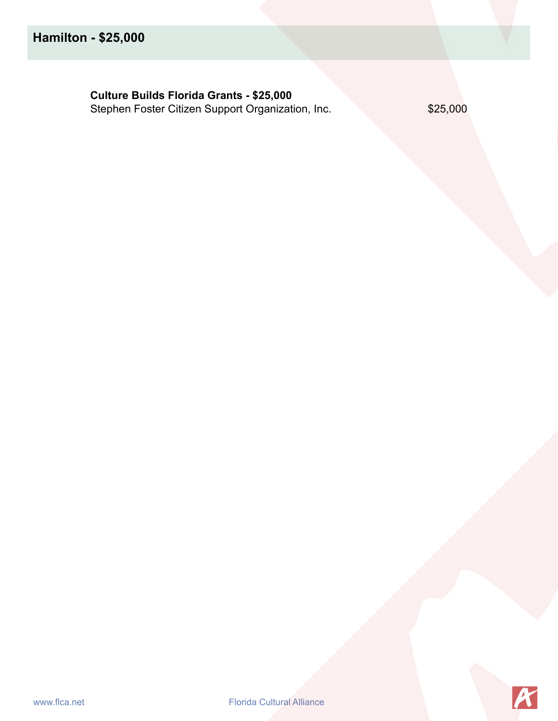## <span id="page-34-0"></span>**Culture Builds Florida Grants - \$25,000**

Stephen Foster Citizen Support Organization, Inc. \$25,000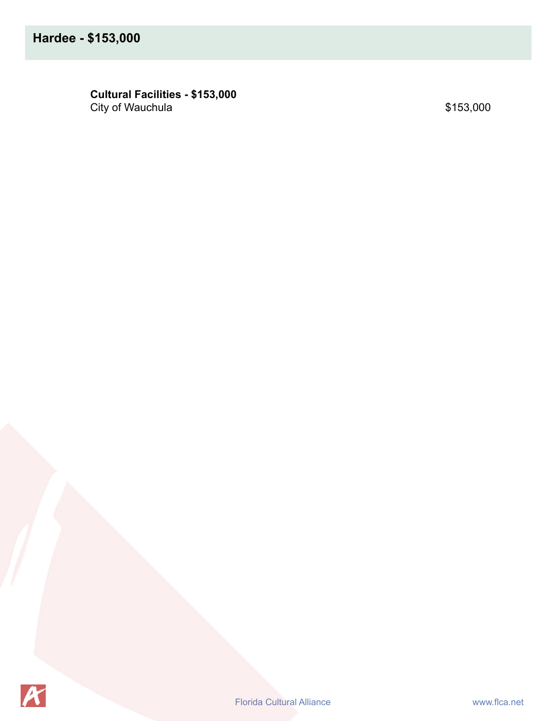<span id="page-35-0"></span>**Cultural Facilities - \$153,000** City of Wauchula \$153,000

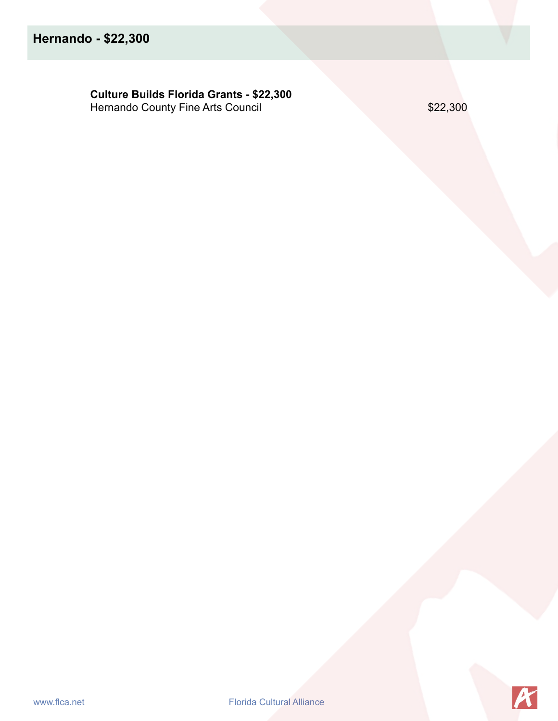#### **Culture Builds Florida Grants - \$22,300** Hernando County Fine Arts Council \$22,300

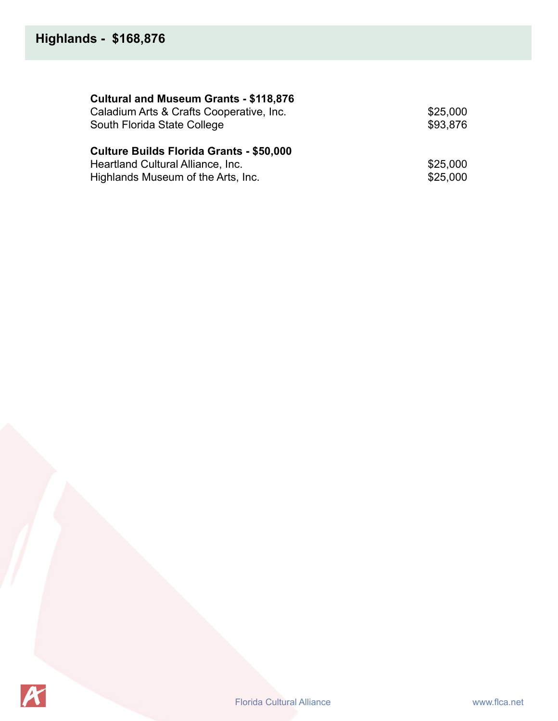### **Cultural and Museum Grants - \$118,876**

| Caladium Arts & Crafts Cooperative, Inc.        | \$25,000 |
|-------------------------------------------------|----------|
| South Florida State College                     | \$93,876 |
| <b>Culture Builds Florida Grants - \$50,000</b> |          |

## Heartland Cultural Alliance, Inc.

| Heartland Cultural Alliance, Inc.  | \$25,000 |
|------------------------------------|----------|
| Highlands Museum of the Arts, Inc. | \$25,000 |

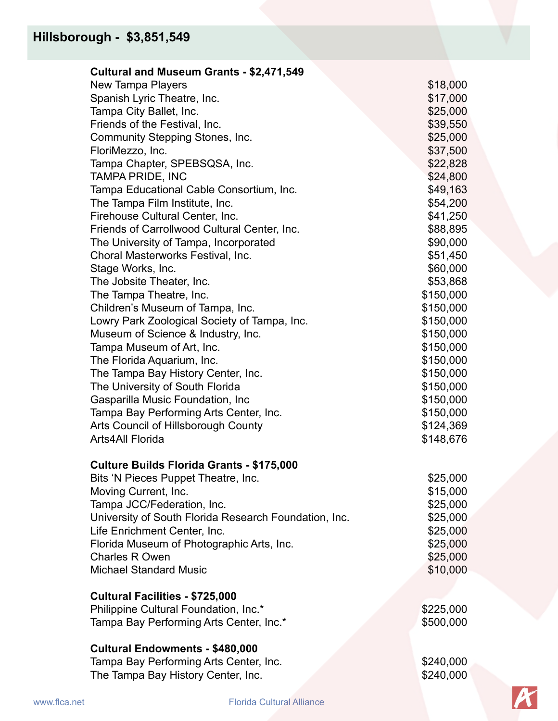| <b>New Tampa Players</b><br>\$18,000<br>\$17,000<br>Spanish Lyric Theatre, Inc.<br>Tampa City Ballet, Inc.<br>\$25,000<br>\$39,550<br>Friends of the Festival, Inc.<br>\$25,000<br><b>Community Stepping Stones, Inc.</b><br>FloriMezzo, Inc.<br>\$37,500<br>Tampa Chapter, SPEBSQSA, Inc.<br>\$22,828<br><b>TAMPA PRIDE, INC</b><br>\$24,800<br>\$49,163<br>Tampa Educational Cable Consortium, Inc.<br>The Tampa Film Institute, Inc.<br>\$54,200<br>Firehouse Cultural Center, Inc.<br>\$41,250<br>Friends of Carrollwood Cultural Center, Inc.<br>\$88,895<br>The University of Tampa, Incorporated<br>\$90,000<br>\$51,450<br>Choral Masterworks Festival, Inc.<br>\$60,000<br>Stage Works, Inc.<br>\$53,868<br>The Jobsite Theater, Inc.<br>The Tampa Theatre, Inc.<br>\$150,000<br>Children's Museum of Tampa, Inc.<br>\$150,000<br>\$150,000<br>Lowry Park Zoological Society of Tampa, Inc.<br>Museum of Science & Industry, Inc.<br>\$150,000<br>\$150,000<br>Tampa Museum of Art, Inc.<br>The Florida Aquarium, Inc.<br>\$150,000<br>The Tampa Bay History Center, Inc.<br>\$150,000<br>The University of South Florida<br>\$150,000<br>Gasparilla Music Foundation, Inc.<br>\$150,000<br>Tampa Bay Performing Arts Center, Inc.<br>\$150,000<br>Arts Council of Hillsborough County<br>\$124,369<br>Arts4All Florida<br>\$148,676<br><b>Culture Builds Florida Grants - \$175,000</b><br>\$25,000<br>Bits 'N Pieces Puppet Theatre, Inc.<br>\$15,000<br>Moving Current, Inc.<br>\$25,000<br>Tampa JCC/Federation, Inc.<br>University of South Florida Research Foundation, Inc.<br>\$25,000<br>Life Enrichment Center, Inc.<br>\$25,000<br>\$25,000<br>Florida Museum of Photographic Arts, Inc.<br><b>Charles R Owen</b><br>\$25,000<br>\$10,000<br><b>Michael Standard Music</b><br><b>Cultural Facilities - \$725,000</b><br>Philippine Cultural Foundation, Inc.*<br>\$225,000<br>Tampa Bay Performing Arts Center, Inc.*<br>\$500,000<br><b>Cultural Endowments - \$480,000</b><br>Tampa Bay Performing Arts Center, Inc.<br>\$240,000 | Cultural and Museum Grants - \$2,471,549 |           |
|---------------------------------------------------------------------------------------------------------------------------------------------------------------------------------------------------------------------------------------------------------------------------------------------------------------------------------------------------------------------------------------------------------------------------------------------------------------------------------------------------------------------------------------------------------------------------------------------------------------------------------------------------------------------------------------------------------------------------------------------------------------------------------------------------------------------------------------------------------------------------------------------------------------------------------------------------------------------------------------------------------------------------------------------------------------------------------------------------------------------------------------------------------------------------------------------------------------------------------------------------------------------------------------------------------------------------------------------------------------------------------------------------------------------------------------------------------------------------------------------------------------------------------------------------------------------------------------------------------------------------------------------------------------------------------------------------------------------------------------------------------------------------------------------------------------------------------------------------------------------------------------------------------------------------------------------------------------------------------------------------------------------------------------------------------|------------------------------------------|-----------|
|                                                                                                                                                                                                                                                                                                                                                                                                                                                                                                                                                                                                                                                                                                                                                                                                                                                                                                                                                                                                                                                                                                                                                                                                                                                                                                                                                                                                                                                                                                                                                                                                                                                                                                                                                                                                                                                                                                                                                                                                                                                         |                                          |           |
|                                                                                                                                                                                                                                                                                                                                                                                                                                                                                                                                                                                                                                                                                                                                                                                                                                                                                                                                                                                                                                                                                                                                                                                                                                                                                                                                                                                                                                                                                                                                                                                                                                                                                                                                                                                                                                                                                                                                                                                                                                                         |                                          |           |
|                                                                                                                                                                                                                                                                                                                                                                                                                                                                                                                                                                                                                                                                                                                                                                                                                                                                                                                                                                                                                                                                                                                                                                                                                                                                                                                                                                                                                                                                                                                                                                                                                                                                                                                                                                                                                                                                                                                                                                                                                                                         |                                          |           |
|                                                                                                                                                                                                                                                                                                                                                                                                                                                                                                                                                                                                                                                                                                                                                                                                                                                                                                                                                                                                                                                                                                                                                                                                                                                                                                                                                                                                                                                                                                                                                                                                                                                                                                                                                                                                                                                                                                                                                                                                                                                         |                                          |           |
|                                                                                                                                                                                                                                                                                                                                                                                                                                                                                                                                                                                                                                                                                                                                                                                                                                                                                                                                                                                                                                                                                                                                                                                                                                                                                                                                                                                                                                                                                                                                                                                                                                                                                                                                                                                                                                                                                                                                                                                                                                                         |                                          |           |
|                                                                                                                                                                                                                                                                                                                                                                                                                                                                                                                                                                                                                                                                                                                                                                                                                                                                                                                                                                                                                                                                                                                                                                                                                                                                                                                                                                                                                                                                                                                                                                                                                                                                                                                                                                                                                                                                                                                                                                                                                                                         |                                          |           |
|                                                                                                                                                                                                                                                                                                                                                                                                                                                                                                                                                                                                                                                                                                                                                                                                                                                                                                                                                                                                                                                                                                                                                                                                                                                                                                                                                                                                                                                                                                                                                                                                                                                                                                                                                                                                                                                                                                                                                                                                                                                         |                                          |           |
|                                                                                                                                                                                                                                                                                                                                                                                                                                                                                                                                                                                                                                                                                                                                                                                                                                                                                                                                                                                                                                                                                                                                                                                                                                                                                                                                                                                                                                                                                                                                                                                                                                                                                                                                                                                                                                                                                                                                                                                                                                                         |                                          |           |
|                                                                                                                                                                                                                                                                                                                                                                                                                                                                                                                                                                                                                                                                                                                                                                                                                                                                                                                                                                                                                                                                                                                                                                                                                                                                                                                                                                                                                                                                                                                                                                                                                                                                                                                                                                                                                                                                                                                                                                                                                                                         |                                          |           |
|                                                                                                                                                                                                                                                                                                                                                                                                                                                                                                                                                                                                                                                                                                                                                                                                                                                                                                                                                                                                                                                                                                                                                                                                                                                                                                                                                                                                                                                                                                                                                                                                                                                                                                                                                                                                                                                                                                                                                                                                                                                         |                                          |           |
|                                                                                                                                                                                                                                                                                                                                                                                                                                                                                                                                                                                                                                                                                                                                                                                                                                                                                                                                                                                                                                                                                                                                                                                                                                                                                                                                                                                                                                                                                                                                                                                                                                                                                                                                                                                                                                                                                                                                                                                                                                                         |                                          |           |
|                                                                                                                                                                                                                                                                                                                                                                                                                                                                                                                                                                                                                                                                                                                                                                                                                                                                                                                                                                                                                                                                                                                                                                                                                                                                                                                                                                                                                                                                                                                                                                                                                                                                                                                                                                                                                                                                                                                                                                                                                                                         |                                          |           |
|                                                                                                                                                                                                                                                                                                                                                                                                                                                                                                                                                                                                                                                                                                                                                                                                                                                                                                                                                                                                                                                                                                                                                                                                                                                                                                                                                                                                                                                                                                                                                                                                                                                                                                                                                                                                                                                                                                                                                                                                                                                         |                                          |           |
|                                                                                                                                                                                                                                                                                                                                                                                                                                                                                                                                                                                                                                                                                                                                                                                                                                                                                                                                                                                                                                                                                                                                                                                                                                                                                                                                                                                                                                                                                                                                                                                                                                                                                                                                                                                                                                                                                                                                                                                                                                                         |                                          |           |
|                                                                                                                                                                                                                                                                                                                                                                                                                                                                                                                                                                                                                                                                                                                                                                                                                                                                                                                                                                                                                                                                                                                                                                                                                                                                                                                                                                                                                                                                                                                                                                                                                                                                                                                                                                                                                                                                                                                                                                                                                                                         |                                          |           |
|                                                                                                                                                                                                                                                                                                                                                                                                                                                                                                                                                                                                                                                                                                                                                                                                                                                                                                                                                                                                                                                                                                                                                                                                                                                                                                                                                                                                                                                                                                                                                                                                                                                                                                                                                                                                                                                                                                                                                                                                                                                         |                                          |           |
|                                                                                                                                                                                                                                                                                                                                                                                                                                                                                                                                                                                                                                                                                                                                                                                                                                                                                                                                                                                                                                                                                                                                                                                                                                                                                                                                                                                                                                                                                                                                                                                                                                                                                                                                                                                                                                                                                                                                                                                                                                                         |                                          |           |
|                                                                                                                                                                                                                                                                                                                                                                                                                                                                                                                                                                                                                                                                                                                                                                                                                                                                                                                                                                                                                                                                                                                                                                                                                                                                                                                                                                                                                                                                                                                                                                                                                                                                                                                                                                                                                                                                                                                                                                                                                                                         |                                          |           |
|                                                                                                                                                                                                                                                                                                                                                                                                                                                                                                                                                                                                                                                                                                                                                                                                                                                                                                                                                                                                                                                                                                                                                                                                                                                                                                                                                                                                                                                                                                                                                                                                                                                                                                                                                                                                                                                                                                                                                                                                                                                         |                                          |           |
|                                                                                                                                                                                                                                                                                                                                                                                                                                                                                                                                                                                                                                                                                                                                                                                                                                                                                                                                                                                                                                                                                                                                                                                                                                                                                                                                                                                                                                                                                                                                                                                                                                                                                                                                                                                                                                                                                                                                                                                                                                                         |                                          |           |
|                                                                                                                                                                                                                                                                                                                                                                                                                                                                                                                                                                                                                                                                                                                                                                                                                                                                                                                                                                                                                                                                                                                                                                                                                                                                                                                                                                                                                                                                                                                                                                                                                                                                                                                                                                                                                                                                                                                                                                                                                                                         |                                          |           |
|                                                                                                                                                                                                                                                                                                                                                                                                                                                                                                                                                                                                                                                                                                                                                                                                                                                                                                                                                                                                                                                                                                                                                                                                                                                                                                                                                                                                                                                                                                                                                                                                                                                                                                                                                                                                                                                                                                                                                                                                                                                         |                                          |           |
|                                                                                                                                                                                                                                                                                                                                                                                                                                                                                                                                                                                                                                                                                                                                                                                                                                                                                                                                                                                                                                                                                                                                                                                                                                                                                                                                                                                                                                                                                                                                                                                                                                                                                                                                                                                                                                                                                                                                                                                                                                                         |                                          |           |
|                                                                                                                                                                                                                                                                                                                                                                                                                                                                                                                                                                                                                                                                                                                                                                                                                                                                                                                                                                                                                                                                                                                                                                                                                                                                                                                                                                                                                                                                                                                                                                                                                                                                                                                                                                                                                                                                                                                                                                                                                                                         |                                          |           |
|                                                                                                                                                                                                                                                                                                                                                                                                                                                                                                                                                                                                                                                                                                                                                                                                                                                                                                                                                                                                                                                                                                                                                                                                                                                                                                                                                                                                                                                                                                                                                                                                                                                                                                                                                                                                                                                                                                                                                                                                                                                         |                                          |           |
|                                                                                                                                                                                                                                                                                                                                                                                                                                                                                                                                                                                                                                                                                                                                                                                                                                                                                                                                                                                                                                                                                                                                                                                                                                                                                                                                                                                                                                                                                                                                                                                                                                                                                                                                                                                                                                                                                                                                                                                                                                                         |                                          |           |
|                                                                                                                                                                                                                                                                                                                                                                                                                                                                                                                                                                                                                                                                                                                                                                                                                                                                                                                                                                                                                                                                                                                                                                                                                                                                                                                                                                                                                                                                                                                                                                                                                                                                                                                                                                                                                                                                                                                                                                                                                                                         |                                          |           |
|                                                                                                                                                                                                                                                                                                                                                                                                                                                                                                                                                                                                                                                                                                                                                                                                                                                                                                                                                                                                                                                                                                                                                                                                                                                                                                                                                                                                                                                                                                                                                                                                                                                                                                                                                                                                                                                                                                                                                                                                                                                         |                                          |           |
|                                                                                                                                                                                                                                                                                                                                                                                                                                                                                                                                                                                                                                                                                                                                                                                                                                                                                                                                                                                                                                                                                                                                                                                                                                                                                                                                                                                                                                                                                                                                                                                                                                                                                                                                                                                                                                                                                                                                                                                                                                                         |                                          |           |
|                                                                                                                                                                                                                                                                                                                                                                                                                                                                                                                                                                                                                                                                                                                                                                                                                                                                                                                                                                                                                                                                                                                                                                                                                                                                                                                                                                                                                                                                                                                                                                                                                                                                                                                                                                                                                                                                                                                                                                                                                                                         |                                          |           |
|                                                                                                                                                                                                                                                                                                                                                                                                                                                                                                                                                                                                                                                                                                                                                                                                                                                                                                                                                                                                                                                                                                                                                                                                                                                                                                                                                                                                                                                                                                                                                                                                                                                                                                                                                                                                                                                                                                                                                                                                                                                         |                                          |           |
|                                                                                                                                                                                                                                                                                                                                                                                                                                                                                                                                                                                                                                                                                                                                                                                                                                                                                                                                                                                                                                                                                                                                                                                                                                                                                                                                                                                                                                                                                                                                                                                                                                                                                                                                                                                                                                                                                                                                                                                                                                                         |                                          |           |
|                                                                                                                                                                                                                                                                                                                                                                                                                                                                                                                                                                                                                                                                                                                                                                                                                                                                                                                                                                                                                                                                                                                                                                                                                                                                                                                                                                                                                                                                                                                                                                                                                                                                                                                                                                                                                                                                                                                                                                                                                                                         |                                          |           |
|                                                                                                                                                                                                                                                                                                                                                                                                                                                                                                                                                                                                                                                                                                                                                                                                                                                                                                                                                                                                                                                                                                                                                                                                                                                                                                                                                                                                                                                                                                                                                                                                                                                                                                                                                                                                                                                                                                                                                                                                                                                         |                                          |           |
|                                                                                                                                                                                                                                                                                                                                                                                                                                                                                                                                                                                                                                                                                                                                                                                                                                                                                                                                                                                                                                                                                                                                                                                                                                                                                                                                                                                                                                                                                                                                                                                                                                                                                                                                                                                                                                                                                                                                                                                                                                                         |                                          |           |
|                                                                                                                                                                                                                                                                                                                                                                                                                                                                                                                                                                                                                                                                                                                                                                                                                                                                                                                                                                                                                                                                                                                                                                                                                                                                                                                                                                                                                                                                                                                                                                                                                                                                                                                                                                                                                                                                                                                                                                                                                                                         |                                          |           |
|                                                                                                                                                                                                                                                                                                                                                                                                                                                                                                                                                                                                                                                                                                                                                                                                                                                                                                                                                                                                                                                                                                                                                                                                                                                                                                                                                                                                                                                                                                                                                                                                                                                                                                                                                                                                                                                                                                                                                                                                                                                         |                                          |           |
|                                                                                                                                                                                                                                                                                                                                                                                                                                                                                                                                                                                                                                                                                                                                                                                                                                                                                                                                                                                                                                                                                                                                                                                                                                                                                                                                                                                                                                                                                                                                                                                                                                                                                                                                                                                                                                                                                                                                                                                                                                                         |                                          |           |
|                                                                                                                                                                                                                                                                                                                                                                                                                                                                                                                                                                                                                                                                                                                                                                                                                                                                                                                                                                                                                                                                                                                                                                                                                                                                                                                                                                                                                                                                                                                                                                                                                                                                                                                                                                                                                                                                                                                                                                                                                                                         |                                          |           |
|                                                                                                                                                                                                                                                                                                                                                                                                                                                                                                                                                                                                                                                                                                                                                                                                                                                                                                                                                                                                                                                                                                                                                                                                                                                                                                                                                                                                                                                                                                                                                                                                                                                                                                                                                                                                                                                                                                                                                                                                                                                         |                                          |           |
|                                                                                                                                                                                                                                                                                                                                                                                                                                                                                                                                                                                                                                                                                                                                                                                                                                                                                                                                                                                                                                                                                                                                                                                                                                                                                                                                                                                                                                                                                                                                                                                                                                                                                                                                                                                                                                                                                                                                                                                                                                                         |                                          |           |
|                                                                                                                                                                                                                                                                                                                                                                                                                                                                                                                                                                                                                                                                                                                                                                                                                                                                                                                                                                                                                                                                                                                                                                                                                                                                                                                                                                                                                                                                                                                                                                                                                                                                                                                                                                                                                                                                                                                                                                                                                                                         |                                          |           |
|                                                                                                                                                                                                                                                                                                                                                                                                                                                                                                                                                                                                                                                                                                                                                                                                                                                                                                                                                                                                                                                                                                                                                                                                                                                                                                                                                                                                                                                                                                                                                                                                                                                                                                                                                                                                                                                                                                                                                                                                                                                         |                                          |           |
|                                                                                                                                                                                                                                                                                                                                                                                                                                                                                                                                                                                                                                                                                                                                                                                                                                                                                                                                                                                                                                                                                                                                                                                                                                                                                                                                                                                                                                                                                                                                                                                                                                                                                                                                                                                                                                                                                                                                                                                                                                                         |                                          |           |
|                                                                                                                                                                                                                                                                                                                                                                                                                                                                                                                                                                                                                                                                                                                                                                                                                                                                                                                                                                                                                                                                                                                                                                                                                                                                                                                                                                                                                                                                                                                                                                                                                                                                                                                                                                                                                                                                                                                                                                                                                                                         | The Tampa Bay History Center, Inc.       | \$240,000 |

www.flca.net **Florida Cultural Alliance** 

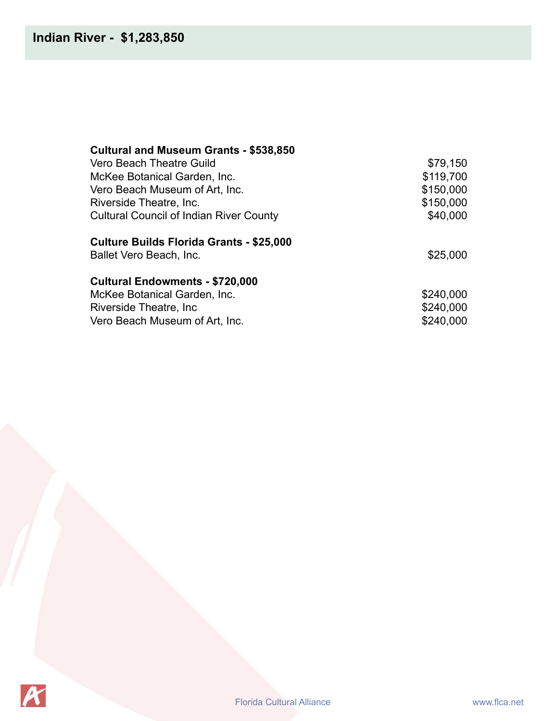| <b>Cultural and Museum Grants - \$538,850</b>   |           |
|-------------------------------------------------|-----------|
| <b>Vero Beach Theatre Guild</b>                 | \$79,150  |
| McKee Botanical Garden, Inc.                    | \$119,700 |
| Vero Beach Museum of Art, Inc.                  | \$150,000 |
| Riverside Theatre, Inc.                         | \$150,000 |
| <b>Cultural Council of Indian River County</b>  | \$40,000  |
| <b>Culture Builds Florida Grants - \$25,000</b> |           |
| Ballet Vero Beach, Inc.                         | \$25,000  |
| <b>Cultural Endowments - \$720,000</b>          |           |
| McKee Botanical Garden, Inc.                    | \$240,000 |
| Riverside Theatre, Inc.                         | \$240,000 |
| Vero Beach Museum of Art, Inc.                  | \$240,000 |

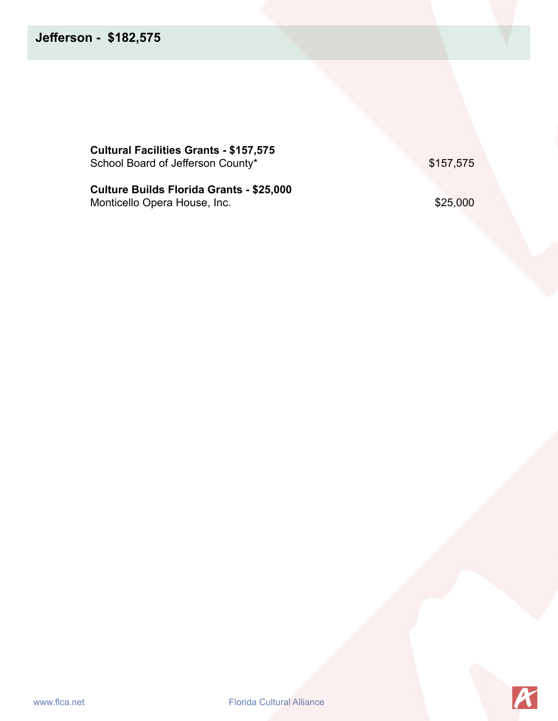## **Jefferson - \$182,575**

**Cultural Facilities Grants - \$157,575** School Board of Jefferson County\*

\$157,575

**Culture Builds Florida Grants - \$25,000** Monticello Opera House, Inc.

\$25,000

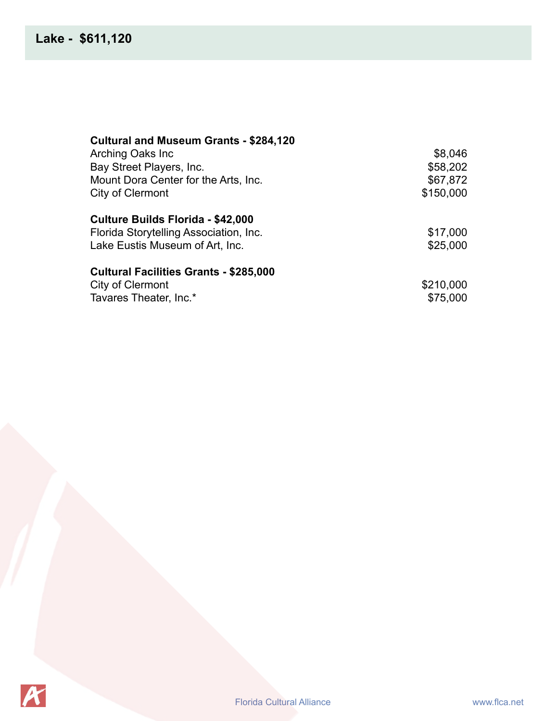| <b>Cultural and Museum Grants - \$284,120</b>                                                                         |                      |
|-----------------------------------------------------------------------------------------------------------------------|----------------------|
| Arching Oaks Inc                                                                                                      | \$8,046              |
| Bay Street Players, Inc.                                                                                              | \$58,202             |
| Mount Dora Center for the Arts, Inc.                                                                                  | \$67,872             |
| City of Clermont                                                                                                      | \$150,000            |
| <b>Culture Builds Florida - \$42,000</b><br>Florida Storytelling Association, Inc.<br>Lake Eustis Museum of Art, Inc. | \$17,000<br>\$25,000 |
| <b>Cultural Facilities Grants - \$285,000</b>                                                                         |                      |
| City of Clermont                                                                                                      | \$210,000            |
| Tavares Theater, Inc.*                                                                                                | \$75,000             |

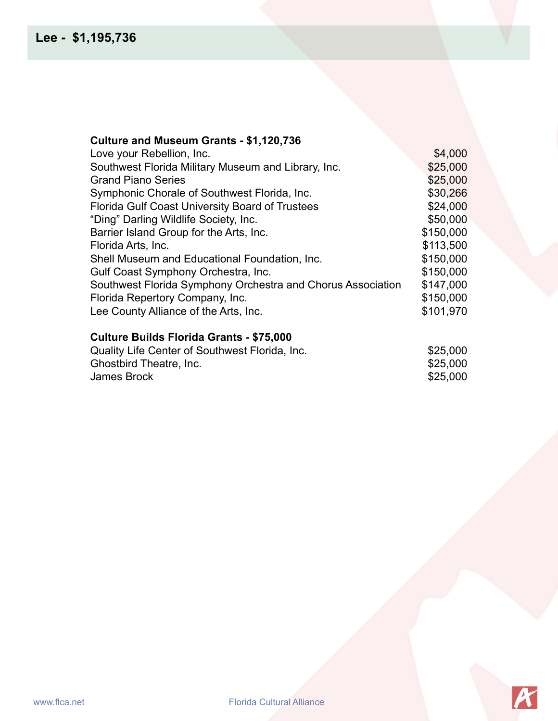### **Culture and Museum Grants - \$1,120,736**

| Love your Rebellion, Inc.                                   | \$4,000   |
|-------------------------------------------------------------|-----------|
| Southwest Florida Military Museum and Library, Inc.         | \$25,000  |
| <b>Grand Piano Series</b>                                   | \$25,000  |
| Symphonic Chorale of Southwest Florida, Inc.                | \$30,266  |
| <b>Florida Gulf Coast University Board of Trustees</b>      | \$24,000  |
| "Ding" Darling Wildlife Society, Inc.                       | \$50,000  |
| Barrier Island Group for the Arts, Inc.                     | \$150,000 |
| Florida Arts, Inc.                                          | \$113,500 |
| Shell Museum and Educational Foundation, Inc.               | \$150,000 |
| Gulf Coast Symphony Orchestra, Inc.                         | \$150,000 |
| Southwest Florida Symphony Orchestra and Chorus Association | \$147,000 |
| Florida Repertory Company, Inc.                             | \$150,000 |
| Lee County Alliance of the Arts, Inc.                       | \$101,970 |
|                                                             |           |

### **Culture Builds Florida Grants - \$75,000**

| Quality Life Center of Southwest Florida, Inc. | \$25,000 |
|------------------------------------------------|----------|
| Ghostbird Theatre, Inc.                        | \$25,000 |
| James Brock                                    | \$25,000 |

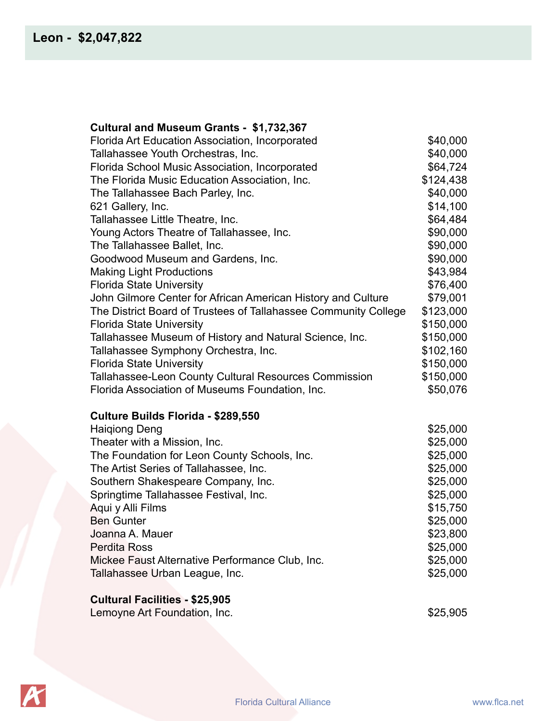### **Cultural and Museum Grants - \$1,732,367**

| Florida Art Education Association, Incorporated                 | \$40,000  |
|-----------------------------------------------------------------|-----------|
| Tallahassee Youth Orchestras, Inc.                              | \$40,000  |
| Florida School Music Association, Incorporated                  | \$64,724  |
| The Florida Music Education Association, Inc.                   | \$124,438 |
| The Tallahassee Bach Parley, Inc.                               | \$40,000  |
| 621 Gallery, Inc.                                               | \$14,100  |
| Tallahassee Little Theatre, Inc.                                | \$64,484  |
| Young Actors Theatre of Tallahassee, Inc.                       | \$90,000  |
| The Tallahassee Ballet, Inc.                                    | \$90,000  |
| Goodwood Museum and Gardens, Inc.                               | \$90,000  |
| <b>Making Light Productions</b>                                 | \$43,984  |
| <b>Florida State University</b>                                 | \$76,400  |
| John Gilmore Center for African American History and Culture    | \$79,001  |
| The District Board of Trustees of Tallahassee Community College | \$123,000 |
| <b>Florida State University</b>                                 | \$150,000 |
| Tallahassee Museum of History and Natural Science, Inc.         | \$150,000 |
| Tallahassee Symphony Orchestra, Inc.                            | \$102,160 |
| <b>Florida State University</b>                                 | \$150,000 |
| Tallahassee-Leon County Cultural Resources Commission           | \$150,000 |
| Florida Association of Museums Foundation, Inc.                 | \$50,076  |

#### **Culture Builds Florida - \$289,550**

| <b>Haigiong Deng</b>                            | \$25,000 |
|-------------------------------------------------|----------|
| Theater with a Mission, Inc.                    | \$25,000 |
| The Foundation for Leon County Schools, Inc.    | \$25,000 |
| The Artist Series of Tallahassee, Inc.          | \$25,000 |
| Southern Shakespeare Company, Inc.              | \$25,000 |
| Springtime Tallahassee Festival, Inc.           | \$25,000 |
| Aqui y Alli Films                               | \$15,750 |
| <b>Ben Gunter</b>                               | \$25,000 |
| Joanna A. Mauer                                 | \$23,800 |
| <b>Perdita Ross</b>                             | \$25,000 |
| Mickee Faust Alternative Performance Club, Inc. | \$25,000 |
| Tallahassee Urban League, Inc.                  | \$25,000 |
|                                                 |          |

#### **Cultural Facilities - \$25,905**

Lemoyne Art Foundation, Inc. \$25,905

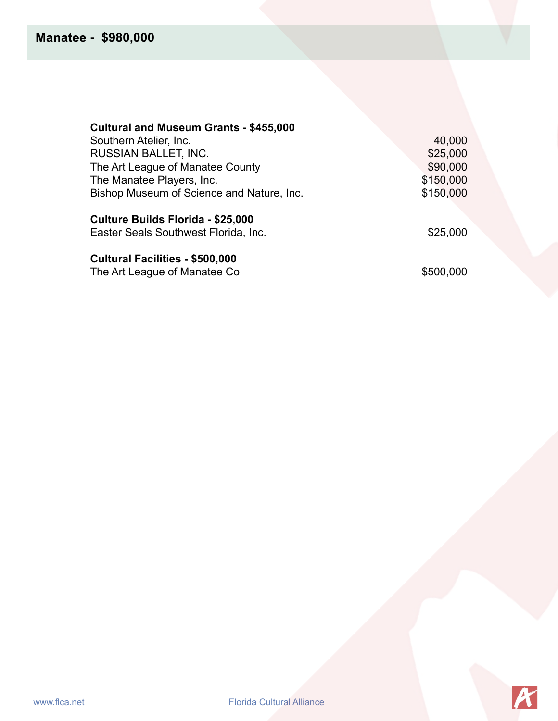## **Cultural and Museum Grants - \$455,000**

| Southern Atelier, Inc.                                                           | 40,000    |
|----------------------------------------------------------------------------------|-----------|
| <b>RUSSIAN BALLET, INC.</b>                                                      | \$25,000  |
| The Art League of Manatee County                                                 | \$90,000  |
| The Manatee Players, Inc.                                                        | \$150,000 |
| Bishop Museum of Science and Nature, Inc.                                        | \$150,000 |
| <b>Culture Builds Florida - \$25,000</b><br>Easter Seals Southwest Florida, Inc. | \$25,000  |
| <b>Cultural Facilities - \$500,000</b>                                           |           |
| The Art League of Manatee Co                                                     | \$500,000 |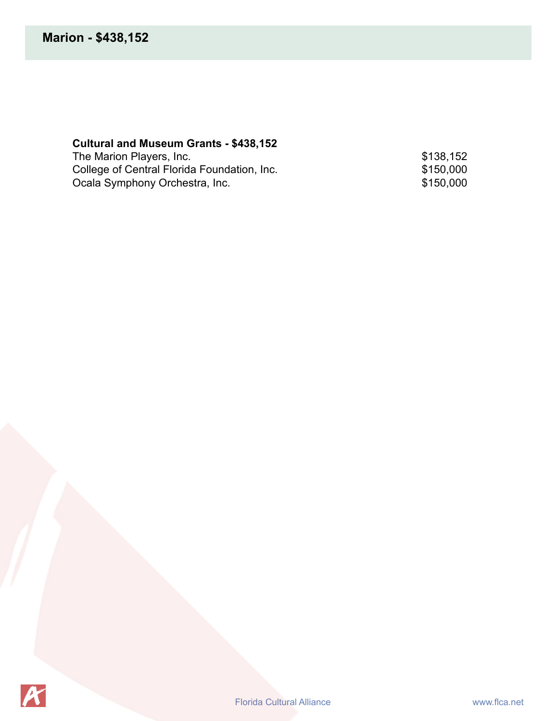#### **Cultural and Museum Grants - \$438,152**

The Marion Players, Inc. College of Central Florida Foundation, Inc. Ocala Symphony Orchestra, Inc.

\$138,152 \$150,000 \$150,000

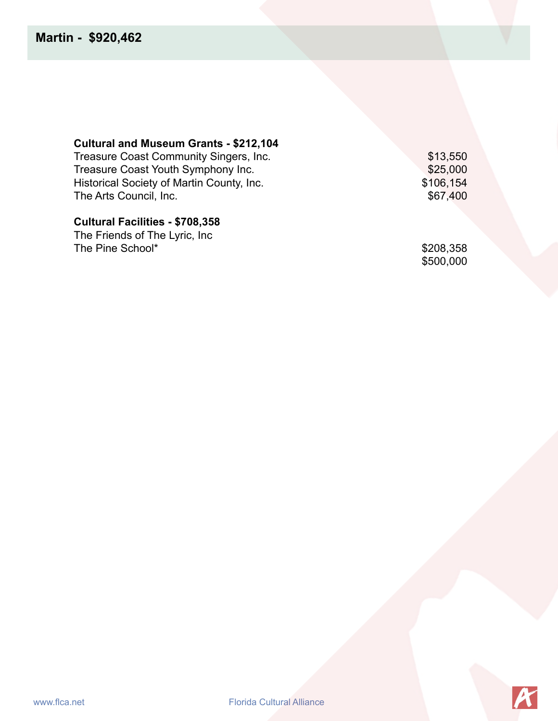| <b>Cultural and Museum Grants - \$212,104</b> |  |
|-----------------------------------------------|--|
|-----------------------------------------------|--|

Treasure Coast Community Singers, Inc. Treasure Coast Youth Symphony Inc. Historical Society of Martin County, Inc. The Arts Council, Inc.

\$13,550 \$25,000 \$106,154 \$67,400

**Cultural Facilities - \$708,358**  The Friends of The Lyric, Inc

The Pine School\*

\$208,358 \$500,000

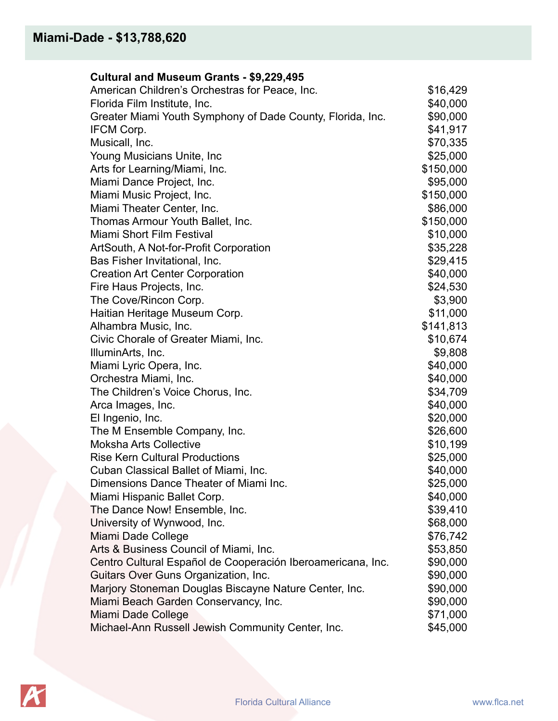## **Cultural and Museum Grants - \$9,229,495**

| American Children's Orchestras for Peace, Inc.              | \$16,429  |
|-------------------------------------------------------------|-----------|
| Florida Film Institute, Inc.                                | \$40,000  |
| Greater Miami Youth Symphony of Dade County, Florida, Inc.  | \$90,000  |
| <b>IFCM Corp.</b>                                           | \$41,917  |
| Musicall, Inc.                                              | \$70,335  |
| Young Musicians Unite, Inc                                  | \$25,000  |
| Arts for Learning/Miami, Inc.                               | \$150,000 |
| Miami Dance Project, Inc.                                   | \$95,000  |
| Miami Music Project, Inc.                                   | \$150,000 |
| Miami Theater Center, Inc.                                  | \$86,000  |
| Thomas Armour Youth Ballet, Inc.                            | \$150,000 |
| <b>Miami Short Film Festival</b>                            | \$10,000  |
| ArtSouth, A Not-for-Profit Corporation                      | \$35,228  |
| Bas Fisher Invitational, Inc.                               | \$29,415  |
| <b>Creation Art Center Corporation</b>                      | \$40,000  |
| Fire Haus Projects, Inc.                                    | \$24,530  |
| The Cove/Rincon Corp.                                       | \$3,900   |
| Haitian Heritage Museum Corp.                               | \$11,000  |
| Alhambra Music, Inc.                                        | \$141,813 |
| Civic Chorale of Greater Miami, Inc.                        | \$10,674  |
| IlluminArts, Inc.                                           | \$9,808   |
| Miami Lyric Opera, Inc.                                     | \$40,000  |
| Orchestra Miami, Inc.                                       | \$40,000  |
| The Children's Voice Chorus, Inc.                           | \$34,709  |
| Arca Images, Inc.                                           | \$40,000  |
| El Ingenio, Inc.                                            | \$20,000  |
| The M Ensemble Company, Inc.                                | \$26,600  |
| <b>Moksha Arts Collective</b>                               | \$10,199  |
| <b>Rise Kern Cultural Productions</b>                       | \$25,000  |
| Cuban Classical Ballet of Miami, Inc.                       | \$40,000  |
| Dimensions Dance Theater of Miami Inc.                      | \$25,000  |
| Miami Hispanic Ballet Corp.                                 | \$40,000  |
| The Dance Now! Ensemble, Inc.                               | \$39,410  |
| University of Wynwood, Inc.                                 | \$68,000  |
| Miami Dade College                                          | \$76,742  |
| Arts & Business Council of Miami, Inc.                      | \$53,850  |
| Centro Cultural Español de Cooperación Iberoamericana, Inc. | \$90,000  |
| Guitars Over Guns Organization, Inc.                        | \$90,000  |
| Marjory Stoneman Douglas Biscayne Nature Center, Inc.       | \$90,000  |
| Miami Beach Garden Conservancy, Inc.                        | \$90,000  |
| Miami Dade College                                          | \$71,000  |
| Michael-Ann Russell Jewish Community Center, Inc.           | \$45,000  |

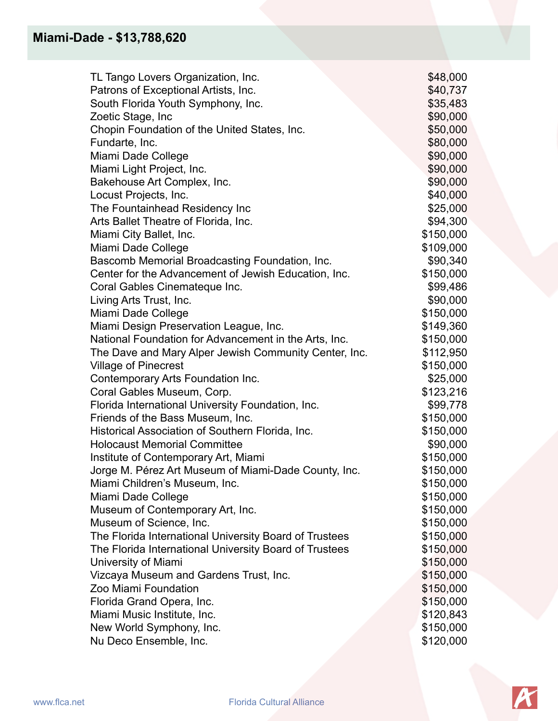| TL Tango Lovers Organization, Inc.                     | \$48,000  |
|--------------------------------------------------------|-----------|
| Patrons of Exceptional Artists, Inc.                   | \$40,737  |
| South Florida Youth Symphony, Inc.                     | \$35,483  |
| Zoetic Stage, Inc                                      | \$90,000  |
| Chopin Foundation of the United States, Inc.           | \$50,000  |
| Fundarte, Inc.                                         | \$80,000  |
| Miami Dade College                                     | \$90,000  |
| Miami Light Project, Inc.                              | \$90,000  |
| Bakehouse Art Complex, Inc.                            | \$90,000  |
| Locust Projects, Inc.                                  | \$40,000  |
| The Fountainhead Residency Inc                         | \$25,000  |
| Arts Ballet Theatre of Florida, Inc.                   | \$94,300  |
| Miami City Ballet, Inc.                                | \$150,000 |
| Miami Dade College                                     | \$109,000 |
| Bascomb Memorial Broadcasting Foundation, Inc.         | \$90,340  |
| Center for the Advancement of Jewish Education, Inc.   | \$150,000 |
| Coral Gables Cinemateque Inc.                          | \$99,486  |
| Living Arts Trust, Inc.                                | \$90,000  |
| Miami Dade College                                     | \$150,000 |
| Miami Design Preservation League, Inc.                 | \$149,360 |
| National Foundation for Advancement in the Arts, Inc.  | \$150,000 |
| The Dave and Mary Alper Jewish Community Center, Inc.  | \$112,950 |
| <b>Village of Pinecrest</b>                            | \$150,000 |
| Contemporary Arts Foundation Inc.                      | \$25,000  |
| Coral Gables Museum, Corp.                             | \$123,216 |
| Florida International University Foundation, Inc.      | \$99,778  |
| Friends of the Bass Museum, Inc.                       | \$150,000 |
| Historical Association of Southern Florida, Inc.       | \$150,000 |
| <b>Holocaust Memorial Committee</b>                    | \$90,000  |
| Institute of Contemporary Art, Miami                   | \$150,000 |
| Jorge M. Pérez Art Museum of Miami-Dade County, Inc.   | \$150,000 |
| Miami Children's Museum, Inc.                          | \$150,000 |
| Miami Dade College                                     | \$150,000 |
| Museum of Contemporary Art, Inc.                       | \$150,000 |
| Museum of Science, Inc.                                | \$150,000 |
| The Florida International University Board of Trustees | \$150,000 |
| The Florida International University Board of Trustees | \$150,000 |
| University of Miami                                    | \$150,000 |
| Vizcaya Museum and Gardens Trust, Inc.                 | \$150,000 |
| Zoo Miami Foundation                                   | \$150,000 |
| Florida Grand Opera, Inc.                              | \$150,000 |
| Miami Music Institute, Inc.                            | \$120,843 |
| New World Symphony, Inc.                               | \$150,000 |
| Nu Deco Ensemble, Inc.                                 | \$120,000 |
|                                                        |           |

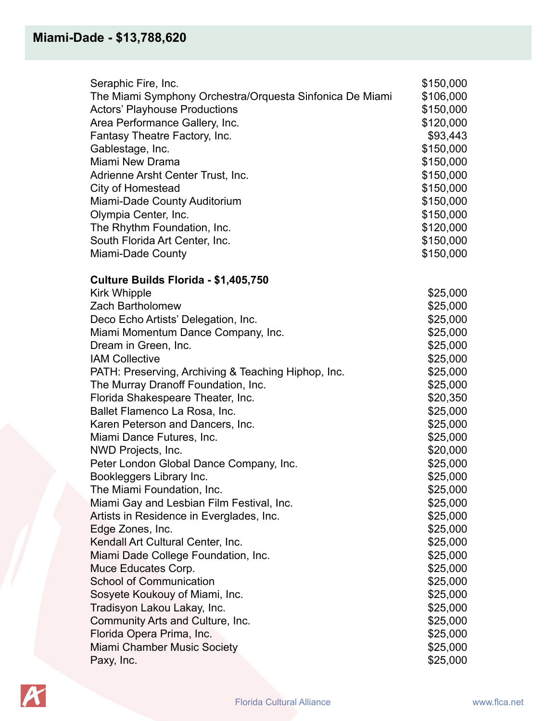| Seraphic Fire, Inc.                                      | \$150,000 |
|----------------------------------------------------------|-----------|
| The Miami Symphony Orchestra/Orquesta Sinfonica De Miami | \$106,000 |
| <b>Actors' Playhouse Productions</b>                     | \$150,000 |
| Area Performance Gallery, Inc.                           | \$120,000 |
| Fantasy Theatre Factory, Inc.                            | \$93,443  |
| Gablestage, Inc.                                         | \$150,000 |
| Miami New Drama                                          | \$150,000 |
| Adrienne Arsht Center Trust, Inc.                        | \$150,000 |
| <b>City of Homestead</b>                                 | \$150,000 |
| Miami-Dade County Auditorium                             | \$150,000 |
| Olympia Center, Inc.                                     | \$150,000 |
| The Rhythm Foundation, Inc.                              | \$120,000 |
| South Florida Art Center, Inc.                           | \$150,000 |
| Miami-Dade County                                        | \$150,000 |
| Culture Builds Florida - \$1,405,750                     |           |
| <b>Kirk Whipple</b>                                      | \$25,000  |
| <b>Zach Bartholomew</b>                                  | \$25,000  |
| Deco Echo Artists' Delegation, Inc.                      | \$25,000  |
| Miami Momentum Dance Company, Inc.                       | \$25,000  |
| Dream in Green, Inc.                                     | \$25,000  |
| <b>IAM Collective</b>                                    | \$25,000  |
| PATH: Preserving, Archiving & Teaching Hiphop, Inc.      | \$25,000  |
| The Murray Dranoff Foundation, Inc.                      | \$25,000  |
| Florida Shakespeare Theater, Inc.                        | \$20,350  |
| Ballet Flamenco La Rosa, Inc.                            | \$25,000  |
| Karen Peterson and Dancers, Inc.                         | \$25,000  |
| Miami Dance Futures, Inc.                                | \$25,000  |
| NWD Projects, Inc.                                       | \$20,000  |
| Peter London Global Dance Company, Inc.                  | \$25,000  |
| Bookleggers Library Inc.                                 | \$25,000  |
| The Miami Foundation, Inc.                               | \$25,000  |
| Miami Gay and Lesbian Film Festival, Inc.                | \$25,000  |
| Artists in Residence in Everglades, Inc.                 | \$25,000  |
| Edge Zones, Inc.                                         | \$25,000  |
| Kendall Art Cultural Center, Inc.                        | \$25,000  |
| Miami Dade College Foundation, Inc.                      | \$25,000  |
| Muce Educates Corp.                                      | \$25,000  |
| <b>School of Communication</b>                           | \$25,000  |
| Sosyete Koukouy of Miami, Inc.                           | \$25,000  |
| Tradisyon Lakou Lakay, Inc.                              | \$25,000  |
| Community Arts and Culture, Inc.                         | \$25,000  |
| Florida Opera Prima, Inc.                                | \$25,000  |
| <b>Miami Chamber Music Society</b>                       | \$25,000  |
| Paxy, Inc.                                               | \$25,000  |

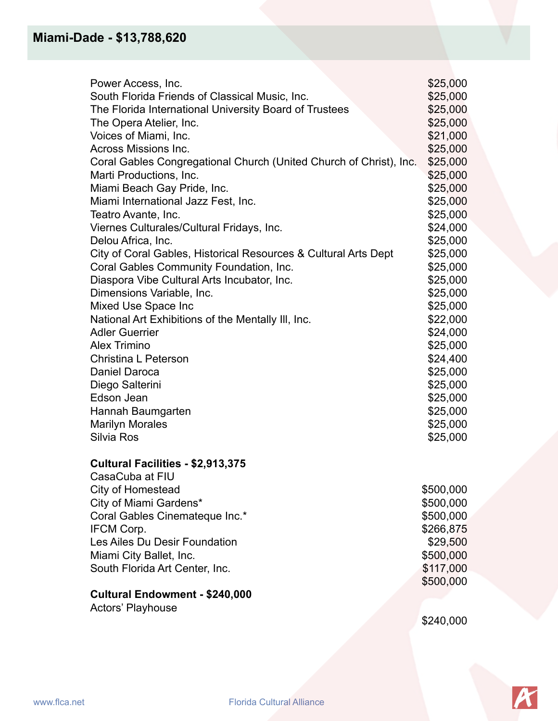| Power Access, Inc.                                                 | \$25,000  |
|--------------------------------------------------------------------|-----------|
|                                                                    |           |
| South Florida Friends of Classical Music, Inc.                     | \$25,000  |
| The Florida International University Board of Trustees             | \$25,000  |
| The Opera Atelier, Inc.                                            | \$25,000  |
| Voices of Miami, Inc.                                              | \$21,000  |
| <b>Across Missions Inc.</b>                                        | \$25,000  |
| Coral Gables Congregational Church (United Church of Christ), Inc. | \$25,000  |
| Marti Productions, Inc.                                            | \$25,000  |
| Miami Beach Gay Pride, Inc.                                        | \$25,000  |
| Miami International Jazz Fest, Inc.                                | \$25,000  |
| Teatro Avante, Inc.                                                | \$25,000  |
| Viernes Culturales/Cultural Fridays, Inc.                          | \$24,000  |
| Delou Africa, Inc.                                                 | \$25,000  |
| City of Coral Gables, Historical Resources & Cultural Arts Dept    | \$25,000  |
| Coral Gables Community Foundation, Inc.                            | \$25,000  |
| Diaspora Vibe Cultural Arts Incubator, Inc.                        | \$25,000  |
| Dimensions Variable, Inc.                                          | \$25,000  |
| Mixed Use Space Inc                                                | \$25,000  |
| National Art Exhibitions of the Mentally III, Inc.                 | \$22,000  |
| <b>Adler Guerrier</b>                                              | \$24,000  |
| <b>Alex Trimino</b>                                                | \$25,000  |
| <b>Christina L Peterson</b>                                        | \$24,400  |
| <b>Daniel Daroca</b>                                               | \$25,000  |
| Diego Salterini                                                    | \$25,000  |
| Edson Jean                                                         | \$25,000  |
| Hannah Baumgarten                                                  | \$25,000  |
| <b>Marilyn Morales</b>                                             | \$25,000  |
| Silvia Ros                                                         | \$25,000  |
|                                                                    |           |
| <b>Cultural Facilities - \$2,913,375</b>                           |           |
| CasaCuba at FIU                                                    |           |
| <b>City of Homestead</b>                                           | \$500,000 |
| City of Miami Gardens*                                             | \$500,000 |
| Coral Gables Cinemateque Inc.*                                     | \$500,000 |
| <b>IFCM Corp.</b>                                                  | \$266,875 |
| Les Ailes Du Desir Foundation                                      | \$29,500  |
| Miami City Ballet, Inc.                                            | \$500,000 |
| South Florida Art Center, Inc.                                     | \$117,000 |
|                                                                    | \$500,000 |
| <b>Cultural Endowment - \$240,000</b>                              |           |
| Actors' Playhouse                                                  |           |
|                                                                    |           |

\$240,000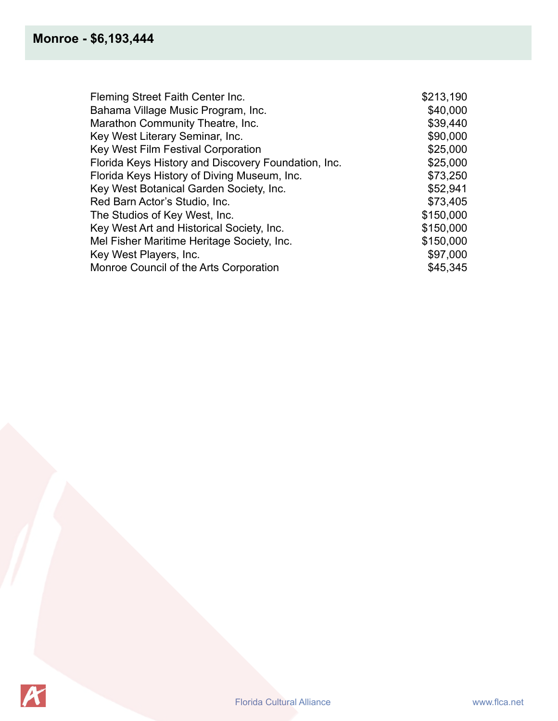| Fleming Street Faith Center Inc.                    | \$213,190 |
|-----------------------------------------------------|-----------|
| Bahama Village Music Program, Inc.                  | \$40,000  |
| Marathon Community Theatre, Inc.                    | \$39,440  |
| Key West Literary Seminar, Inc.                     | \$90,000  |
| Key West Film Festival Corporation                  | \$25,000  |
| Florida Keys History and Discovery Foundation, Inc. | \$25,000  |
| Florida Keys History of Diving Museum, Inc.         | \$73,250  |
| Key West Botanical Garden Society, Inc.             | \$52,941  |
| Red Barn Actor's Studio, Inc.                       | \$73,405  |
| The Studios of Key West, Inc.                       | \$150,000 |
| Key West Art and Historical Society, Inc.           | \$150,000 |
| Mel Fisher Maritime Heritage Society, Inc.          | \$150,000 |
| Key West Players, Inc.                              | \$97,000  |
| Monroe Council of the Arts Corporation              | \$45,345  |
|                                                     |           |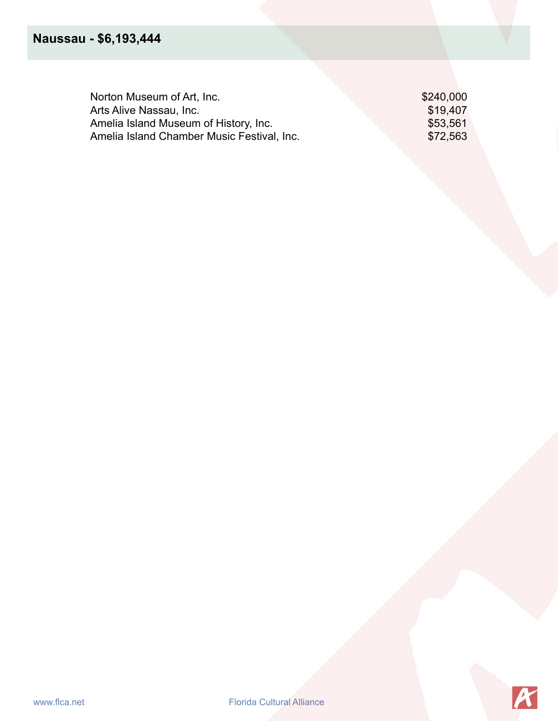**Naussau - \$6,193,444** 

Norton Museum of Art, Inc. Arts Alive Nassau, Inc. Amelia Island Museum of History, Inc. Amelia Island Chamber Music Festival, Inc. \$240,000 \$19,407 \$53,561 \$72,563

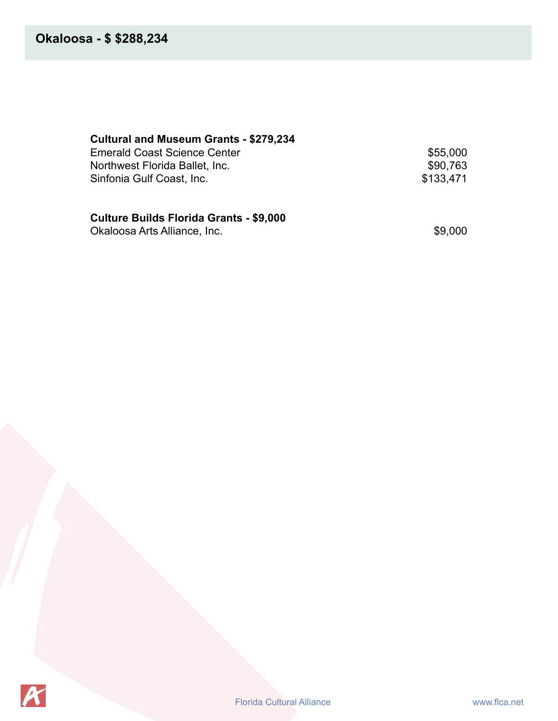#### **Cultural and Museum Grants - \$279,234**

| <b>Emerald Coast Science Center</b> | \$55,000  |
|-------------------------------------|-----------|
| Northwest Florida Ballet, Inc.      | \$90,763  |
| Sinfonia Gulf Coast, Inc.           | \$133.471 |

### **Culture Builds Florida Grants - \$9,000**

Okaloosa Arts Alliance, Inc.

\$9,000

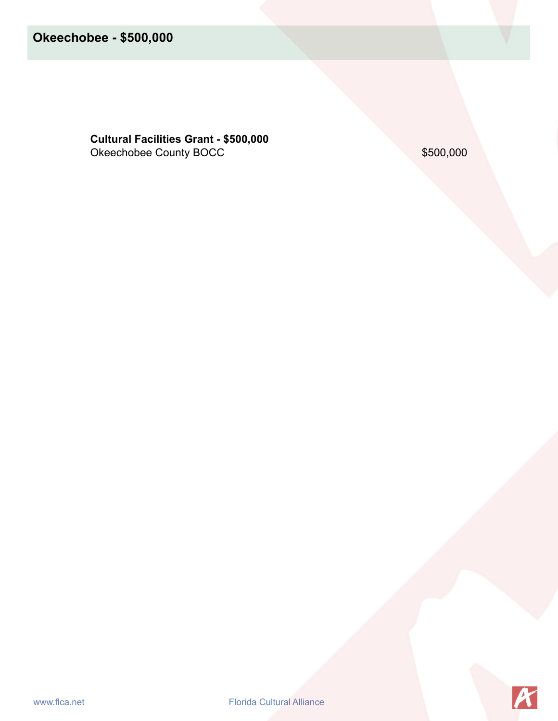## **Okeechobee - \$500,000**

**Cultural Facilities Grant - \$500,000** Okeechobee County BOCC \$500,000

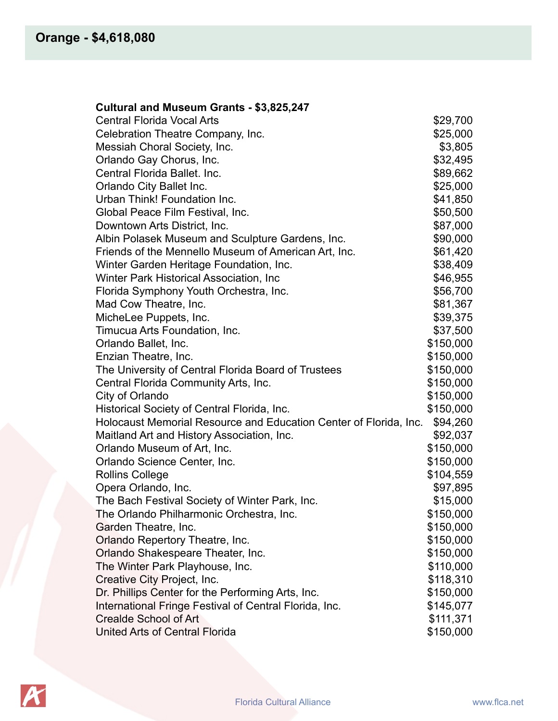## **Cultural and Museum Grants - \$3,825,247**

| <b>Central Florida Vocal Arts</b>                                 | \$29,700  |
|-------------------------------------------------------------------|-----------|
| Celebration Theatre Company, Inc.                                 | \$25,000  |
| Messiah Choral Society, Inc.                                      | \$3,805   |
| Orlando Gay Chorus, Inc.                                          | \$32,495  |
| Central Florida Ballet, Inc.                                      | \$89,662  |
| Orlando City Ballet Inc.                                          | \$25,000  |
| Urban Think! Foundation Inc.                                      | \$41,850  |
| Global Peace Film Festival, Inc.                                  | \$50,500  |
| Downtown Arts District, Inc.                                      | \$87,000  |
| Albin Polasek Museum and Sculpture Gardens, Inc.                  | \$90,000  |
| Friends of the Mennello Museum of American Art, Inc.              | \$61,420  |
| Winter Garden Heritage Foundation, Inc.                           | \$38,409  |
| Winter Park Historical Association, Inc.                          | \$46,955  |
| Florida Symphony Youth Orchestra, Inc.                            | \$56,700  |
| Mad Cow Theatre, Inc.                                             | \$81,367  |
| MicheLee Puppets, Inc.                                            | \$39,375  |
| Timucua Arts Foundation, Inc.                                     | \$37,500  |
| Orlando Ballet, Inc.                                              | \$150,000 |
| Enzian Theatre, Inc.                                              | \$150,000 |
| The University of Central Florida Board of Trustees               | \$150,000 |
| Central Florida Community Arts, Inc.                              | \$150,000 |
| City of Orlando                                                   | \$150,000 |
| Historical Society of Central Florida, Inc.                       | \$150,000 |
| Holocaust Memorial Resource and Education Center of Florida, Inc. | \$94,260  |
| Maitland Art and History Association, Inc.                        | \$92,037  |
| Orlando Museum of Art, Inc.                                       | \$150,000 |
| Orlando Science Center, Inc.                                      | \$150,000 |
| <b>Rollins College</b>                                            | \$104,559 |
| Opera Orlando, Inc.                                               | \$97,895  |
| The Bach Festival Society of Winter Park, Inc.                    | \$15,000  |
| The Orlando Philharmonic Orchestra, Inc.                          | \$150,000 |
| Garden Theatre, Inc.                                              | \$150,000 |
| Orlando Repertory Theatre, Inc.                                   | \$150,000 |
| Orlando Shakespeare Theater, Inc.                                 | \$150,000 |
| The Winter Park Playhouse, Inc.                                   | \$110,000 |
| Creative City Project, Inc.                                       | \$118,310 |
| Dr. Phillips Center for the Performing Arts, Inc.                 | \$150,000 |
| International Fringe Festival of Central Florida, Inc.            | \$145,077 |
| <b>Crealde School of Art</b>                                      | \$111,371 |
| United Arts of Central Florida                                    | \$150,000 |

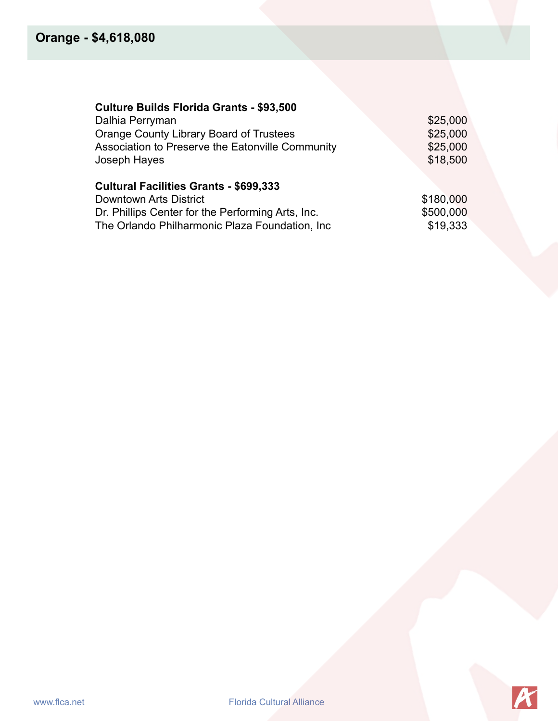### **Culture Builds Florida Grants - \$93,500**

The Orlando Philharmonic Plaza Foundation, Inc

| Dalhia Perryman                                   | \$25,000  |
|---------------------------------------------------|-----------|
| <b>Orange County Library Board of Trustees</b>    | \$25,000  |
| Association to Preserve the Eatonville Community  | \$25,000  |
| Joseph Hayes                                      | \$18,500  |
| <b>Cultural Facilities Grants - \$699,333</b>     |           |
| <b>Downtown Arts District</b>                     | \$180,000 |
| Dr. Phillips Center for the Performing Arts, Inc. | \$500,000 |



\$19,333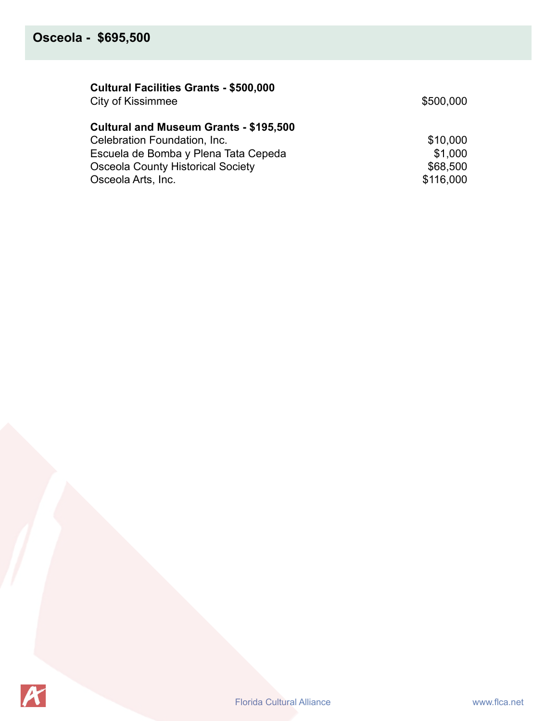| <b>Cultural Facilities Grants - \$500,000</b><br><b>City of Kissimmee</b>                                                                                                               | \$500,000                                    |
|-----------------------------------------------------------------------------------------------------------------------------------------------------------------------------------------|----------------------------------------------|
| <b>Cultural and Museum Grants - \$195,500</b><br>Celebration Foundation, Inc.<br>Escuela de Bomba y Plena Tata Cepeda<br><b>Osceola County Historical Society</b><br>Osceola Arts, Inc. | \$10,000<br>\$1,000<br>\$68,500<br>\$116,000 |

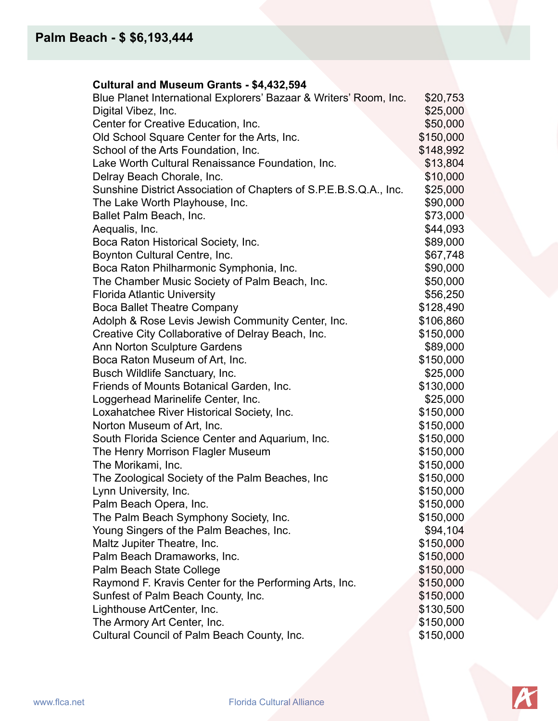### **Cultural and Museum Grants - \$4,432,594**

| Blue Planet International Explorers' Bazaar & Writers' Room, Inc. | \$20,753  |
|-------------------------------------------------------------------|-----------|
| Digital Vibez, Inc.                                               | \$25,000  |
| Center for Creative Education, Inc.                               | \$50,000  |
| Old School Square Center for the Arts, Inc.                       | \$150,000 |
| School of the Arts Foundation, Inc.                               | \$148,992 |
| Lake Worth Cultural Renaissance Foundation, Inc.                  | \$13,804  |
| Delray Beach Chorale, Inc.                                        | \$10,000  |
| Sunshine District Association of Chapters of S.P.E.B.S.Q.A., Inc. | \$25,000  |
| The Lake Worth Playhouse, Inc.                                    | \$90,000  |
| Ballet Palm Beach, Inc.                                           | \$73,000  |
| Aequalis, Inc.                                                    | \$44,093  |
| Boca Raton Historical Society, Inc.                               | \$89,000  |
| Boynton Cultural Centre, Inc.                                     | \$67,748  |
| Boca Raton Philharmonic Symphonia, Inc.                           | \$90,000  |
| The Chamber Music Society of Palm Beach, Inc.                     | \$50,000  |
| <b>Florida Atlantic University</b>                                | \$56,250  |
| <b>Boca Ballet Theatre Company</b>                                | \$128,490 |
| Adolph & Rose Levis Jewish Community Center, Inc.                 | \$106,860 |
| Creative City Collaborative of Delray Beach, Inc.                 | \$150,000 |
| <b>Ann Norton Sculpture Gardens</b>                               | \$89,000  |
| Boca Raton Museum of Art, Inc.                                    | \$150,000 |
| Busch Wildlife Sanctuary, Inc.                                    | \$25,000  |
| Friends of Mounts Botanical Garden, Inc.                          | \$130,000 |
| Loggerhead Marinelife Center, Inc.                                | \$25,000  |
| Loxahatchee River Historical Society, Inc.                        | \$150,000 |
| Norton Museum of Art, Inc.                                        | \$150,000 |
| South Florida Science Center and Aquarium, Inc.                   | \$150,000 |
| The Henry Morrison Flagler Museum                                 | \$150,000 |
| The Morikami, Inc.                                                | \$150,000 |
| The Zoological Society of the Palm Beaches, Inc                   | \$150,000 |
| Lynn University, Inc.                                             | \$150,000 |
| Palm Beach Opera, Inc.                                            | \$150,000 |
| The Palm Beach Symphony Society, Inc.                             | \$150,000 |
| Young Singers of the Palm Beaches, Inc.                           | \$94,104  |
| Maltz Jupiter Theatre, Inc.                                       | \$150,000 |
| Palm Beach Dramaworks, Inc.                                       | \$150,000 |
| Palm Beach State College                                          | \$150,000 |
| Raymond F. Kravis Center for the Performing Arts, Inc.            | \$150,000 |
| Sunfest of Palm Beach County, Inc.                                | \$150,000 |
| Lighthouse ArtCenter, Inc.                                        | \$130,500 |
| The Armory Art Center, Inc.                                       | \$150,000 |
| Cultural Council of Palm Beach County, Inc.                       | \$150,000 |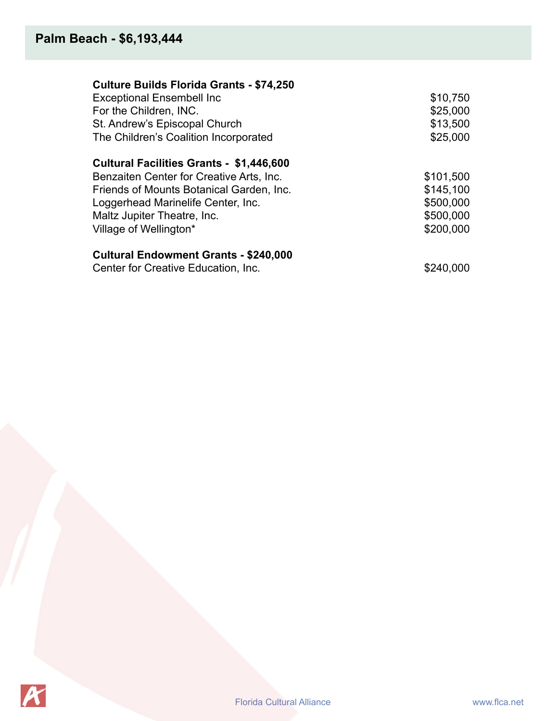#### **Culture Builds Florida Grants - \$74,250**

| <b>Exceptional Ensembell Inc.</b>     | \$10,750 |
|---------------------------------------|----------|
| For the Children, INC.                | \$25,000 |
| St. Andrew's Episcopal Church         | \$13,500 |
| The Children's Coalition Incorporated | \$25,000 |
| Cultural Eagilities Cropts 64 AAC COO |          |

#### **Cultural Facilities Grants - \$1,446,600**

| Benzaiten Center for Creative Arts, Inc. | \$101,500 |  |
|------------------------------------------|-----------|--|
| Friends of Mounts Botanical Garden, Inc. | \$145,100 |  |
| Loggerhead Marinelife Center, Inc.       | \$500,000 |  |
| Maltz Jupiter Theatre, Inc.              | \$500,000 |  |
| Village of Wellington*                   | \$200,000 |  |

### **Cultural Endowment Grants - \$240,000**

Center for Creative Education, Inc.

\$240,000

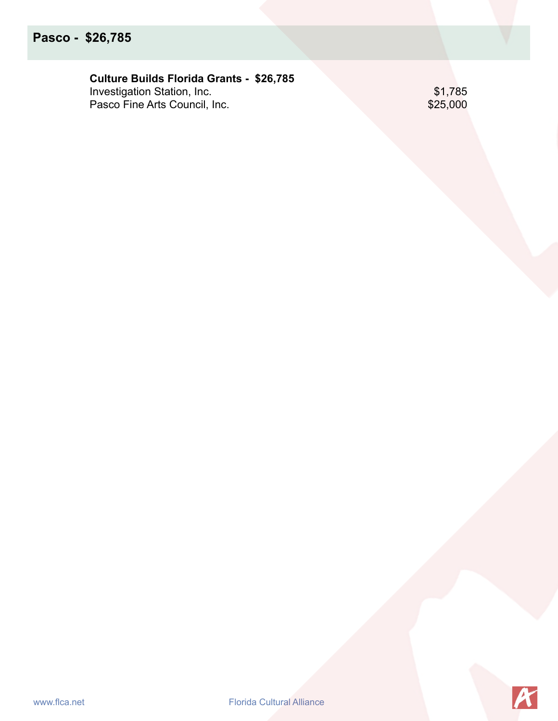## **Pasco - \$26,785**

## **Culture Builds Florida Grants - \$26,785**

Investigation Station, Inc. Pasco Fine Arts Council, Inc.

\$1,785 \$25,000

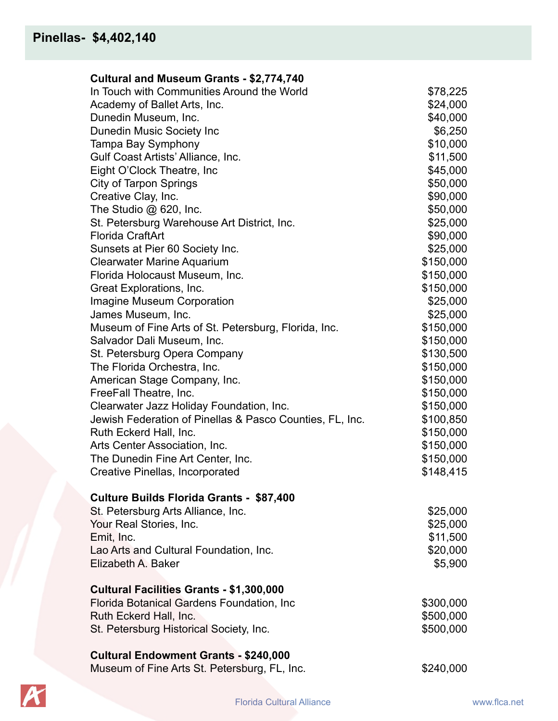## **Cultural and Museum Grants - \$2,774,740**

| In Touch with Communities Around the World               | \$78,225  |
|----------------------------------------------------------|-----------|
| Academy of Ballet Arts, Inc.                             | \$24,000  |
| Dunedin Museum, Inc.                                     | \$40,000  |
| <b>Dunedin Music Society Inc</b>                         | \$6,250   |
| Tampa Bay Symphony                                       | \$10,000  |
| Gulf Coast Artists' Alliance, Inc.                       | \$11,500  |
| Eight O'Clock Theatre, Inc                               | \$45,000  |
| <b>City of Tarpon Springs</b>                            | \$50,000  |
| Creative Clay, Inc.                                      | \$90,000  |
| The Studio $@620$ , Inc.                                 | \$50,000  |
| St. Petersburg Warehouse Art District, Inc.              | \$25,000  |
| <b>Florida CraftArt</b>                                  | \$90,000  |
| Sunsets at Pier 60 Society Inc.                          | \$25,000  |
| <b>Clearwater Marine Aquarium</b>                        | \$150,000 |
| Florida Holocaust Museum, Inc.                           | \$150,000 |
| Great Explorations, Inc.                                 | \$150,000 |
| Imagine Museum Corporation                               | \$25,000  |
| James Museum, Inc.                                       | \$25,000  |
| Museum of Fine Arts of St. Petersburg, Florida, Inc.     | \$150,000 |
| Salvador Dali Museum, Inc.                               | \$150,000 |
| St. Petersburg Opera Company                             | \$130,500 |
| The Florida Orchestra, Inc.                              | \$150,000 |
| American Stage Company, Inc.                             | \$150,000 |
| FreeFall Theatre, Inc.                                   | \$150,000 |
| Clearwater Jazz Holiday Foundation, Inc.                 | \$150,000 |
| Jewish Federation of Pinellas & Pasco Counties, FL, Inc. | \$100,850 |
| Ruth Eckerd Hall, Inc.                                   | \$150,000 |
| Arts Center Association, Inc.                            | \$150,000 |
| The Dunedin Fine Art Center, Inc.                        | \$150,000 |
| Creative Pinellas, Incorporated                          | \$148,415 |
| Culture Builds Florida Grants - \$87,400                 |           |
| St. Petersburg Arts Alliance, Inc.                       | \$25,000  |
| Your Real Stories, Inc.                                  | \$25,000  |
| Emit, Inc.                                               | \$11,500  |
| Lao Arts and Cultural Foundation, Inc.                   | \$20,000  |
| Elizabeth A. Baker                                       | \$5,900   |
|                                                          |           |
| <b>Cultural Facilities Grants - \$1,300,000</b>          |           |
| Florida Botanical Gardens Foundation, Inc.               | \$300,000 |
| Ruth Eckerd Hall, Inc.                                   | \$500,000 |
| St. Petersburg Historical Society, Inc.                  | \$500,000 |
| <b>Cultural Endowment Grants - \$240,000</b>             |           |

| Museum of Fine Arts St. Petersburg, FL, Inc. | \$240,000 |
|----------------------------------------------|-----------|

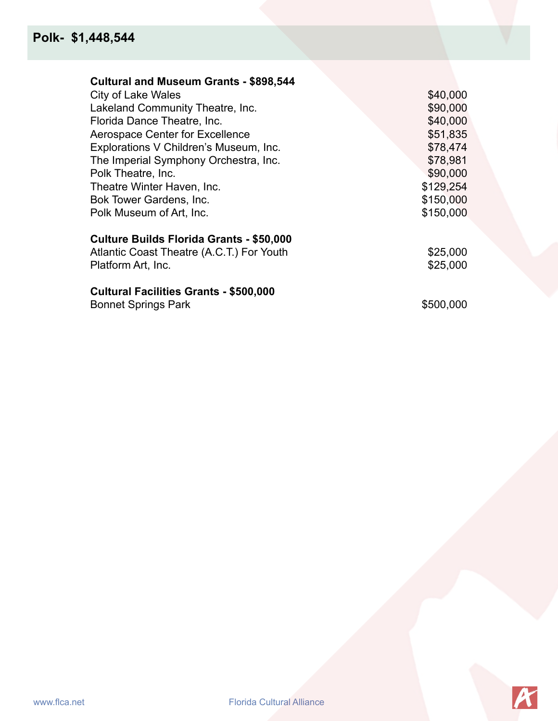## **Polk- \$1,448,544**

#### **Cultural and Museum Grants - \$898,544**

| <b>City of Lake Wales</b>                       | \$40,000  |
|-------------------------------------------------|-----------|
| Lakeland Community Theatre, Inc.                | \$90,000  |
| Florida Dance Theatre, Inc.                     | \$40,000  |
| Aerospace Center for Excellence                 | \$51,835  |
| Explorations V Children's Museum, Inc.          | \$78,474  |
| The Imperial Symphony Orchestra, Inc.           | \$78,981  |
| Polk Theatre, Inc.                              | \$90,000  |
| Theatre Winter Haven, Inc.                      | \$129,254 |
| Bok Tower Gardens, Inc.                         | \$150,000 |
| Polk Museum of Art, Inc.                        | \$150,000 |
| <b>Culture Builds Florida Grants - \$50,000</b> |           |
| Atlantic Coast Theatre (A.C.T.) For Youth       | \$25,000  |

Platform Art, Inc. \$25,000

### **Cultural Facilities Grants - \$500,000**

Bonnet Springs Park

\$500,000

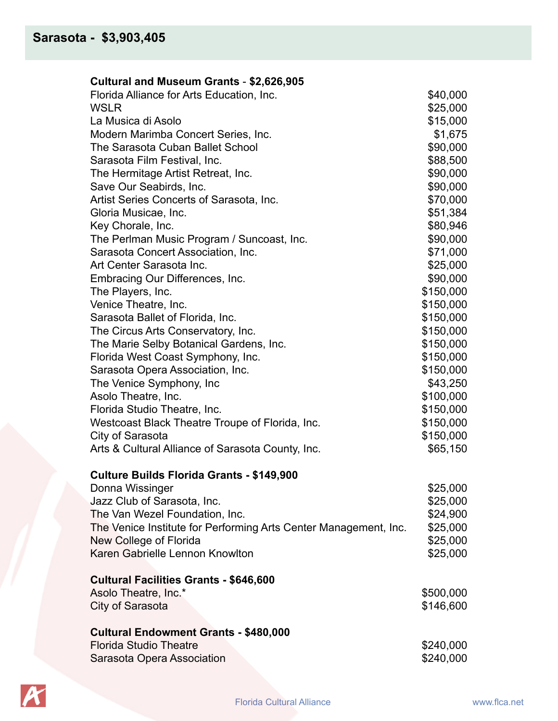### **Cultural and Museum Grants** - **\$2,626,905**

| Florida Alliance for Arts Education, Inc.                        | \$40,000  |
|------------------------------------------------------------------|-----------|
| <b>WSLR</b>                                                      | \$25,000  |
| La Musica di Asolo                                               | \$15,000  |
| Modern Marimba Concert Series, Inc.                              | \$1,675   |
| The Sarasota Cuban Ballet School                                 | \$90,000  |
| Sarasota Film Festival, Inc.                                     | \$88,500  |
| The Hermitage Artist Retreat, Inc.                               | \$90,000  |
| Save Our Seabirds, Inc.                                          | \$90,000  |
| Artist Series Concerts of Sarasota, Inc.                         | \$70,000  |
| Gloria Musicae, Inc.                                             | \$51,384  |
| Key Chorale, Inc.                                                | \$80,946  |
| The Perlman Music Program / Suncoast, Inc.                       | \$90,000  |
| Sarasota Concert Association, Inc.                               | \$71,000  |
| Art Center Sarasota Inc.                                         | \$25,000  |
| Embracing Our Differences, Inc.                                  | \$90,000  |
| The Players, Inc.                                                | \$150,000 |
| Venice Theatre, Inc.                                             | \$150,000 |
| Sarasota Ballet of Florida, Inc.                                 | \$150,000 |
| The Circus Arts Conservatory, Inc.                               | \$150,000 |
| The Marie Selby Botanical Gardens, Inc.                          | \$150,000 |
| Florida West Coast Symphony, Inc.                                | \$150,000 |
| Sarasota Opera Association, Inc.                                 | \$150,000 |
| The Venice Symphony, Inc                                         | \$43,250  |
| Asolo Theatre, Inc.                                              | \$100,000 |
| Florida Studio Theatre, Inc.                                     | \$150,000 |
| Westcoast Black Theatre Troupe of Florida, Inc.                  | \$150,000 |
| City of Sarasota                                                 | \$150,000 |
| Arts & Cultural Alliance of Sarasota County, Inc.                | \$65,150  |
| <b>Culture Builds Florida Grants - \$149,900</b>                 |           |
| Donna Wissinger                                                  | \$25,000  |
| Jazz Club of Sarasota, Inc.                                      | \$25,000  |
| The Van Wezel Foundation, Inc.                                   | \$24,900  |
| The Venice Institute for Performing Arts Center Management, Inc. | \$25,000  |
| New College of Florida                                           | \$25,000  |
| Karen Gabrielle Lennon Knowlton                                  | \$25,000  |
| <b>Cultural Facilities Grants - \$646,600</b>                    |           |
| Asolo Theatre, Inc.*                                             | \$500,000 |
| City of Sarasota                                                 | \$146,600 |
| <b>Cultural Endowment Grants - \$480,000</b>                     |           |
| <b>Florida Studio Theatre</b>                                    | \$240,000 |
| Sarasota Opera Association                                       | \$240,000 |

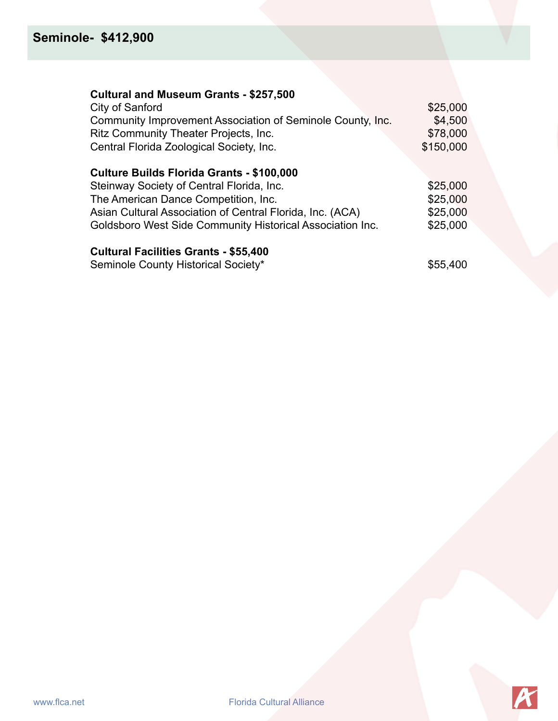#### **Cultural and Museum Grants - \$257,500**

| City of Sanford                                            | \$25,000  |
|------------------------------------------------------------|-----------|
| Community Improvement Association of Seminole County, Inc. | \$4,500   |
| Ritz Community Theater Projects, Inc.                      | \$78,000  |
| Central Florida Zoological Society, Inc.                   | \$150,000 |

### **Culture Builds Florida Grants - \$100,000**

| Steinway Society of Central Florida, Inc.                 | \$25,000 |
|-----------------------------------------------------------|----------|
| The American Dance Competition, Inc.                      | \$25,000 |
| Asian Cultural Association of Central Florida, Inc. (ACA) | \$25,000 |
| Goldsboro West Side Community Historical Association Inc. | \$25,000 |
|                                                           |          |

#### **Cultural Facilities Grants - \$55,400**

Seminole County Historical Society\*

\$55,400

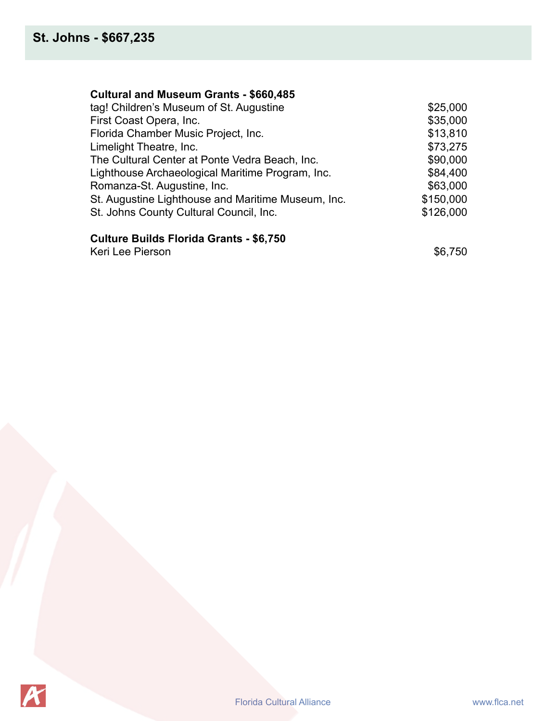#### **Cultural and Museum Grants - \$660,485**

| tag! Children's Museum of St. Augustine            | \$25,000  |
|----------------------------------------------------|-----------|
| First Coast Opera, Inc.                            | \$35,000  |
| Florida Chamber Music Project, Inc.                | \$13,810  |
| Limelight Theatre, Inc.                            | \$73,275  |
| The Cultural Center at Ponte Vedra Beach, Inc.     | \$90,000  |
| Lighthouse Archaeological Maritime Program, Inc.   | \$84,400  |
| Romanza-St. Augustine, Inc.                        | \$63,000  |
| St. Augustine Lighthouse and Maritime Museum, Inc. | \$150,000 |
| St. Johns County Cultural Council, Inc.            | \$126,000 |
|                                                    |           |

### **Culture Builds Florida Grants - \$6,750**

Keri Lee Pierson

\$6,750

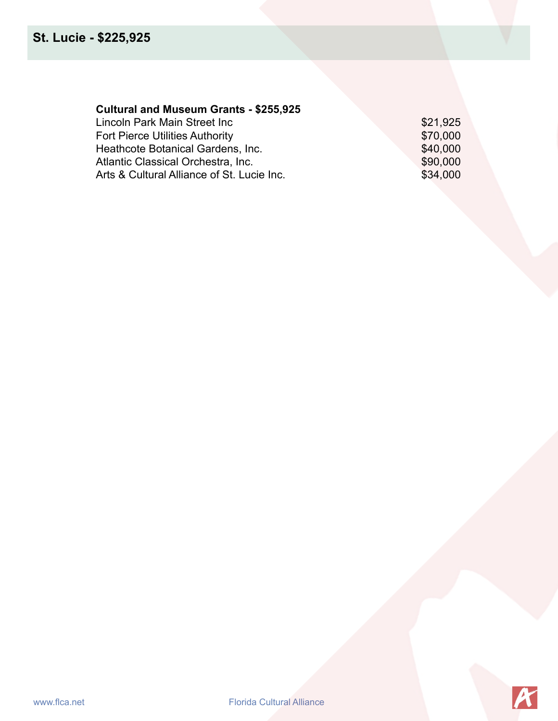## **Cultural and Museum Grants - \$255,925**

| \$21,925 |
|----------|
| \$70,000 |
| \$40,000 |
| \$90,000 |
| \$34,000 |
|          |

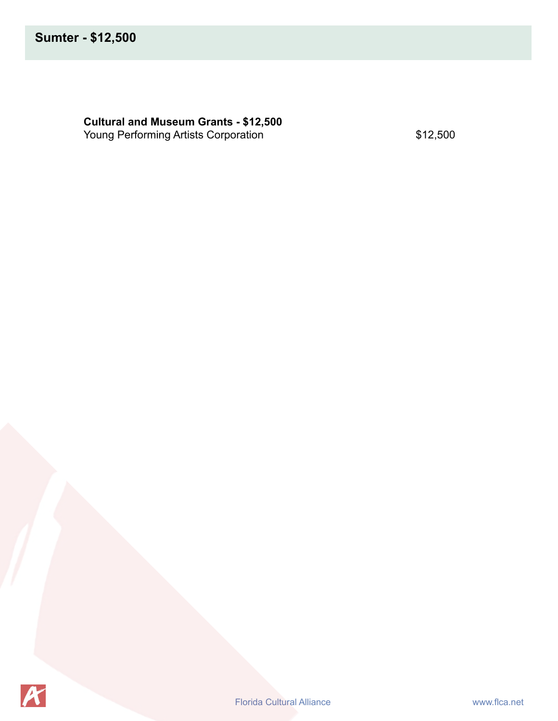**Cultural and Museum Grants - \$12,500** Young Performing Artists Corporation **\$12,500** 

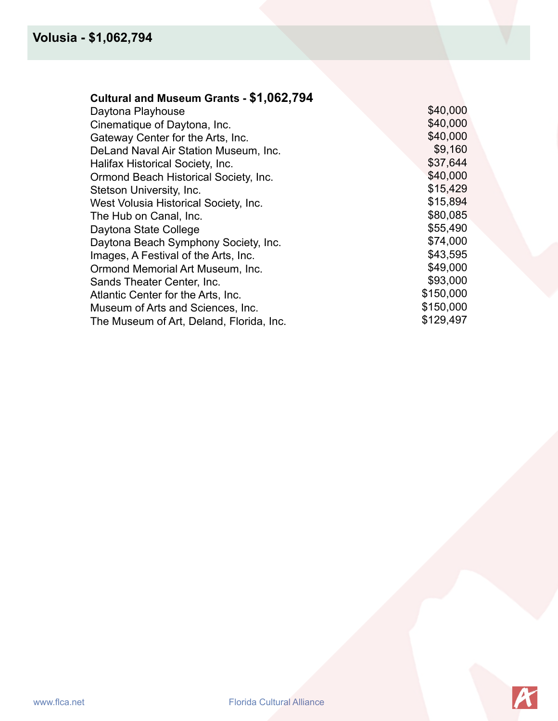## **Cultural and Museum Grants - \$1,062,794**

| Daytona Playhouse                        | \$40,000  |
|------------------------------------------|-----------|
| Cinematique of Daytona, Inc.             | \$40,000  |
| Gateway Center for the Arts, Inc.        | \$40,000  |
| DeLand Naval Air Station Museum, Inc.    | \$9,160   |
| Halifax Historical Society, Inc.         | \$37,644  |
| Ormond Beach Historical Society, Inc.    | \$40,000  |
| Stetson University, Inc.                 | \$15,429  |
| West Volusia Historical Society, Inc.    | \$15,894  |
| The Hub on Canal, Inc.                   | \$80,085  |
| Daytona State College                    | \$55,490  |
| Daytona Beach Symphony Society, Inc.     | \$74,000  |
| Images, A Festival of the Arts, Inc.     | \$43,595  |
| Ormond Memorial Art Museum, Inc.         | \$49,000  |
| Sands Theater Center, Inc.               | \$93,000  |
| Atlantic Center for the Arts, Inc.       | \$150,000 |
| Museum of Arts and Sciences, Inc.        | \$150,000 |
| The Museum of Art, Deland, Florida, Inc. | \$129,497 |
|                                          |           |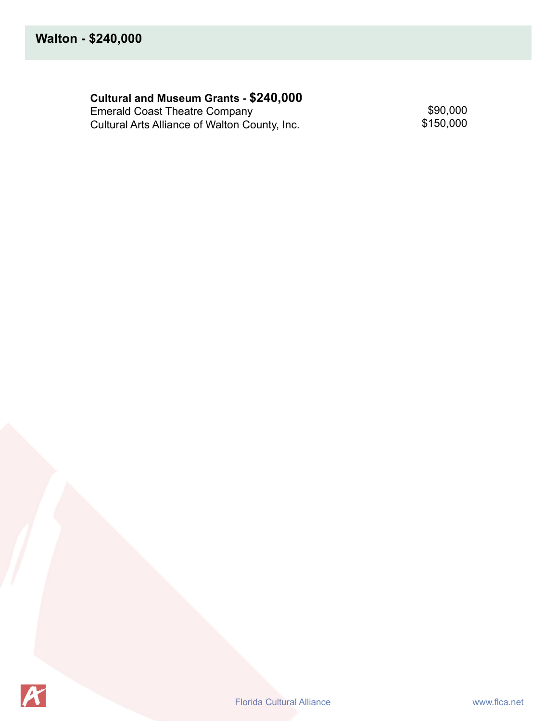#### **Cultural and Museum Grants - \$240,000**

Emerald Coast Theatre Company Cultural Arts Alliance of Walton County, Inc.

\$90,000 \$150,000

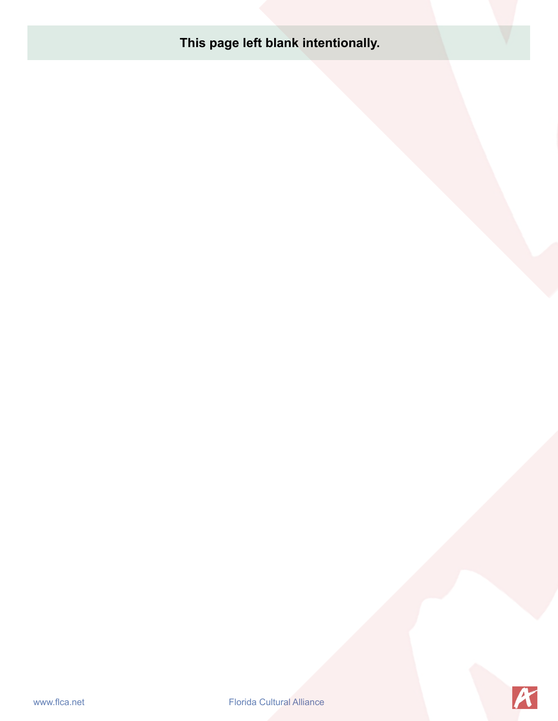# **This page left blank intentionally.**